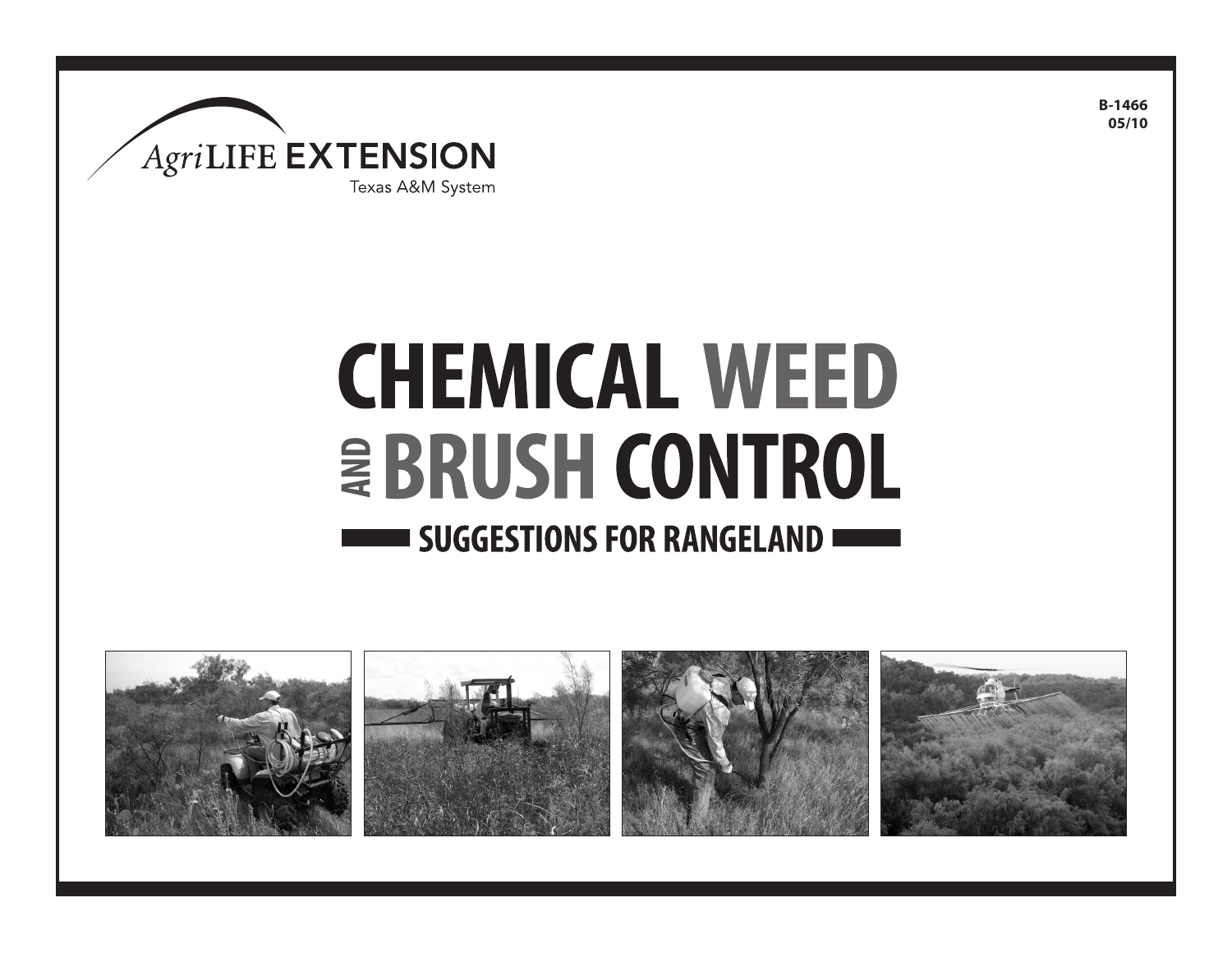

# **CHEMICAL WEED EBRUSH CONTROL SUGGESTIONS FOR RANGELAND WELLET**



**B-1466 05/10**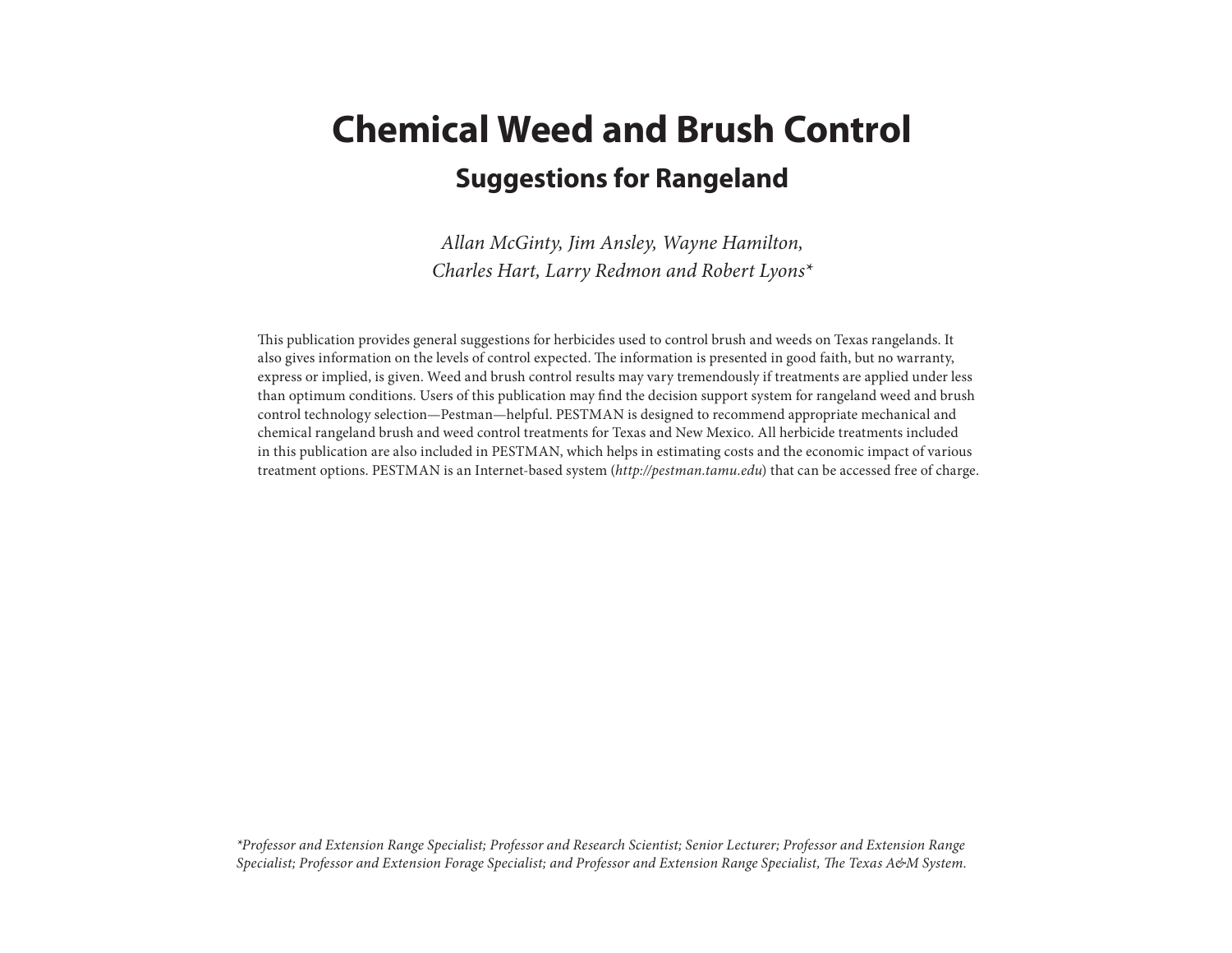### **Chemical Weed and Brush Control Suggestions for Rangeland**

*Allan McGinty, Jim Ansley, Wayne Hamilton, Charles Hart, Larry Redmon and Robert Lyons\**

This publication provides general suggestions for herbicides used to control brush and weeds on Texas rangelands. It also gives information on the levels of control expected. The information is presented in good faith, but no warranty, express or implied, is given. Weed and brush control results may vary tremendously if treatments are applied under less than optimum conditions. Users of this publication may find the decision support system for rangeland weed and brush control technology selection—Pestman—helpful. PESTMAN is designed to recommend appropriate mechanical and chemical rangeland brush and weed control treatments for Texas and New Mexico. All herbicide treatments included in this publication are also included in PESTMAN, which helps in estimating costs and the economic impact of various treatment options. PESTMAN is an Internet-based system (*http://pestman.tamu.edu*) that can be accessed free of charge.

*\*Professor and Extension Range Specialist; Professor and Research Scientist; Senior Lecturer; Professor and Extension Range Specialist; Professor and Extension Forage Specialist; and Professor and Extension Range Specialist, The Texas A&M System.*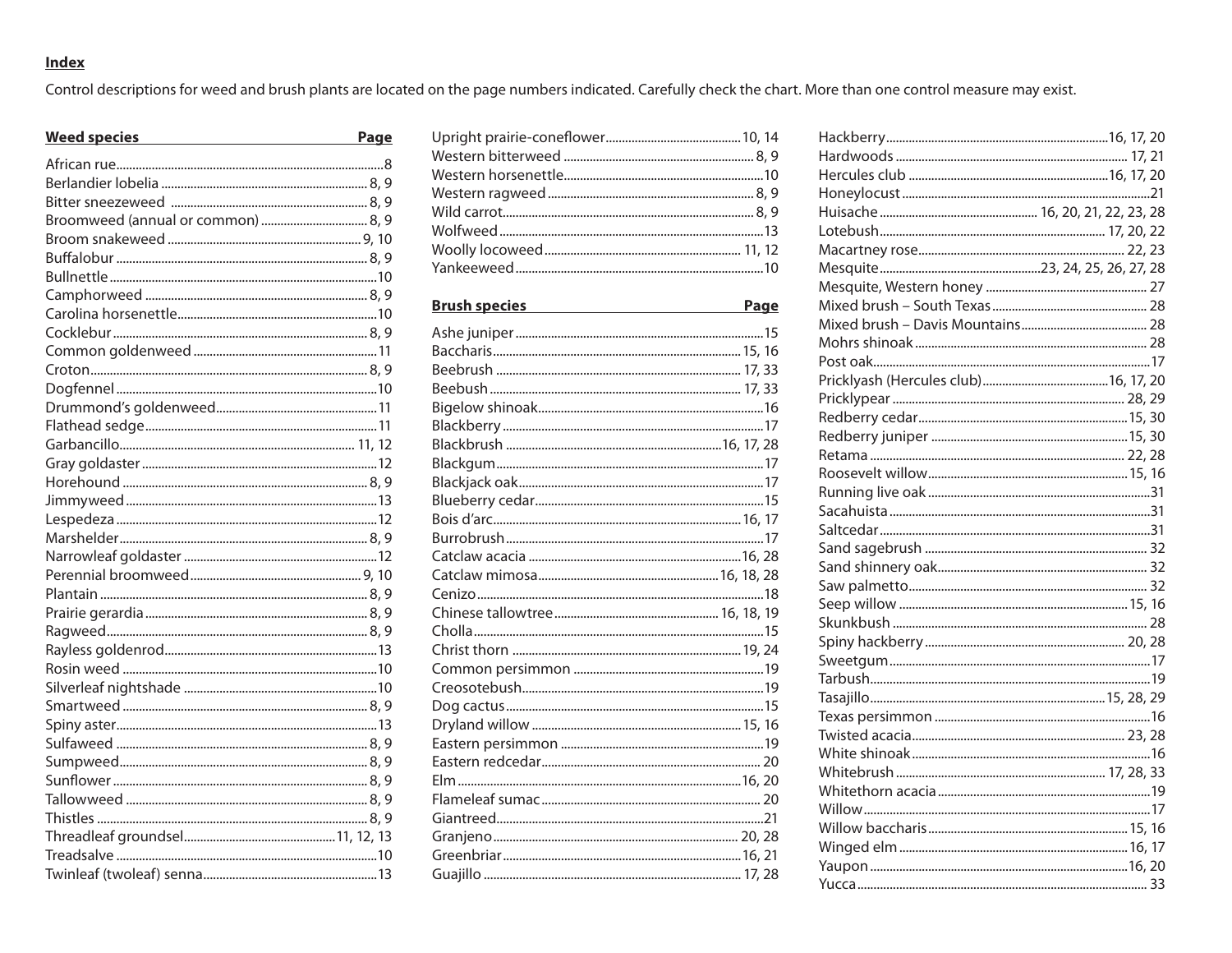#### **Index**

Control descriptions for weed and brush plants are located on the page numbers indicated. Carefully check the chart. More than one control measure may exist.

| <b>Weed species</b><br><u> 1989 - Johann Barbara, martxa alemaniar a</u> | Page |
|--------------------------------------------------------------------------|------|
|                                                                          |      |
|                                                                          |      |
|                                                                          |      |
|                                                                          |      |
|                                                                          |      |
|                                                                          |      |
|                                                                          |      |
|                                                                          |      |
|                                                                          |      |
|                                                                          |      |
|                                                                          |      |
|                                                                          |      |
|                                                                          |      |
|                                                                          |      |
|                                                                          |      |
|                                                                          |      |
|                                                                          |      |
|                                                                          |      |
|                                                                          |      |
|                                                                          |      |
|                                                                          |      |
|                                                                          |      |
|                                                                          |      |
|                                                                          |      |
|                                                                          |      |
|                                                                          |      |
|                                                                          |      |
|                                                                          |      |
|                                                                          |      |
|                                                                          |      |
|                                                                          |      |
|                                                                          |      |
|                                                                          |      |
|                                                                          |      |
|                                                                          |      |
|                                                                          |      |
|                                                                          |      |
|                                                                          |      |
|                                                                          |      |

| <b>Brush species</b><br><u> 1980 - Johann Barbara, martxa alemaniar arg</u> | <b>Page</b> |
|-----------------------------------------------------------------------------|-------------|
|                                                                             |             |
|                                                                             |             |
|                                                                             |             |
|                                                                             |             |
|                                                                             |             |
|                                                                             |             |
|                                                                             |             |
|                                                                             |             |
|                                                                             |             |
|                                                                             |             |
|                                                                             |             |
|                                                                             |             |
|                                                                             |             |
|                                                                             |             |
|                                                                             |             |
|                                                                             |             |
|                                                                             |             |
|                                                                             |             |
|                                                                             |             |
|                                                                             |             |
|                                                                             |             |
|                                                                             |             |
|                                                                             |             |
|                                                                             |             |
|                                                                             |             |
|                                                                             |             |
|                                                                             |             |
|                                                                             |             |
|                                                                             |             |
|                                                                             |             |
|                                                                             |             |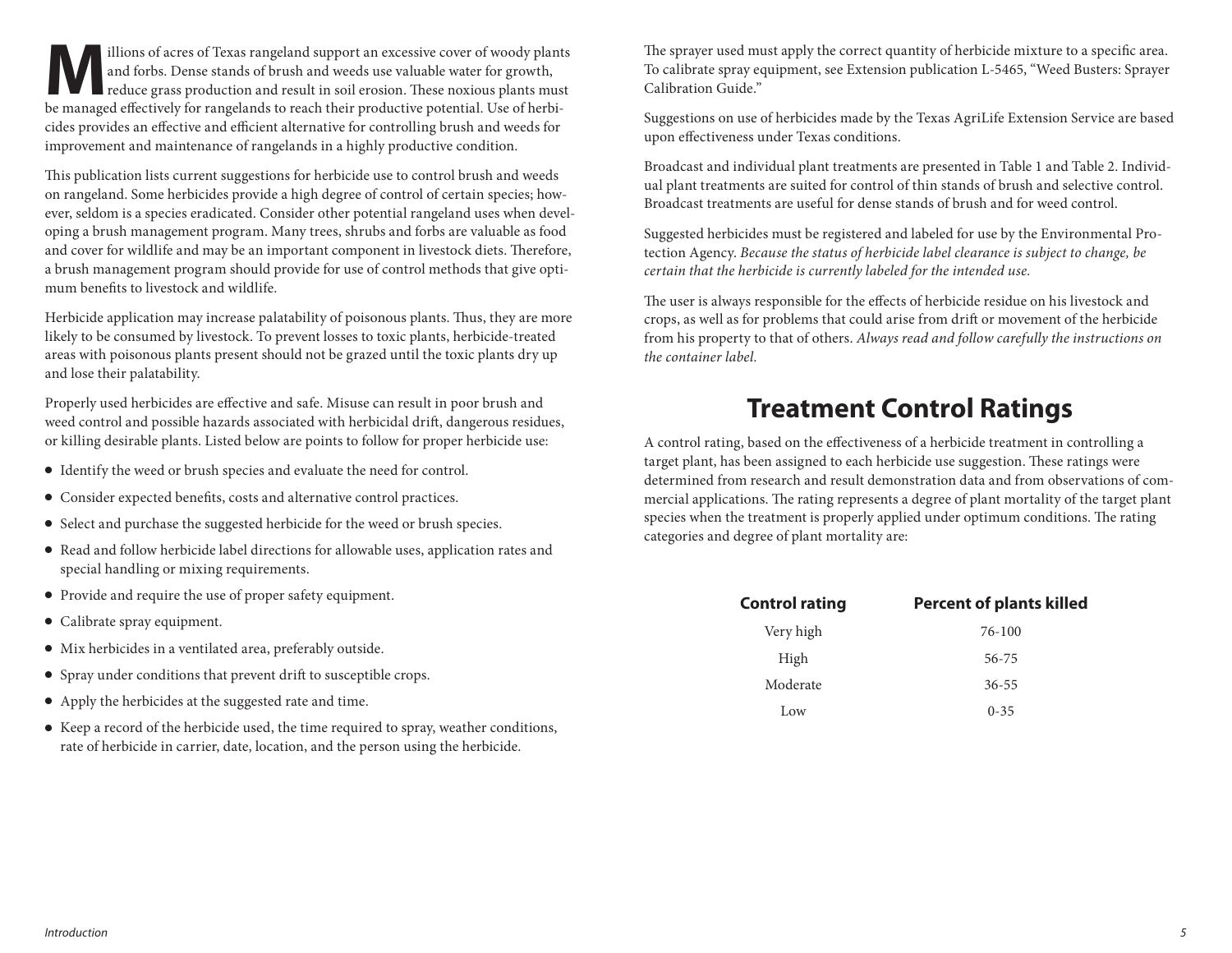illions of acres of Texas rangeland support an excessive cover of woody plants<br>and forbs. Dense stands of brush and weeds use valuable water for growth,<br>reduce grass production and result in soil erosion. These noxious pla and forbs. Dense stands of brush and weeds use valuable water for growth, reduce grass production and result in soil erosion. These noxious plants must be managed effectively for rangelands to reach their productive potential. Use of herbicides provides an effective and efficient alternative for controlling brush and weeds for improvement and maintenance of rangelands in a highly productive condition.

This publication lists current suggestions for herbicide use to control brush and weeds on rangeland. Some herbicides provide a high degree of control of certain species; however, seldom is a species eradicated. Consider other potential rangeland uses when developing a brush management program. Many trees, shrubs and forbs are valuable as food and cover for wildlife and may be an important component in livestock diets. Therefore, a brush management program should provide for use of control methods that give optimum benefits to livestock and wildlife.

Herbicide application may increase palatability of poisonous plants. Thus, they are more likely to be consumed by livestock. To prevent losses to toxic plants, herbicide-treated areas with poisonous plants present should not be grazed until the toxic plants dry up and lose their palatability.

Properly used herbicides are effective and safe. Misuse can result in poor brush and weed control and possible hazards associated with herbicidal drift, dangerous residues, or killing desirable plants. Listed below are points to follow for proper herbicide use:

- Identify the weed or brush species and evaluate the need for control.
- Consider expected benefits, costs and alternative control practices.
- Select and purchase the suggested herbicide for the weed or brush species.
- Read and follow herbicide label directions for allowable uses, application rates and special handling or mixing requirements.
- Provide and require the use of proper safety equipment.
- Calibrate spray equipment.
- Mix herbicides in a ventilated area, preferably outside.
- Spray under conditions that prevent drift to susceptible crops.
- Apply the herbicides at the suggested rate and time.
- Keep a record of the herbicide used, the time required to spray, weather conditions, rate of herbicide in carrier, date, location, and the person using the herbicide.

The sprayer used must apply the correct quantity of herbicide mixture to a specific area. To calibrate spray equipment, see Extension publication L-5465, "Weed Busters: Sprayer Calibration Guide."

Suggestions on use of herbicides made by the Texas AgriLife Extension Service are based upon effectiveness under Texas conditions.

Broadcast and individual plant treatments are presented in Table 1 and Table 2. Individual plant treatments are suited for control of thin stands of brush and selective control. Broadcast treatments are useful for dense stands of brush and for weed control.

Suggested herbicides must be registered and labeled for use by the Environmental Protection Agency. *Because the status of herbicide label clearance is subject to change, be certain that the herbicide is currently labeled for the intended use.* 

The user is always responsible for the effects of herbicide residue on his livestock and crops, as well as for problems that could arise from drift or movement of the herbicide from his property to that of others. *Always read and follow carefully the instructions on the container label.*

#### **Treatment Control Ratings**

A control rating, based on the effectiveness of a herbicide treatment in controlling a target plant, has been assigned to each herbicide use suggestion. These ratings were determined from research and result demonstration data and from observations of commercial applications. The rating represents a degree of plant mortality of the target plant species when the treatment is properly applied under optimum conditions. The rating categories and degree of plant mortality are:

| <b>Control rating</b> | <b>Percent of plants killed</b> |
|-----------------------|---------------------------------|
| Very high             | $76-100$                        |
| High                  | 56-75                           |
| Moderate              | $36 - 55$                       |
| Low                   | $0 - 35$                        |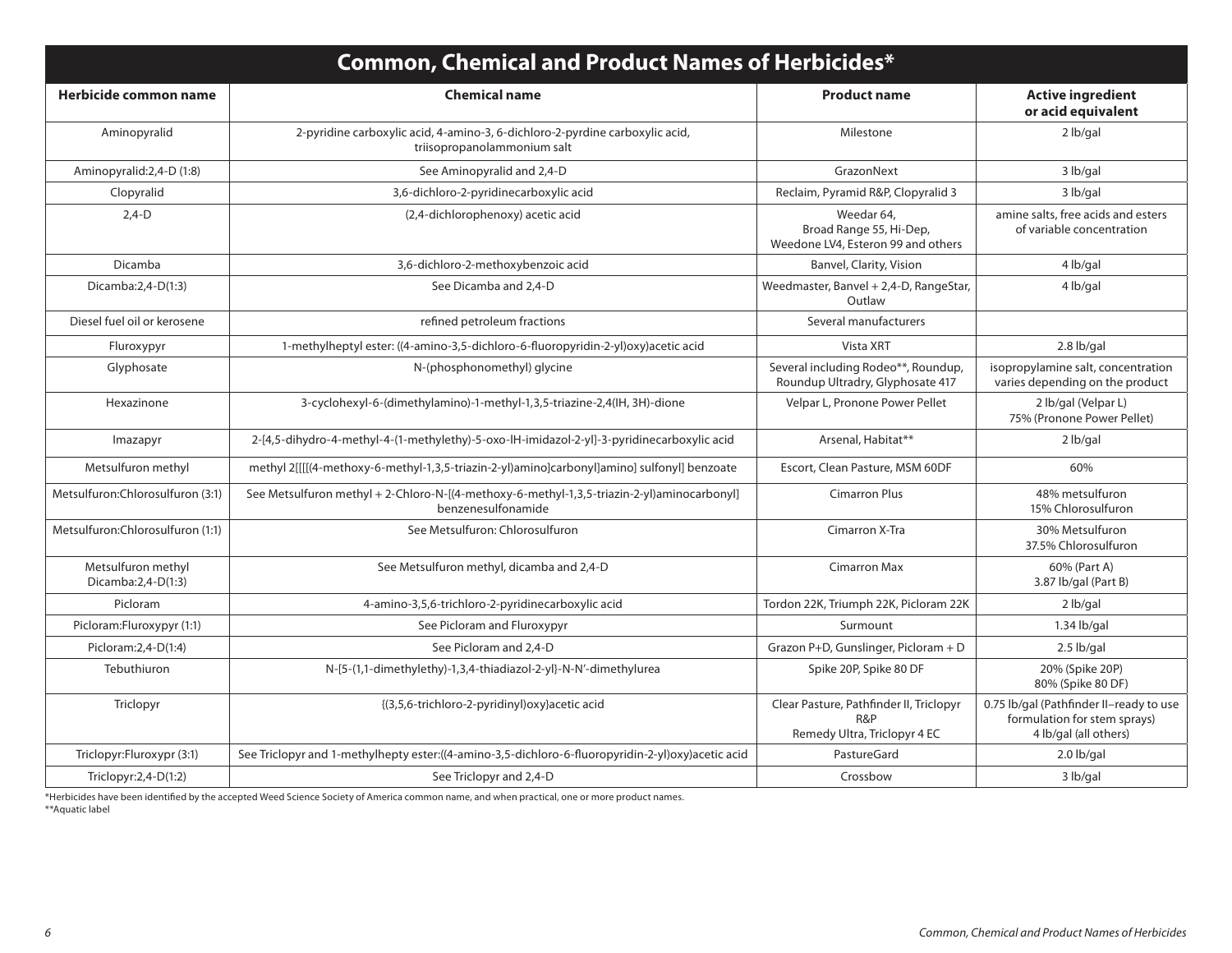| <b>Common, Chemical and Product Names of Herbicides*</b> |                                                                                                                  |                                                                                |                                                                                                  |  |  |  |
|----------------------------------------------------------|------------------------------------------------------------------------------------------------------------------|--------------------------------------------------------------------------------|--------------------------------------------------------------------------------------------------|--|--|--|
| Herbicide common name                                    | <b>Chemical name</b>                                                                                             | <b>Product name</b>                                                            | <b>Active ingredient</b><br>or acid equivalent                                                   |  |  |  |
| Aminopyralid                                             | 2-pyridine carboxylic acid, 4-amino-3, 6-dichloro-2-pyrdine carboxylic acid,<br>triisopropanolammonium salt      | Milestone                                                                      | $2$ lb/gal                                                                                       |  |  |  |
| Aminopyralid: 2, 4-D (1:8)                               | See Aminopyralid and 2,4-D                                                                                       | GrazonNext                                                                     | 3 lb/gal                                                                                         |  |  |  |
| Clopyralid                                               | 3,6-dichloro-2-pyridinecarboxylic acid                                                                           | Reclaim, Pyramid R&P, Clopyralid 3                                             | 3 lb/gal                                                                                         |  |  |  |
| $2,4-D$                                                  | (2,4-dichlorophenoxy) acetic acid                                                                                | Weedar 64,<br>Broad Range 55, Hi-Dep,<br>Weedone LV4, Esteron 99 and others    | amine salts, free acids and esters<br>of variable concentration                                  |  |  |  |
| Dicamba                                                  | 3,6-dichloro-2-methoxybenzoic acid                                                                               | Banvel, Clarity, Vision                                                        | 4 lb/gal                                                                                         |  |  |  |
| Dicamba:2,4-D(1:3)                                       | See Dicamba and 2,4-D                                                                                            | Weedmaster, Banvel + 2,4-D, RangeStar,<br>Outlaw                               | 4 lb/gal                                                                                         |  |  |  |
| Diesel fuel oil or kerosene                              | refined petroleum fractions                                                                                      | Several manufacturers                                                          |                                                                                                  |  |  |  |
| Fluroxypyr                                               | 1-methylheptyl ester: ((4-amino-3,5-dichloro-6-fluoropyridin-2-yl)oxy)acetic acid                                | Vista XRT                                                                      | $2.8$ lb/gal                                                                                     |  |  |  |
| Glyphosate                                               | N-(phosphonomethyl) glycine                                                                                      | Several including Rodeo**, Roundup,<br>Roundup Ultradry, Glyphosate 417        | isopropylamine salt, concentration<br>varies depending on the product                            |  |  |  |
| Hexazinone                                               | 3-cyclohexyl-6-(dimethylamino)-1-methyl-1,3,5-triazine-2,4(IH, 3H)-dione                                         | Velpar L, Pronone Power Pellet                                                 | 2 lb/gal (Velpar L)<br>75% (Pronone Power Pellet)                                                |  |  |  |
| Imazapyr                                                 | 2-[4,5-dihydro-4-methyl-4-(1-methylethy)-5-oxo-lH-imidazol-2-yl]-3-pyridinecarboxylic acid                       | Arsenal, Habitat**                                                             | 2 lb/gal                                                                                         |  |  |  |
| Metsulfuron methyl                                       | methyl 2[[[[(4-methoxy-6-methyl-1,3,5-triazin-2-yl)amino]carbonyl]amino] sulfonyl] benzoate                      | Escort, Clean Pasture, MSM 60DF                                                | 60%                                                                                              |  |  |  |
| Metsulfuron:Chlorosulfuron (3:1)                         | See Metsulfuron methyl + 2-Chloro-N-[(4-methoxy-6-methyl-1,3,5-triazin-2-yl)aminocarbonyl]<br>benzenesulfonamide | <b>Cimarron Plus</b>                                                           | 48% metsulfuron<br>15% Chlorosulfuron                                                            |  |  |  |
| Metsulfuron:Chlorosulfuron (1:1)                         | See Metsulfuron: Chlorosulfuron                                                                                  | Cimarron X-Tra                                                                 | 30% Metsulfuron<br>37.5% Chlorosulfuron                                                          |  |  |  |
| Metsulfuron methyl<br>Dicamba:2,4-D(1:3)                 | See Metsulfuron methyl, dicamba and 2,4-D                                                                        | <b>Cimarron Max</b>                                                            | 60% (Part A)<br>3.87 lb/gal (Part B)                                                             |  |  |  |
| Picloram                                                 | 4-amino-3,5,6-trichloro-2-pyridinecarboxylic acid                                                                | Tordon 22K, Triumph 22K, Picloram 22K                                          | $2$ lb/gal                                                                                       |  |  |  |
| Picloram:Fluroxypyr (1:1)                                | See Picloram and Fluroxypyr                                                                                      | Surmount                                                                       | $1.34$ lb/gal                                                                                    |  |  |  |
| Picloram: 2, 4-D(1:4)                                    | See Picloram and 2,4-D                                                                                           | Grazon P+D, Gunslinger, Picloram + D                                           | 2.5 lb/gal                                                                                       |  |  |  |
| Tebuthiuron                                              | N-[5-(1,1-dimethylethy)-1,3,4-thiadiazol-2-yl}-N-N'-dimethylurea                                                 | Spike 20P, Spike 80 DF                                                         | 20% (Spike 20P)<br>80% (Spike 80 DF)                                                             |  |  |  |
| Triclopyr                                                | {(3,5,6-trichloro-2-pyridinyl)oxy}acetic acid                                                                    | Clear Pasture, Pathfinder II, Triclopyr<br>R&P<br>Remedy Ultra, Triclopyr 4 EC | 0.75 lb/gal (Pathfinder II-ready to use<br>formulation for stem sprays)<br>4 lb/gal (all others) |  |  |  |
| Triclopyr:Fluroxypr (3:1)                                | See Triclopyr and 1-methylhepty ester: ((4-amino-3,5-dichloro-6-fluoropyridin-2-yl)oxy) acetic acid              | PastureGard                                                                    | 2.0 lb/gal                                                                                       |  |  |  |
| Triclopyr:2,4-D(1:2)                                     | See Triclopyr and 2,4-D                                                                                          | Crossbow                                                                       | 3 lb/gal                                                                                         |  |  |  |

\*Herbicides have been identified by the accepted Weed Science Society of America common name, and when practical, one or more product names. \*\*Aquatic label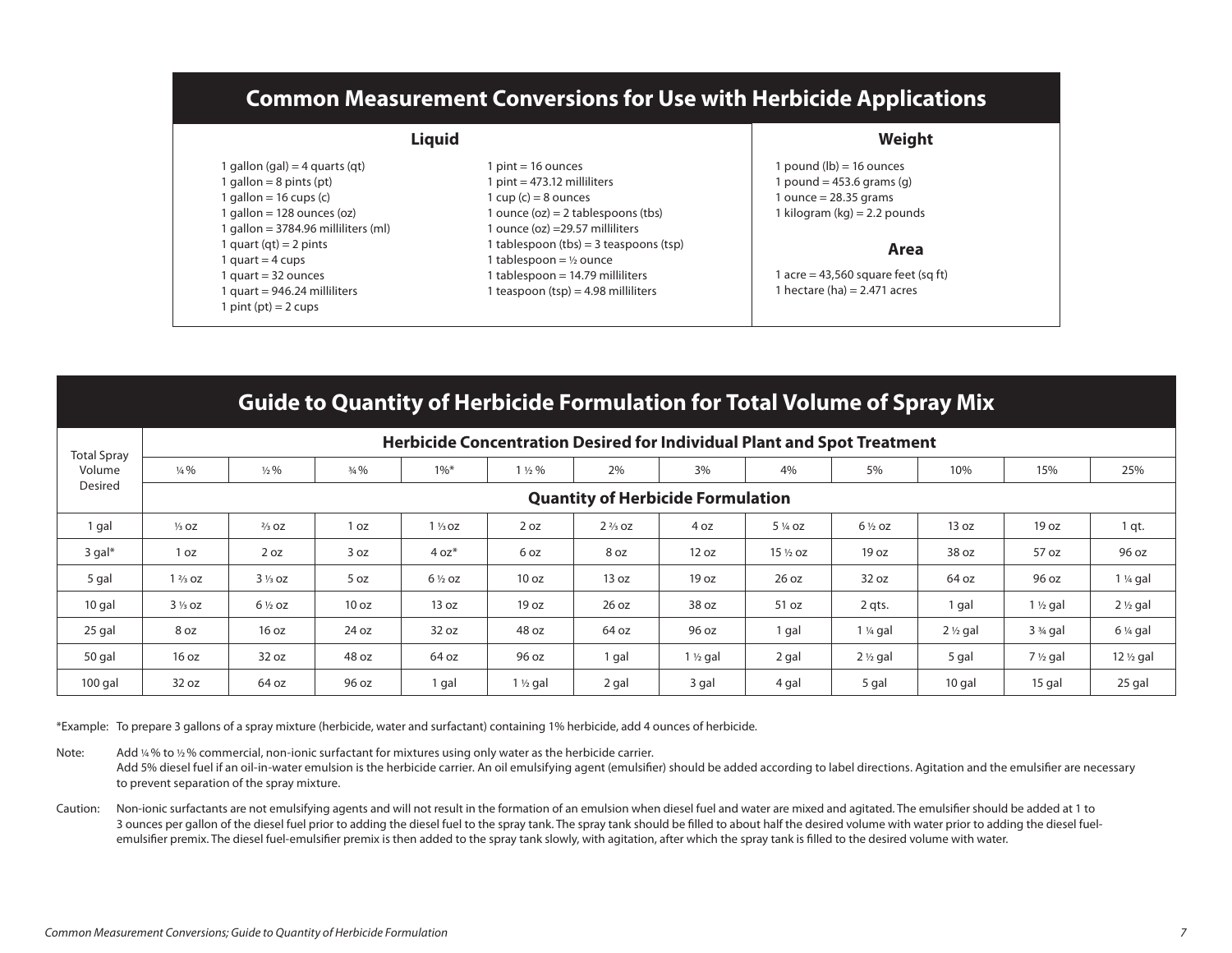## **Common Measurement Conversions for Use with Herbicide Applications**

| <b>Liquid</b>                       | Weight                                 |                                     |  |
|-------------------------------------|----------------------------------------|-------------------------------------|--|
| 1 gallon (gal) = 4 guarts (gt)      | $1$ pint = 16 ounces                   | $p$ pound ( $q$ b) = 16 ounces      |  |
| 1 gallon = $8$ pints (pt)           | $1$ pint = 473.12 milliliters          | pound = $453.6$ grams (g)           |  |
| 1 gallon = $16$ cups (c)            | 1 cup $(c)$ = 8 ounces                 | $\mu$ ounce = 28.35 grams           |  |
| $1$ gallon = 128 ounces (oz)        | 1 ounce $(oz) = 2$ tablespoons (tbs)   | kilogram (kg) = 2.2 pounds          |  |
| 1 gallon = 3784.96 milliliters (ml) | 1 ounce (oz) =29.57 milliliters        |                                     |  |
| 1 quart (qt) = 2 pints              | 1 tablespoon (tbs) = 3 teaspoons (tsp) | Area                                |  |
| 1 quart = $4 \text{ cups}$          | 1 tablespoon = $\frac{1}{2}$ ounce     |                                     |  |
| 1 quart = 32 ounces                 | 1 tablespoon = 14.79 milliliters       | l acre = 43,560 square feet (sq ft) |  |
| $1$ quart = 946.24 milliliters      | 1 teaspoon (tsp) = 4.98 milliliters    | 1 hectare (ha) $= 2.471$ acres      |  |
| $1$ pint (pt) = 2 cups              |                                        |                                     |  |

#### **Guide to Quantity of Herbicide Formulation for Total Volume of Spray Mix**

| <b>Total Spray</b>   | Herbicide Concentration Desired for Individual Plant and Spot Treatment |                                          |                 |                   |                    |                   |                     |                    |                     |                     |                     |                     |
|----------------------|-------------------------------------------------------------------------|------------------------------------------|-----------------|-------------------|--------------------|-------------------|---------------------|--------------------|---------------------|---------------------|---------------------|---------------------|
| Volume               | $\frac{1}{4}$ %                                                         | $\frac{1}{2}$ %                          | $\frac{3}{4}\%$ | $1\%$ *           | $1\frac{1}{2}\%$   | 2%                | 3%                  | 4%                 | 5%                  | 10%                 | 15%                 | 25%                 |
| Desired              |                                                                         | <b>Quantity of Herbicide Formulation</b> |                 |                   |                    |                   |                     |                    |                     |                     |                     |                     |
| 1 gal                | $\frac{1}{3}$ OZ                                                        | $\frac{2}{3}$ OZ                         | 1 oz            | $1\frac{1}{3}$ oz | 2 oz               | $2\frac{2}{3}$ oz | 4 oz                | 5 1/4 OZ           | $6\frac{1}{2}$ oz   | 13 oz               | 19 oz               | 1 qt.               |
| $3$ gal <sup>*</sup> | 1 oz                                                                    | 2 oz                                     | 3 oz            | $4 oz*$           | 6 oz               | 8 oz              | 12 oz               | $15\frac{1}{2}$ oz | 19 oz               | 38 oz               | 57 oz               | 96 oz               |
| 5 gal                | $1\frac{2}{3}$ oz                                                       | $3\frac{1}{3}$ oz                        | 5 oz            | $6\frac{1}{2}$ oz | 10 oz              | 13 oz             | 19 oz               | 26 oz              | 32 oz               | 64 oz               | 96 oz               | 1 ¼ gal             |
| 10 gal               | $3\frac{1}{3}$ oz                                                       | $6\frac{1}{2}$ oz                        | 10 oz           | 13 oz             | 19 oz              | 26 oz             | 38 oz               | 51 oz              | 2 qts.              | 1 gal               | $1 \frac{1}{2}$ gal | $2 \frac{1}{2}$ gal |
| 25 gal               | 8 oz                                                                    | 16 oz                                    | 24 oz           | 32 oz             | 48 oz              | 64 oz             | 96 oz               | 1 gal              | $1\frac{1}{4}$ gal  | $2 \frac{1}{2}$ gal | $33/4$ gal          | $6\%$ gal           |
| 50 gal               | 16 oz                                                                   | 32 oz                                    | 48 oz           | 64 oz             | 96 oz              | 1 gal             | $1 \frac{1}{2}$ gal | 2 gal              | $2 \frac{1}{2}$ gal | 5 gal               | $7\frac{1}{2}$ gal  | 12 1/2 gal          |
| $100$ gal            | 32 oz                                                                   | 64 oz                                    | 96 oz           | 1 gal             | $1\frac{1}{2}$ gal | 2 gal             | 3 gal               | 4 gal              | 5 gal               | 10 gal              | 15 gal              | 25 gal              |

\*Example: To prepare 3 gallons of a spray mixture (herbicide, water and surfactant) containing 1% herbicide, add 4 ounces of herbicide.

Note: Add 14% to 12% commercial, non-ionic surfactant for mixtures using only water as the herbicide carrier. Add 5% diesel fuel if an oil-in-water emulsion is the herbicide carrier. An oil emulsifying agent (emulsifier) should be added according to label directions. Agitation and the emulsifier are necessary to prevent separation of the spray mixture.

Caution: Non-ionic surfactants are not emulsifying agents and will not result in the formation of an emulsion when diesel fuel and water are mixed and agitated. The emulsifier should be added at 1 to 3 ounces per gallon of the diesel fuel prior to adding the diesel fuel to the spray tank. The spray tank should be filled to about half the desired volume with water prior to adding the diesel fuelemulsifier premix. The diesel fuel-emulsifier premix is then added to the spray tank slowly, with agitation, after which the spray tank is filled to the desired volume with water.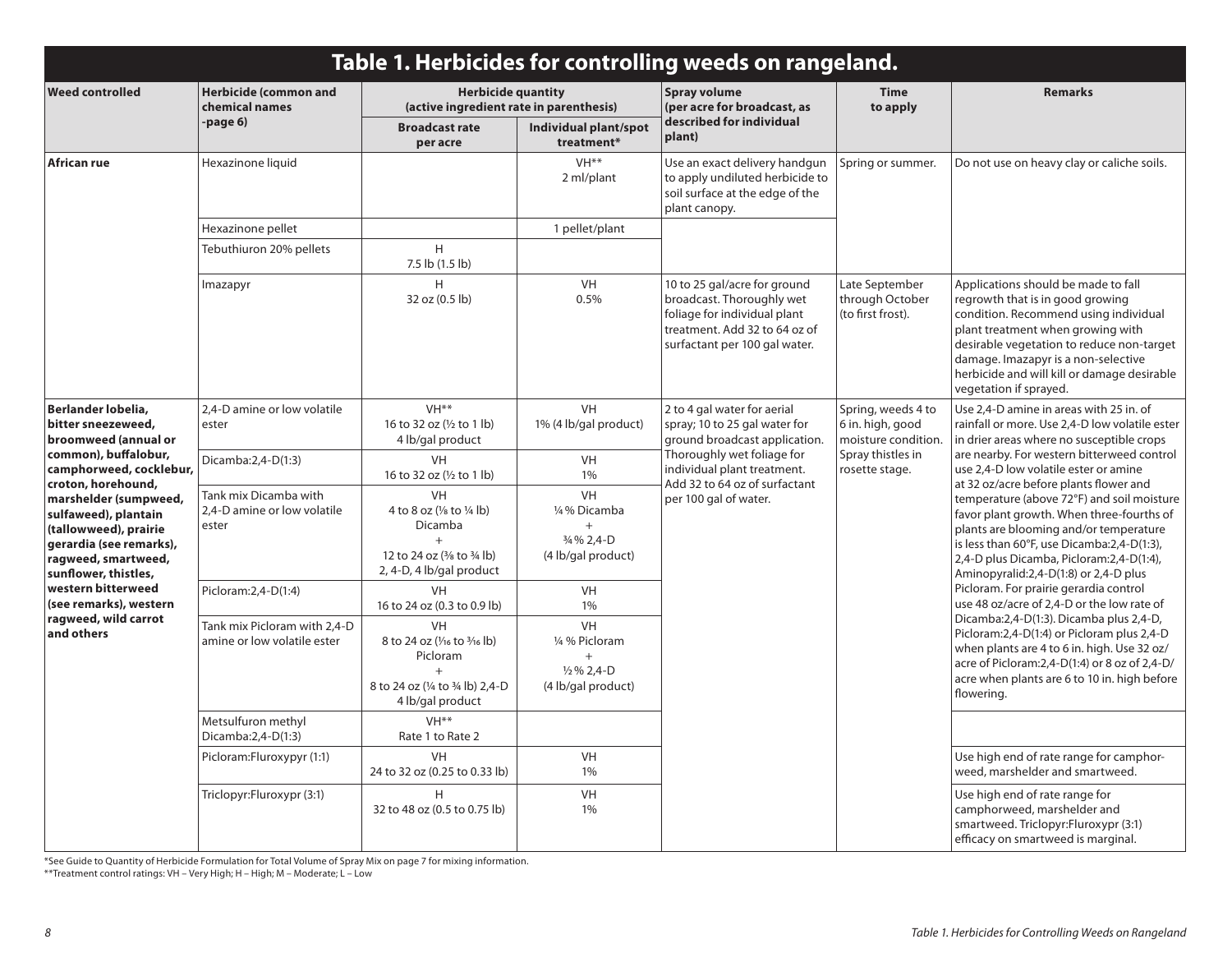|                                                                                                                                                                        | Table 1. Herbicides for controlling weeds on rangeland.       |                                                                                                                                         |                                                                               |                                                                                                                                                                                                                                                                                 |                                                        |                                                                                                                                                                                                                                                                                                                                                                                                                                                                                                                                                 |  |  |
|------------------------------------------------------------------------------------------------------------------------------------------------------------------------|---------------------------------------------------------------|-----------------------------------------------------------------------------------------------------------------------------------------|-------------------------------------------------------------------------------|---------------------------------------------------------------------------------------------------------------------------------------------------------------------------------------------------------------------------------------------------------------------------------|--------------------------------------------------------|-------------------------------------------------------------------------------------------------------------------------------------------------------------------------------------------------------------------------------------------------------------------------------------------------------------------------------------------------------------------------------------------------------------------------------------------------------------------------------------------------------------------------------------------------|--|--|
| <b>Weed controlled</b>                                                                                                                                                 | <b>Herbicide (common and</b><br>chemical names                | <b>Herbicide quantity</b><br>(active ingredient rate in parenthesis)                                                                    |                                                                               | Spray volume<br>(per acre for broadcast, as                                                                                                                                                                                                                                     | <b>Time</b><br>to apply                                | <b>Remarks</b>                                                                                                                                                                                                                                                                                                                                                                                                                                                                                                                                  |  |  |
|                                                                                                                                                                        | -page 6)                                                      | <b>Broadcast rate</b><br>per acre                                                                                                       | Individual plant/spot<br>treatment*                                           | described for individual<br>plant)                                                                                                                                                                                                                                              |                                                        |                                                                                                                                                                                                                                                                                                                                                                                                                                                                                                                                                 |  |  |
| African rue                                                                                                                                                            | Hexazinone liquid                                             |                                                                                                                                         | VH <sup>**</sup><br>2 ml/plant                                                | Use an exact delivery handgun<br>to apply undiluted herbicide to<br>soil surface at the edge of the<br>plant canopy.                                                                                                                                                            | Spring or summer.                                      | Do not use on heavy clay or caliche soils.                                                                                                                                                                                                                                                                                                                                                                                                                                                                                                      |  |  |
|                                                                                                                                                                        | Hexazinone pellet                                             |                                                                                                                                         | 1 pellet/plant                                                                |                                                                                                                                                                                                                                                                                 |                                                        |                                                                                                                                                                                                                                                                                                                                                                                                                                                                                                                                                 |  |  |
|                                                                                                                                                                        | Tebuthiuron 20% pellets                                       | H<br>7.5 lb (1.5 lb)                                                                                                                    |                                                                               |                                                                                                                                                                                                                                                                                 |                                                        |                                                                                                                                                                                                                                                                                                                                                                                                                                                                                                                                                 |  |  |
|                                                                                                                                                                        | Imazapyr                                                      | H<br>32 oz (0.5 lb)                                                                                                                     | <b>VH</b><br>0.5%                                                             | 10 to 25 gal/acre for ground<br>broadcast. Thoroughly wet<br>foliage for individual plant<br>treatment. Add 32 to 64 oz of<br>surfactant per 100 gal water.                                                                                                                     | Late September<br>through October<br>(to first frost). | Applications should be made to fall<br>regrowth that is in good growing<br>condition. Recommend using individual<br>plant treatment when growing with<br>desirable vegetation to reduce non-target<br>damage. Imazapyr is a non-selective<br>herbicide and will kill or damage desirable<br>vegetation if sprayed.                                                                                                                                                                                                                              |  |  |
| Berlander lobelia,<br>bitter sneezeweed,<br>broomweed (annual or                                                                                                       | 2.4-D amine or low volatile<br>ester                          | VH <sup>**</sup><br>16 to 32 oz (1/2 to 1 lb)<br>4 lb/gal product                                                                       | <b>VH</b><br>1% (4 lb/gal product)                                            | 2 to 4 gal water for aerial<br>spray; 10 to 25 gal water for<br>6 in. high, good<br>ground broadcast application.<br>Thoroughly wet foliage for<br>Spray thistles in<br>individual plant treatment.<br>rosette stage.<br>Add 32 to 64 oz of surfactant<br>per 100 gal of water. | Spring, weeds 4 to<br>moisture condition.              | Use 2,4-D amine in areas with 25 in. of<br>rainfall or more. Use 2,4-D low volatile ester<br>in drier areas where no susceptible crops<br>are nearby. For western bitterweed control<br>use 2.4-D low volatile ester or amine<br>at 32 oz/acre before plants flower and<br>temperature (above 72°F) and soil moisture<br>favor plant growth. When three-fourths of<br>plants are blooming and/or temperature<br>is less than 60°F, use Dicamba:2,4-D(1:3),<br>2,4-D plus Dicamba, Picloram:2,4-D(1:4),<br>Aminopyralid:2,4-D(1:8) or 2,4-D plus |  |  |
| common), buffalobur,<br>camphorweed, cocklebur,                                                                                                                        | Dicamba: 2, 4-D(1:3)                                          | <b>VH</b><br>16 to 32 oz (1/2 to 1 lb)                                                                                                  | <b>VH</b><br>1%                                                               |                                                                                                                                                                                                                                                                                 |                                                        |                                                                                                                                                                                                                                                                                                                                                                                                                                                                                                                                                 |  |  |
| croton, horehound,<br>marshelder (sumpweed,<br>sulfaweed), plantain<br>(tallowweed), prairie<br>gerardia (see remarks),<br>ragweed, smartweed,<br>sunflower, thistles, | Tank mix Dicamba with<br>2.4-D amine or low volatile<br>ester | <b>VH</b><br>4 to 8 oz $(\frac{1}{8}$ to $\frac{1}{4}$ lb)<br>Dicamba<br>$+$<br>12 to 24 oz (3/8 to 3/4 lb)<br>2, 4-D, 4 lb/gal product | <b>VH</b><br>1/4% Dicamba<br>$+$<br>3/4 % 2,4-D<br>(4 lb/gal product)         |                                                                                                                                                                                                                                                                                 |                                                        |                                                                                                                                                                                                                                                                                                                                                                                                                                                                                                                                                 |  |  |
| western bitterweed<br>(see remarks), western                                                                                                                           | Picloram: 2,4-D(1:4)                                          | <b>VH</b><br>16 to 24 oz (0.3 to 0.9 lb)                                                                                                | <b>VH</b><br>1%                                                               |                                                                                                                                                                                                                                                                                 |                                                        | Picloram. For prairie gerardia control<br>use 48 oz/acre of 2,4-D or the low rate of                                                                                                                                                                                                                                                                                                                                                                                                                                                            |  |  |
| ragweed, wild carrot<br>and others                                                                                                                                     | Tank mix Picloram with 2,4-D<br>amine or low volatile ester   | VH<br>8 to 24 oz (1/16 to 3/16 lb)<br>Picloram<br>$+$<br>8 to 24 oz (1/4 to 3/4 lb) 2,4-D<br>4 lb/gal product                           | VH<br>1/4 % Picloram<br>$^{+}$<br>$\frac{1}{2}\%$ 2.4-D<br>(4 lb/gal product) |                                                                                                                                                                                                                                                                                 |                                                        | Dicamba:2,4-D(1:3). Dicamba plus 2,4-D,<br>Picloram:2,4-D(1:4) or Picloram plus 2,4-D<br>when plants are 4 to 6 in. high. Use 32 oz/<br>acre of Picloram: 2, 4-D(1:4) or 8 oz of 2, 4-D/<br>acre when plants are 6 to 10 in. high before<br>flowering.                                                                                                                                                                                                                                                                                          |  |  |
|                                                                                                                                                                        | Metsulfuron methyl<br>Dicamba: 2, 4-D(1:3)                    | VH <sup>**</sup><br>Rate 1 to Rate 2                                                                                                    |                                                                               |                                                                                                                                                                                                                                                                                 |                                                        |                                                                                                                                                                                                                                                                                                                                                                                                                                                                                                                                                 |  |  |
|                                                                                                                                                                        | Picloram:Fluroxypyr (1:1)                                     | <b>VH</b><br>24 to 32 oz (0.25 to 0.33 lb)                                                                                              | <b>VH</b><br>1%                                                               |                                                                                                                                                                                                                                                                                 |                                                        | Use high end of rate range for camphor-<br>weed, marshelder and smartweed.                                                                                                                                                                                                                                                                                                                                                                                                                                                                      |  |  |
|                                                                                                                                                                        | Triclopyr:Fluroxypr (3:1)                                     | H<br>32 to 48 oz (0.5 to 0.75 lb)                                                                                                       | <b>VH</b><br>1%                                                               |                                                                                                                                                                                                                                                                                 |                                                        | Use high end of rate range for<br>camphorweed, marshelder and<br>smartweed. Triclopyr: Fluroxypr (3:1)<br>efficacy on smartweed is marginal.                                                                                                                                                                                                                                                                                                                                                                                                    |  |  |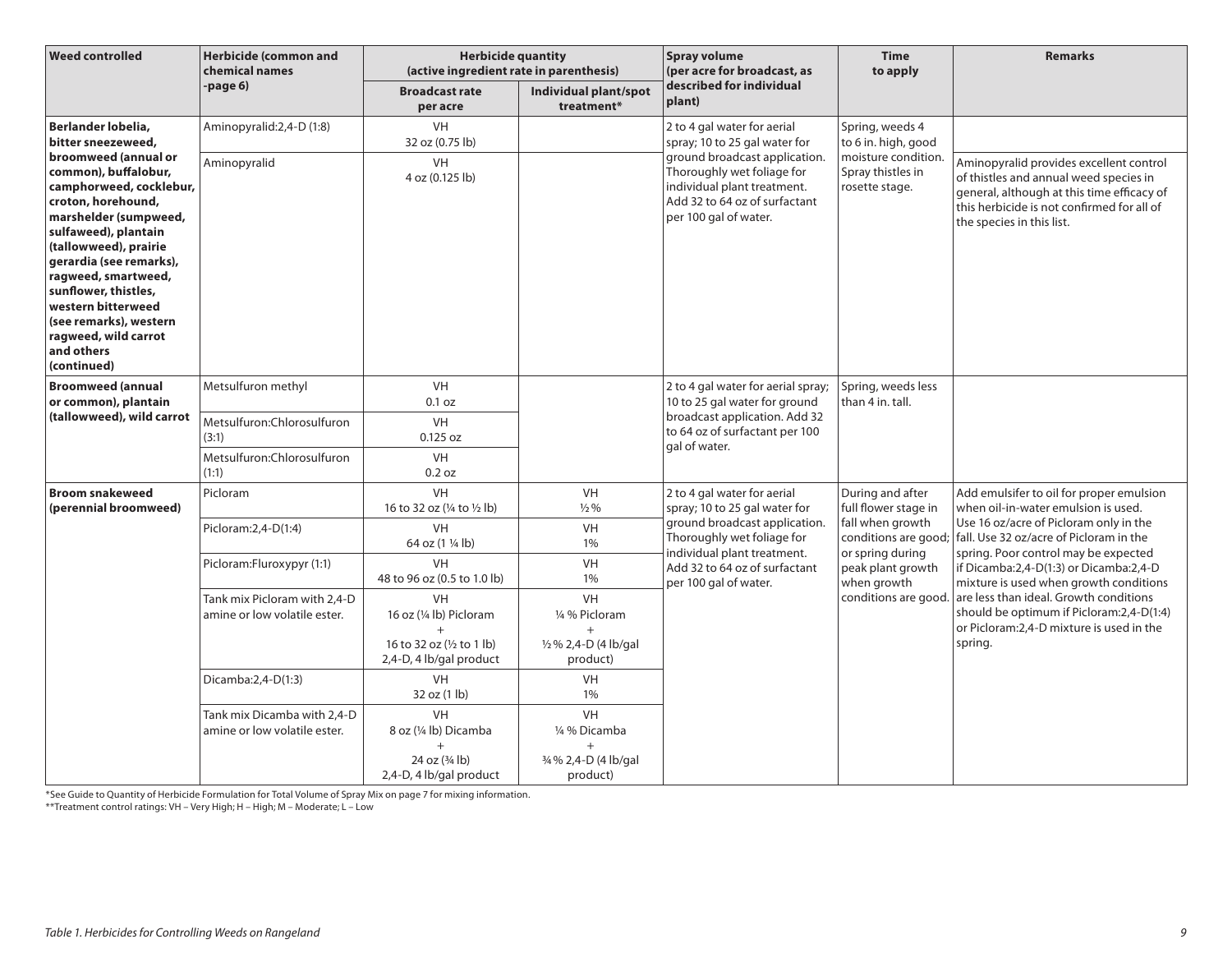| <b>Weed controlled</b>                                                                                                                                                                                                                                                                                                                                                                             | <b>Herbicide (common and</b><br>chemical names               | <b>Herbicide quantity</b><br>(active ingredient rate in parenthesis)                      |                                                                 | <b>Spray volume</b><br>(per acre for broadcast, as                                                                                                      | <b>Time</b><br>to apply                                                                                                                                              | <b>Remarks</b>                                                                                                                                                                                                                                                                                                                                                                                                                                  |
|----------------------------------------------------------------------------------------------------------------------------------------------------------------------------------------------------------------------------------------------------------------------------------------------------------------------------------------------------------------------------------------------------|--------------------------------------------------------------|-------------------------------------------------------------------------------------------|-----------------------------------------------------------------|---------------------------------------------------------------------------------------------------------------------------------------------------------|----------------------------------------------------------------------------------------------------------------------------------------------------------------------|-------------------------------------------------------------------------------------------------------------------------------------------------------------------------------------------------------------------------------------------------------------------------------------------------------------------------------------------------------------------------------------------------------------------------------------------------|
|                                                                                                                                                                                                                                                                                                                                                                                                    | -page 6)                                                     | <b>Broadcast rate</b><br>per acre                                                         | Individual plant/spot<br>treatment*                             | described for individual<br>plant)                                                                                                                      |                                                                                                                                                                      |                                                                                                                                                                                                                                                                                                                                                                                                                                                 |
| Berlander lobelia,<br>bitter sneezeweed,<br>broomweed (annual or<br>common), buffalobur,<br>camphorweed, cocklebur,<br>croton, horehound,<br>marshelder (sumpweed,<br>sulfaweed), plantain<br>(tallowweed), prairie<br>gerardia (see remarks),<br>ragweed, smartweed,<br>sunflower, thistles,<br>western bitterweed<br>(see remarks), western<br>ragweed, wild carrot<br>and others<br>(continued) | Aminopyralid: 2, 4-D (1:8)                                   | VH<br>32 oz (0.75 lb)                                                                     |                                                                 | 2 to 4 gal water for aerial<br>spray; 10 to 25 gal water for                                                                                            | Spring, weeds 4<br>to 6 in. high, good                                                                                                                               |                                                                                                                                                                                                                                                                                                                                                                                                                                                 |
|                                                                                                                                                                                                                                                                                                                                                                                                    | Aminopyralid                                                 | VH<br>4 oz (0.125 lb)                                                                     |                                                                 | ground broadcast application.<br>Thoroughly wet foliage for<br>individual plant treatment.<br>Add 32 to 64 oz of surfactant<br>per 100 gal of water.    | moisture condition.<br>Spray thistles in<br>rosette stage.                                                                                                           | Aminopyralid provides excellent control<br>of thistles and annual weed species in<br>general, although at this time efficacy of<br>this herbicide is not confirmed for all of<br>the species in this list.                                                                                                                                                                                                                                      |
| <b>Broomweed (annual</b><br>or common), plantain<br>(tallowweed), wild carrot                                                                                                                                                                                                                                                                                                                      | Metsulfuron methyl                                           | <b>VH</b><br>0.1 oz                                                                       |                                                                 | 2 to 4 gal water for aerial spray;<br>10 to 25 gal water for ground<br>broadcast application. Add 32<br>to 64 oz of surfactant per 100<br>gal of water. | Spring, weeds less<br>than 4 in. tall.                                                                                                                               |                                                                                                                                                                                                                                                                                                                                                                                                                                                 |
|                                                                                                                                                                                                                                                                                                                                                                                                    | Metsulfuron: Chlorosulfuron<br>(3:1)                         | VH<br>$0.125$ oz                                                                          |                                                                 |                                                                                                                                                         |                                                                                                                                                                      |                                                                                                                                                                                                                                                                                                                                                                                                                                                 |
|                                                                                                                                                                                                                                                                                                                                                                                                    | Metsulfuron: Chlorosulfuron<br>(1:1)                         | <b>VH</b><br>0.2 oz                                                                       |                                                                 |                                                                                                                                                         |                                                                                                                                                                      |                                                                                                                                                                                                                                                                                                                                                                                                                                                 |
| <b>Broom snakeweed</b><br>(perennial broomweed)                                                                                                                                                                                                                                                                                                                                                    | Picloram                                                     | <b>VH</b><br>16 to 32 oz (¼ to ½ lb)                                                      | <b>VH</b><br>$\frac{1}{2}$ %                                    | 2 to 4 gal water for aerial<br>spray; 10 to 25 gal water for<br>ground broadcast application.<br>Thoroughly wet foliage for                             | During and after<br>full flower stage in<br>fall when growth<br>conditions are good;<br>or spring during<br>peak plant growth<br>when growth<br>conditions are good. | Add emulsifer to oil for proper emulsion<br>when oil-in-water emulsion is used.<br>Use 16 oz/acre of Picloram only in the<br>fall. Use 32 oz/acre of Picloram in the<br>spring. Poor control may be expected<br>if Dicamba:2,4-D(1:3) or Dicamba:2,4-D<br>mixture is used when growth conditions<br>are less than ideal. Growth conditions<br>should be optimum if Picloram:2,4-D(1:4)<br>or Picloram: 2, 4-D mixture is used in the<br>spring. |
|                                                                                                                                                                                                                                                                                                                                                                                                    | Picloram: 2, 4-D(1: 4)                                       | VH<br>64 oz (1 1/4 lb)                                                                    | VH<br>$1\%$                                                     |                                                                                                                                                         |                                                                                                                                                                      |                                                                                                                                                                                                                                                                                                                                                                                                                                                 |
|                                                                                                                                                                                                                                                                                                                                                                                                    | Picloram:Fluroxypyr (1:1)                                    | VH<br>48 to 96 oz (0.5 to 1.0 lb)                                                         | VH<br>1%                                                        | individual plant treatment.<br>Add 32 to 64 oz of surfactant<br>per 100 gal of water.                                                                   |                                                                                                                                                                      |                                                                                                                                                                                                                                                                                                                                                                                                                                                 |
|                                                                                                                                                                                                                                                                                                                                                                                                    | Tank mix Picloram with 2.4-D<br>amine or low volatile ester. | <b>VH</b><br>16 oz (1/4 lb) Picloram<br>$\ddot{}$<br>16 to 32 oz $(\frac{1}{2})$ to 1 lb) | VH<br>1/4 % Picloram<br>1/2 % 2,4-D (4 lb/gal                   |                                                                                                                                                         |                                                                                                                                                                      |                                                                                                                                                                                                                                                                                                                                                                                                                                                 |
|                                                                                                                                                                                                                                                                                                                                                                                                    |                                                              | 2,4-D, 4 lb/gal product                                                                   | product)                                                        |                                                                                                                                                         |                                                                                                                                                                      |                                                                                                                                                                                                                                                                                                                                                                                                                                                 |
|                                                                                                                                                                                                                                                                                                                                                                                                    | Dicamba:2,4-D(1:3)                                           | VH<br>32 oz (1 lb)                                                                        | VH<br>1%                                                        |                                                                                                                                                         |                                                                                                                                                                      |                                                                                                                                                                                                                                                                                                                                                                                                                                                 |
|                                                                                                                                                                                                                                                                                                                                                                                                    | Tank mix Dicamba with 2,4-D<br>amine or low volatile ester.  | VH<br>8 oz (1/4 lb) Dicamba<br>$^{+}$<br>24 oz $(3/4)$ lb)<br>2,4-D, 4 lb/gal product     | VH<br>1/4 % Dicamba<br>$+$<br>3/4 % 2,4-D (4 lb/gal<br>product) |                                                                                                                                                         |                                                                                                                                                                      |                                                                                                                                                                                                                                                                                                                                                                                                                                                 |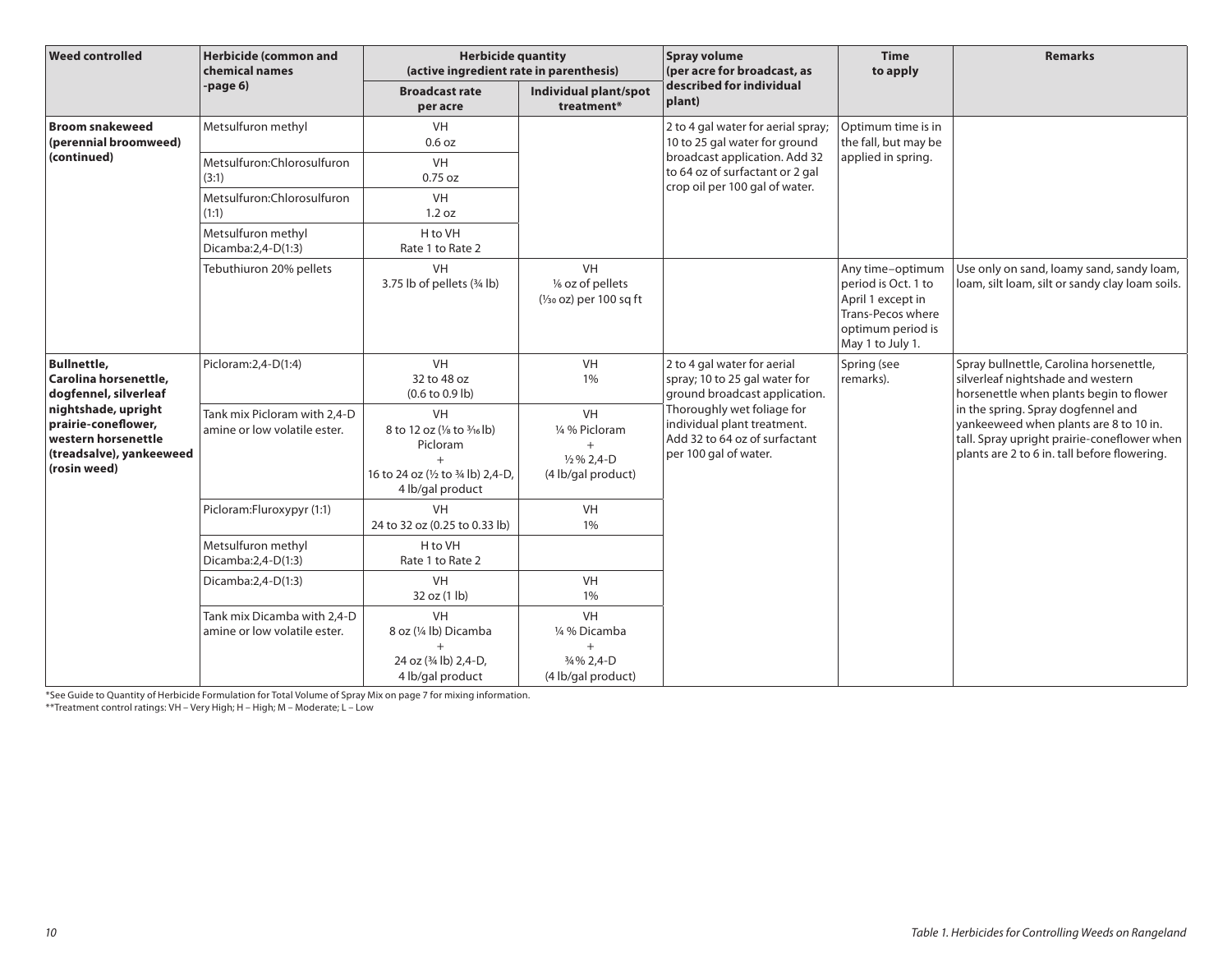| <b>Weed controlled</b>                                                                                        | <b>Herbicide (common and</b><br>chemical names               | <b>Herbicide quantity</b><br>(active ingredient rate in parenthesis)                                                        |                                                                            | <b>Spray volume</b><br>(per acre for broadcast, as                                                                  | <b>Time</b><br>to apply                                                                                                    | <b>Remarks</b>                                                                                                                                                              |
|---------------------------------------------------------------------------------------------------------------|--------------------------------------------------------------|-----------------------------------------------------------------------------------------------------------------------------|----------------------------------------------------------------------------|---------------------------------------------------------------------------------------------------------------------|----------------------------------------------------------------------------------------------------------------------------|-----------------------------------------------------------------------------------------------------------------------------------------------------------------------------|
|                                                                                                               | $-page6$                                                     | <b>Broadcast rate</b><br>per acre                                                                                           | Individual plant/spot<br>treatment*                                        | described for individual<br>plant)                                                                                  |                                                                                                                            |                                                                                                                                                                             |
| <b>Broom snakeweed</b><br>(perennial broomweed)<br>(continued)                                                | Metsulfuron methyl                                           | <b>VH</b><br>0.6 oz                                                                                                         |                                                                            | 2 to 4 gal water for aerial spray;<br>10 to 25 gal water for ground                                                 | Optimum time is in<br>the fall, but may be                                                                                 |                                                                                                                                                                             |
|                                                                                                               | Metsulfuron:Chlorosulfuron<br>(3:1)                          | <b>VH</b><br>$0.75$ oz                                                                                                      |                                                                            | broadcast application. Add 32<br>to 64 oz of surfactant or 2 gal<br>crop oil per 100 gal of water.                  | applied in spring.                                                                                                         |                                                                                                                                                                             |
|                                                                                                               | Metsulfuron:Chlorosulfuron<br>(1:1)                          | <b>VH</b><br>1.2 oz                                                                                                         |                                                                            |                                                                                                                     |                                                                                                                            |                                                                                                                                                                             |
|                                                                                                               | Metsulfuron methyl<br>Dicamba:2,4-D(1:3)                     | H to VH<br>Rate 1 to Rate 2                                                                                                 |                                                                            |                                                                                                                     |                                                                                                                            |                                                                                                                                                                             |
|                                                                                                               | Tebuthiuron 20% pellets                                      | <b>VH</b><br>3.75 lb of pellets (3/4 lb)                                                                                    | VH<br>1/6 oz of pellets<br>$(\frac{1}{30}$ oz) per 100 sq ft               |                                                                                                                     | Any time-optimum<br>period is Oct. 1 to<br>April 1 except in<br>Trans-Pecos where<br>optimum period is<br>May 1 to July 1. | Use only on sand, loamy sand, sandy loam,<br>loam, silt loam, silt or sandy clay loam soils.                                                                                |
| <b>Bullnettle,</b><br>Carolina horsenettle,<br>dogfennel, silverleaf                                          | Picloram: 2, 4-D(1:4)                                        | <b>VH</b><br>32 to 48 oz<br>$(0.6 \text{ to } 0.9 \text{ lb})$                                                              | <b>VH</b><br>1%                                                            | 2 to 4 gal water for aerial<br>spray; 10 to 25 gal water for<br>ground broadcast application.                       | Spring (see<br>remarks).                                                                                                   | Spray bullnettle, Carolina horsenettle,<br>silverleaf nightshade and western<br>horsenettle when plants begin to flower                                                     |
| nightshade, upright<br>prairie-coneflower,<br>western horsenettle<br>(treadsalve), yankeeweed<br>(rosin weed) | Tank mix Picloram with 2,4-D<br>amine or low volatile ester. | <b>VH</b><br>8 to 12 oz (1/8 to 3/16 lb)<br>Picloram<br>$\ddot{}$<br>16 to 24 oz (1/2 to 3/4 lb) 2,4-D,<br>4 lb/gal product | <b>VH</b><br>1/4 % Picloram<br>$\frac{1}{2}$ % 2,4-D<br>(4 lb/gal product) | Thoroughly wet foliage for<br>individual plant treatment.<br>Add 32 to 64 oz of surfactant<br>per 100 gal of water. |                                                                                                                            | in the spring. Spray dogfennel and<br>yankeeweed when plants are 8 to 10 in.<br>tall. Spray upright prairie-coneflower when<br>plants are 2 to 6 in. tall before flowering. |
|                                                                                                               | Picloram:Fluroxypyr (1:1)                                    | <b>VH</b><br>24 to 32 oz (0.25 to 0.33 lb)                                                                                  | VH<br>1%                                                                   |                                                                                                                     |                                                                                                                            |                                                                                                                                                                             |
|                                                                                                               | Metsulfuron methyl<br>Dicamba: 2, 4-D(1:3)                   | H to VH<br>Rate 1 to Rate 2                                                                                                 |                                                                            |                                                                                                                     |                                                                                                                            |                                                                                                                                                                             |
|                                                                                                               | Dicamba: 2, 4-D(1:3)                                         | <b>VH</b><br>32 oz (1 lb)                                                                                                   | <b>VH</b><br>1%                                                            |                                                                                                                     |                                                                                                                            |                                                                                                                                                                             |
|                                                                                                               | Tank mix Dicamba with 2,4-D<br>amine or low volatile ester.  | VH<br>8 oz (1/4 lb) Dicamba<br>$^{+}$                                                                                       | <b>VH</b><br>1/4 % Dicamba<br>$+$                                          |                                                                                                                     |                                                                                                                            |                                                                                                                                                                             |
|                                                                                                               |                                                              | 24 oz (3/4 lb) 2,4-D,<br>4 lb/gal product                                                                                   | 3/4 % 2,4-D<br>(4 lb/gal product)                                          |                                                                                                                     |                                                                                                                            |                                                                                                                                                                             |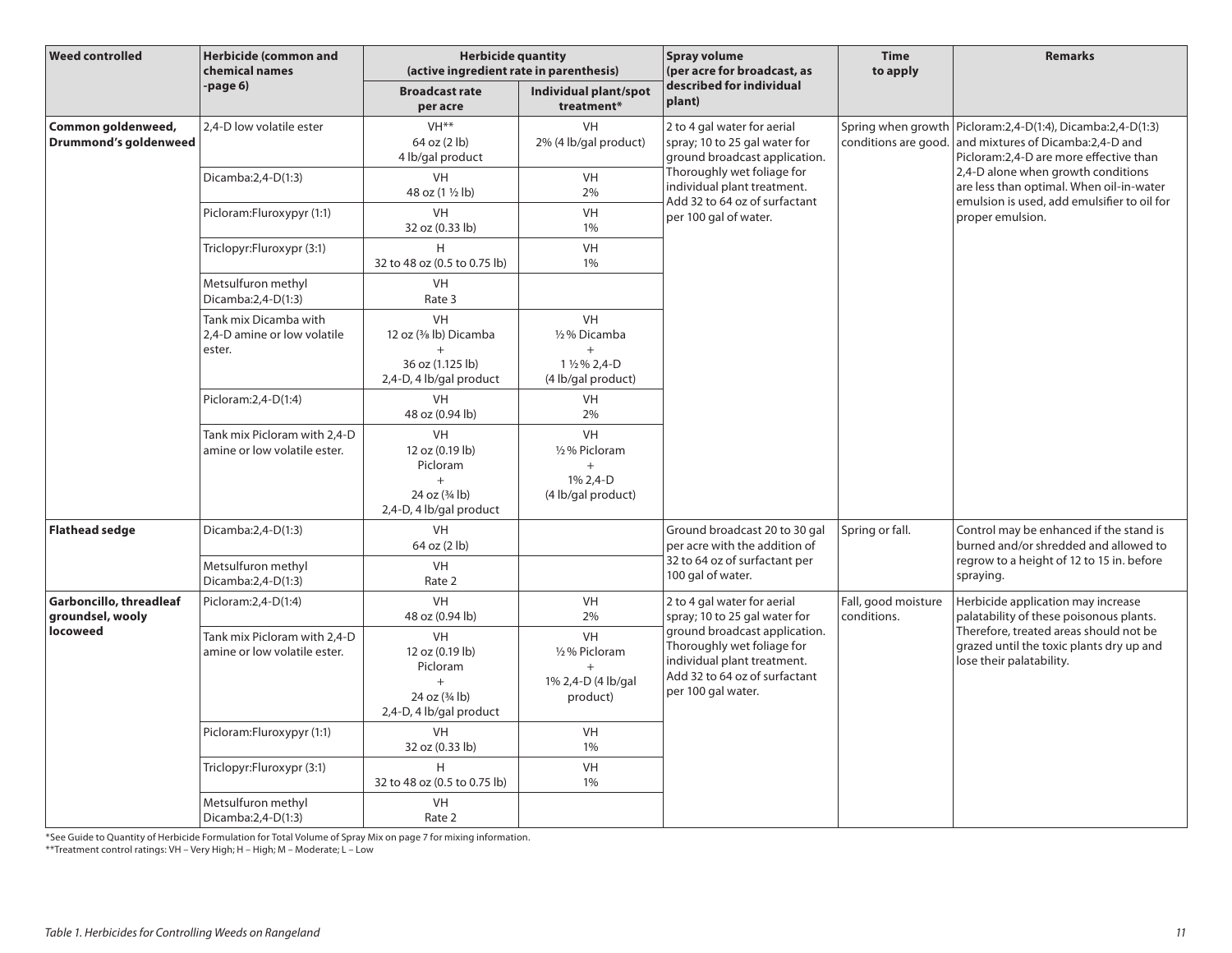| <b>Weed controlled</b>                             | <b>Herbicide (common and</b><br>chemical names                 | <b>Herbicide quantity</b><br>(active ingredient rate in parenthesis)                            |                                                                            | <b>Spray volume</b><br>(per acre for broadcast, as                                                                                                | <b>Time</b><br>to apply            | <b>Remarks</b>                                                                                                                                                                                                                                                                                          |
|----------------------------------------------------|----------------------------------------------------------------|-------------------------------------------------------------------------------------------------|----------------------------------------------------------------------------|---------------------------------------------------------------------------------------------------------------------------------------------------|------------------------------------|---------------------------------------------------------------------------------------------------------------------------------------------------------------------------------------------------------------------------------------------------------------------------------------------------------|
|                                                    | -page 6)                                                       | <b>Broadcast rate</b><br>per acre                                                               | Individual plant/spot<br>treatment*                                        | described for individual<br>plant)                                                                                                                |                                    |                                                                                                                                                                                                                                                                                                         |
| Common goldenweed,<br><b>Drummond's goldenweed</b> | 2,4-D low volatile ester                                       | VH <sup>**</sup><br>64 oz (2 lb)<br>4 lb/gal product                                            | <b>VH</b><br>2% (4 lb/gal product)                                         | 2 to 4 gal water for aerial<br>spray; 10 to 25 gal water for<br>ground broadcast application.                                                     |                                    | Spring when growth   Picloram: 2, 4-D(1:4), Dicamba: 2, 4-D(1:3)<br>conditions are good. and mixtures of Dicamba:2,4-D and<br>Picloram: 2, 4-D are more effective than<br>2,4-D alone when growth conditions<br>are less than optimal. When oil-in-water<br>emulsion is used, add emulsifier to oil for |
|                                                    | Dicamba: 2, 4-D(1:3)                                           | VH<br>48 oz (1 1/2 lb)                                                                          | VH<br>2%                                                                   | Thoroughly wet foliage for<br>individual plant treatment.<br>Add 32 to 64 oz of surfactant                                                        |                                    |                                                                                                                                                                                                                                                                                                         |
|                                                    | Picloram:Fluroxypyr (1:1)                                      | <b>VH</b><br>32 oz (0.33 lb)                                                                    | VH<br>1%                                                                   | per 100 gal of water.                                                                                                                             |                                    | proper emulsion.                                                                                                                                                                                                                                                                                        |
|                                                    | Triclopyr:Fluroxypr (3:1)                                      | H<br>32 to 48 oz (0.5 to 0.75 lb)                                                               | VH<br>1%                                                                   |                                                                                                                                                   |                                    |                                                                                                                                                                                                                                                                                                         |
|                                                    | Metsulfuron methyl<br>Dicamba: 2, 4-D(1:3)                     | <b>VH</b><br>Rate 3                                                                             |                                                                            |                                                                                                                                                   |                                    |                                                                                                                                                                                                                                                                                                         |
|                                                    | Tank mix Dicamba with<br>2.4-D amine or low volatile<br>ester. | <b>VH</b><br>12 oz (3/8 lb) Dicamba<br>$\ddot{}$<br>36 oz (1.125 lb)<br>2,4-D, 4 lb/gal product | <b>VH</b><br>1/2% Dicamba<br>$^{+}$<br>1 1/2 % 2,4-D<br>(4 lb/gal product) |                                                                                                                                                   |                                    |                                                                                                                                                                                                                                                                                                         |
|                                                    | Picloram: 2, 4-D(1:4)                                          | VH<br>48 oz (0.94 lb)                                                                           | <b>VH</b><br>2%                                                            |                                                                                                                                                   |                                    |                                                                                                                                                                                                                                                                                                         |
|                                                    | Tank mix Picloram with 2,4-D<br>amine or low volatile ester.   | VH<br>12 oz (0.19 lb)<br>Picloram<br>$^{+}$<br>24 oz (3/4 lb)<br>2,4-D, 4 lb/gal product        | VH<br>1/2% Picloram<br>$+$<br>1% 2,4-D<br>(4 lb/gal product)               |                                                                                                                                                   |                                    |                                                                                                                                                                                                                                                                                                         |
| <b>Flathead sedge</b>                              | Dicamba: 2, 4-D(1:3)                                           | VH<br>64 oz (2 lb)                                                                              |                                                                            | Ground broadcast 20 to 30 gal<br>per acre with the addition of                                                                                    | Spring or fall.                    | Control may be enhanced if the stand is<br>burned and/or shredded and allowed to<br>regrow to a height of 12 to 15 in. before<br>spraying.                                                                                                                                                              |
|                                                    | Metsulfuron methyl<br>Dicamba:2,4-D(1:3)                       | VH<br>Rate 2                                                                                    |                                                                            | 32 to 64 oz of surfactant per<br>100 gal of water.                                                                                                |                                    |                                                                                                                                                                                                                                                                                                         |
| Garboncillo, threadleaf<br>groundsel, wooly        | Picloram: 2, 4-D(1: 4)                                         | VH<br>48 oz (0.94 lb)                                                                           | <b>VH</b><br>2%                                                            | 2 to 4 gal water for aerial<br>spray; 10 to 25 gal water for                                                                                      | Fall, good moisture<br>conditions. | Herbicide application may increase<br>palatability of these poisonous plants.<br>Therefore, treated areas should not be<br>grazed until the toxic plants dry up and<br>lose their palatability.                                                                                                         |
| locoweed                                           | Tank mix Picloram with 2,4-D<br>amine or low volatile ester.   | VH<br>12 oz (0.19 lb)<br>Picloram<br>$^{+}$<br>24 oz (3/4 lb)<br>2,4-D, 4 lb/gal product        | VH<br>1/2% Picloram<br>$+$<br>1% 2,4-D (4 lb/gal<br>product)               | ground broadcast application.<br>Thoroughly wet foliage for<br>individual plant treatment.<br>Add 32 to 64 oz of surfactant<br>per 100 gal water. |                                    |                                                                                                                                                                                                                                                                                                         |
|                                                    | Picloram:Fluroxypyr (1:1)                                      | VH<br>32 oz (0.33 lb)                                                                           | <b>VH</b><br>1%                                                            |                                                                                                                                                   |                                    |                                                                                                                                                                                                                                                                                                         |
|                                                    | Triclopyr:Fluroxypr (3:1)                                      | H<br>32 to 48 oz (0.5 to 0.75 lb)                                                               | <b>VH</b><br>1%                                                            |                                                                                                                                                   |                                    |                                                                                                                                                                                                                                                                                                         |
|                                                    | Metsulfuron methyl<br>Dicamba:2,4-D(1:3)                       | <b>VH</b><br>Rate 2                                                                             |                                                                            |                                                                                                                                                   |                                    |                                                                                                                                                                                                                                                                                                         |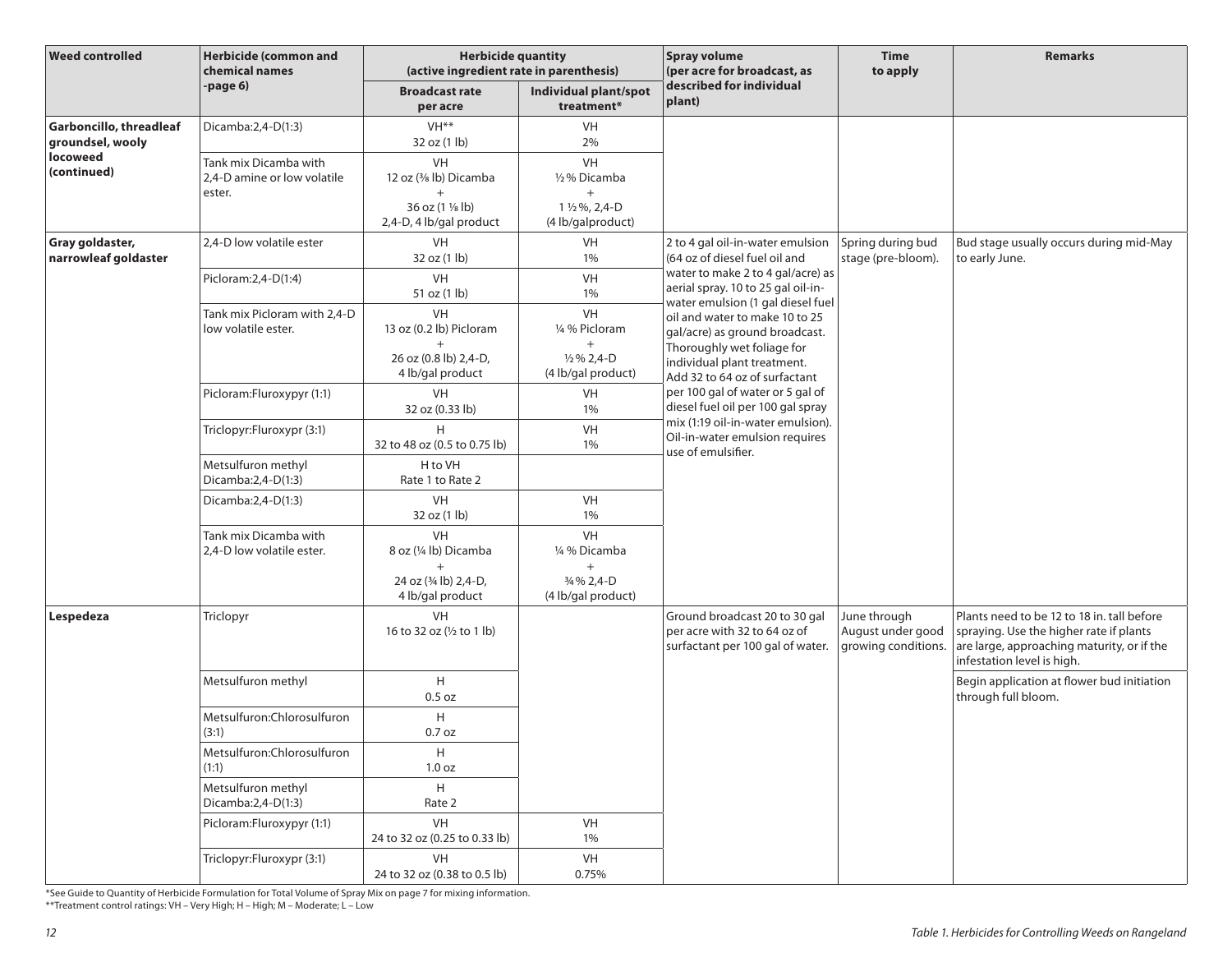| <b>Weed controlled</b>                      | <b>Herbicide (common and</b><br>chemical names                 | <b>Herbicide quantity</b><br>(active ingredient rate in parenthesis)                        |                                                                                      | <b>Spray volume</b><br>(per acre for broadcast, as                                                                                                             | <b>Time</b><br>to apply                                  | <b>Remarks</b>                                                                                                                                                    |
|---------------------------------------------|----------------------------------------------------------------|---------------------------------------------------------------------------------------------|--------------------------------------------------------------------------------------|----------------------------------------------------------------------------------------------------------------------------------------------------------------|----------------------------------------------------------|-------------------------------------------------------------------------------------------------------------------------------------------------------------------|
|                                             | -page 6)                                                       | <b>Broadcast rate</b><br>per acre                                                           | Individual plant/spot<br>treatment*                                                  | described for individual<br>plant)                                                                                                                             |                                                          |                                                                                                                                                                   |
| Garboncillo, threadleaf<br>groundsel, wooly | Dicamba: 2, 4-D(1:3)                                           | VH <sup>**</sup><br>32 oz (1 lb)                                                            | <b>VH</b><br>2%                                                                      |                                                                                                                                                                |                                                          |                                                                                                                                                                   |
| locoweed<br>(continued)                     | Tank mix Dicamba with<br>2,4-D amine or low volatile<br>ester. | VH<br>12 oz (3/8 lb) Dicamba<br>$+$<br>36 oz (1 1/8 lb)<br>2,4-D, 4 lb/gal product          | VH<br>1/2% Dicamba<br>$+$<br>1 1/2 %, 2,4-D<br>(4 lb/galproduct)                     |                                                                                                                                                                |                                                          |                                                                                                                                                                   |
| Gray goldaster,<br>narrowleaf goldaster     | 2,4-D low volatile ester                                       | VH<br>32 oz (1 lb)                                                                          | VH<br>1%                                                                             | 2 to 4 gal oil-in-water emulsion<br>(64 oz of diesel fuel oil and                                                                                              | Spring during bud<br>stage (pre-bloom).                  | Bud stage usually occurs during mid-May<br>to early June.                                                                                                         |
|                                             | Picloram: 2, 4-D(1:4)                                          | VH<br>51 oz (1 lb)                                                                          | VH<br>1%                                                                             | water to make 2 to 4 gal/acre) as<br>aerial spray. 10 to 25 gal oil-in-<br>water emulsion (1 gal diesel fuel                                                   |                                                          |                                                                                                                                                                   |
|                                             | Tank mix Picloram with 2,4-D<br>low volatile ester.            | <b>VH</b><br>13 oz (0.2 lb) Picloram<br>$^{+}$<br>26 oz (0.8 lb) 2,4-D,<br>4 lb/gal product | <b>VH</b><br>1/4 % Picloram<br>$^{+}$<br>$\frac{1}{2}$ % 2.4-D<br>(4 lb/gal product) | oil and water to make 10 to 25<br>gal/acre) as ground broadcast.<br>Thoroughly wet foliage for<br>individual plant treatment.<br>Add 32 to 64 oz of surfactant |                                                          |                                                                                                                                                                   |
|                                             | Picloram:Fluroxypyr (1:1)                                      | <b>VH</b><br>32 oz (0.33 lb)                                                                | VH<br>1%                                                                             | per 100 gal of water or 5 gal of<br>diesel fuel oil per 100 gal spray                                                                                          |                                                          |                                                                                                                                                                   |
|                                             | Triclopyr:Fluroxypr (3:1)                                      | 32 to 48 oz (0.5 to 0.75 lb)                                                                | VH<br>1%                                                                             | mix (1:19 oil-in-water emulsion).<br>Oil-in-water emulsion requires<br>use of emulsifier.                                                                      |                                                          |                                                                                                                                                                   |
|                                             | Metsulfuron methyl<br>Dicamba:2,4-D(1:3)                       | H to VH<br>Rate 1 to Rate 2                                                                 |                                                                                      |                                                                                                                                                                |                                                          |                                                                                                                                                                   |
|                                             | Dicamba: $2,4-D(1:3)$                                          | <b>VH</b><br>32 oz (1 lb)                                                                   | <b>VH</b><br>1%                                                                      |                                                                                                                                                                |                                                          |                                                                                                                                                                   |
|                                             | Tank mix Dicamba with<br>2,4-D low volatile ester.             | VH<br>8 oz (¼ lb) Dicamba<br>$+$                                                            | VH<br>1/4 % Dicamba<br>$+$                                                           |                                                                                                                                                                |                                                          |                                                                                                                                                                   |
|                                             |                                                                | 24 oz (3/4 lb) 2,4-D,<br>4 lb/gal product                                                   | 3/4 % 2,4-D<br>(4 lb/gal product)                                                    |                                                                                                                                                                |                                                          |                                                                                                                                                                   |
| Lespedeza                                   | Triclopyr                                                      | <b>VH</b><br>16 to 32 oz (1/2 to 1 lb)                                                      |                                                                                      | Ground broadcast 20 to 30 gal<br>per acre with 32 to 64 oz of<br>surfactant per 100 gal of water.                                                              | June through<br>August under good<br>growing conditions. | Plants need to be 12 to 18 in. tall before<br>spraying. Use the higher rate if plants<br>are large, approaching maturity, or if the<br>infestation level is high. |
|                                             | Metsulfuron methyl                                             | H<br>0.5 oz                                                                                 |                                                                                      |                                                                                                                                                                |                                                          | Begin application at flower bud initiation<br>through full bloom.                                                                                                 |
|                                             | Metsulfuron:Chlorosulfuron<br>(3:1)                            | H<br>$0.7$ oz                                                                               |                                                                                      |                                                                                                                                                                |                                                          |                                                                                                                                                                   |
|                                             | Metsulfuron:Chlorosulfuron<br>(1:1)                            | H<br>1.0 oz                                                                                 |                                                                                      |                                                                                                                                                                |                                                          |                                                                                                                                                                   |
|                                             | Metsulfuron methyl<br>Dicamba:2,4-D(1:3)                       | H<br>Rate 2                                                                                 |                                                                                      |                                                                                                                                                                |                                                          |                                                                                                                                                                   |
|                                             | Picloram:Fluroxypyr (1:1)                                      | VH<br>24 to 32 oz (0.25 to 0.33 lb)                                                         | VH<br>1%                                                                             |                                                                                                                                                                |                                                          |                                                                                                                                                                   |
|                                             | Triclopyr:Fluroxypr (3:1)                                      | VH<br>24 to 32 oz (0.38 to 0.5 lb)                                                          | VH<br>0.75%                                                                          |                                                                                                                                                                |                                                          |                                                                                                                                                                   |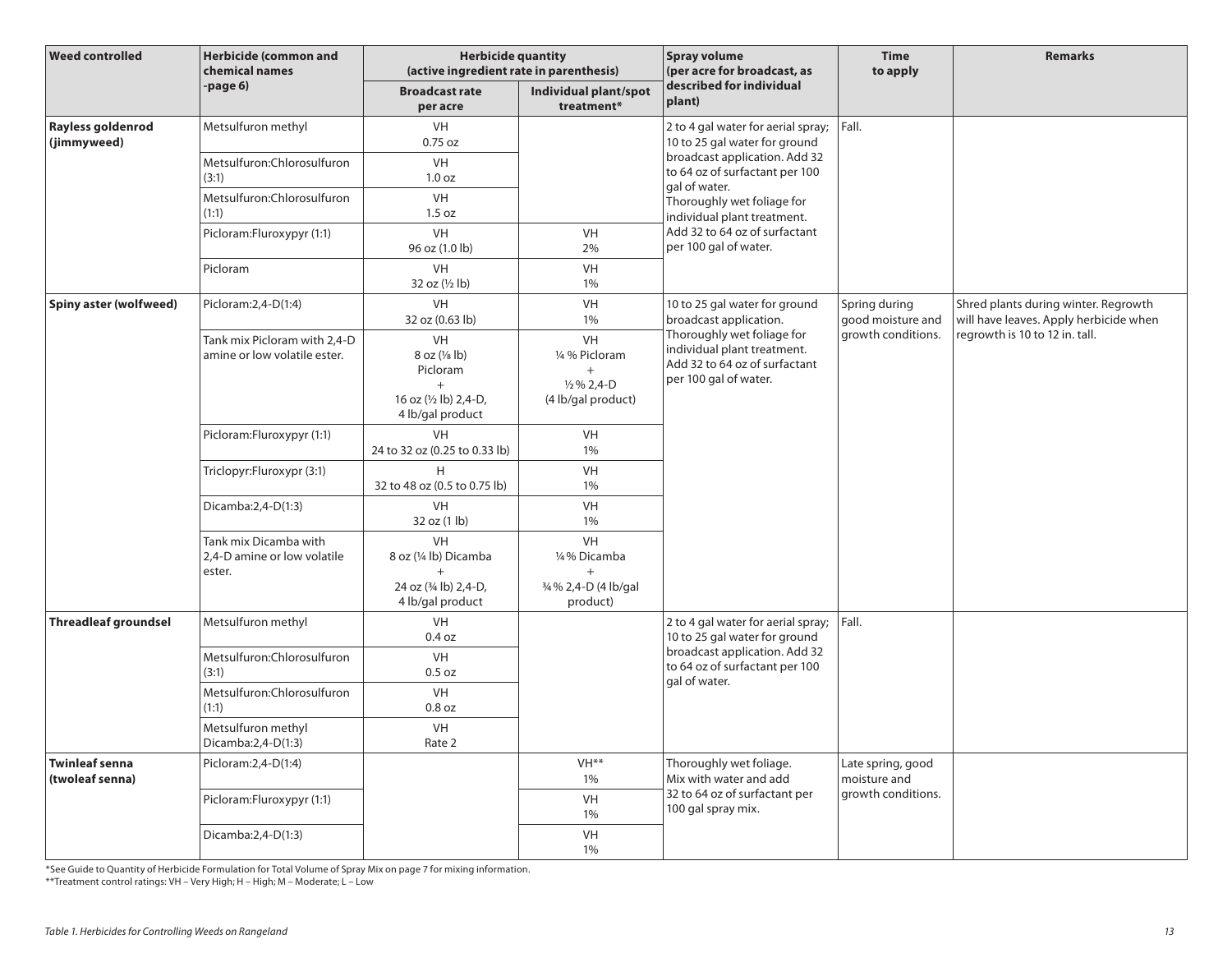| <b>Weed controlled</b>                   | <b>Herbicide (common and</b><br>chemical names                 | <b>Herbicide quantity</b><br>(active ingredient rate in parenthesis)                                   |                                                                                      | <b>Spray volume</b><br>(per acre for broadcast, as                                                                  | <b>Time</b><br>to apply            | <b>Remarks</b>                                                                                                   |
|------------------------------------------|----------------------------------------------------------------|--------------------------------------------------------------------------------------------------------|--------------------------------------------------------------------------------------|---------------------------------------------------------------------------------------------------------------------|------------------------------------|------------------------------------------------------------------------------------------------------------------|
|                                          | page 6)                                                        | <b>Broadcast rate</b><br>per acre                                                                      | Individual plant/spot<br>treatment*                                                  | described for individual<br>plant)                                                                                  |                                    |                                                                                                                  |
| Rayless goldenrod<br>(jimmyweed)         | Metsulfuron methyl                                             | <b>VH</b><br>$0.75$ oz                                                                                 |                                                                                      | 2 to 4 gal water for aerial spray; $ Fall$ .<br>10 to 25 gal water for ground                                       |                                    |                                                                                                                  |
|                                          | Metsulfuron: Chlorosulfuron<br>(3:1)                           | <b>VH</b><br>1.0 <sub>oz</sub>                                                                         |                                                                                      | broadcast application. Add 32<br>to 64 oz of surfactant per 100<br>gal of water.                                    |                                    |                                                                                                                  |
|                                          | Metsulfuron:Chlorosulfuron<br>(1:1)                            | VH<br>1.5 oz                                                                                           |                                                                                      | Thoroughly wet foliage for<br>individual plant treatment.                                                           |                                    |                                                                                                                  |
|                                          | Picloram:Fluroxypyr (1:1)                                      | <b>VH</b><br>96 oz (1.0 lb)                                                                            | VH<br>2%                                                                             | Add 32 to 64 oz of surfactant<br>per 100 gal of water.                                                              |                                    |                                                                                                                  |
|                                          | Picloram                                                       | <b>VH</b><br>32 oz (1/2 lb)                                                                            | VH<br>1%                                                                             |                                                                                                                     |                                    |                                                                                                                  |
| Spiny aster (wolfweed)                   | Picloram: 2, 4-D(1:4)                                          | <b>VH</b><br>32 oz (0.63 lb)                                                                           | VH<br>1%                                                                             | 10 to 25 gal water for ground<br>broadcast application.                                                             | Spring during<br>good moisture and | Shred plants during winter. Regrowth<br>will have leaves. Apply herbicide when<br>regrowth is 10 to 12 in. tall. |
|                                          | Tank mix Picloram with 2,4-D<br>amine or low volatile ester.   | <b>VH</b><br>$8$ oz $(\frac{1}{8}$ lb)<br>Picloram<br>$+$<br>16 oz (1/2 lb) 2,4-D,<br>4 lb/gal product | <b>VH</b><br>1/4 % Picloram<br>$^{+}$<br>$\frac{1}{2}$ % 2,4-D<br>(4 lb/gal product) | Thoroughly wet foliage for<br>individual plant treatment.<br>Add 32 to 64 oz of surfactant<br>per 100 gal of water. | growth conditions.                 |                                                                                                                  |
|                                          | Picloram:Fluroxypyr (1:1)                                      | VH<br>24 to 32 oz (0.25 to 0.33 lb)                                                                    | VH<br>1%                                                                             |                                                                                                                     |                                    |                                                                                                                  |
|                                          | Triclopyr:Fluroxypr (3:1)                                      | H<br>32 to 48 oz (0.5 to 0.75 lb)                                                                      | VH<br>1%                                                                             |                                                                                                                     |                                    |                                                                                                                  |
|                                          | Dicamba:2,4-D(1:3)                                             | <b>VH</b><br>32 oz (1 lb)                                                                              | <b>VH</b><br>1%                                                                      |                                                                                                                     |                                    |                                                                                                                  |
|                                          | Tank mix Dicamba with<br>2,4-D amine or low volatile<br>ester. | <b>VH</b><br>8 oz (1/4 lb) Dicamba<br>$^{+}$<br>24 oz (3/4 lb) 2,4-D,<br>4 lb/gal product              | VH<br>1/4% Dicamba<br>$^{+}$<br>3/4 % 2,4-D (4 lb/gal<br>product)                    |                                                                                                                     |                                    |                                                                                                                  |
| <b>Threadleaf groundsel</b>              | Metsulfuron methyl                                             | VH<br>0.4 oz                                                                                           |                                                                                      | 2 to 4 gal water for aerial spray;   Fall.<br>10 to 25 gal water for ground                                         |                                    |                                                                                                                  |
|                                          | Metsulfuron: Chlorosulfuron<br>(3:1)                           | <b>VH</b><br>0.5 oz                                                                                    |                                                                                      | broadcast application. Add 32<br>to 64 oz of surfactant per 100<br>gal of water.                                    |                                    |                                                                                                                  |
|                                          | Metsulfuron:Chlorosulfuron<br>(1:1)                            | <b>VH</b><br>$0.8$ oz                                                                                  |                                                                                      |                                                                                                                     |                                    |                                                                                                                  |
|                                          | Metsulfuron methyl<br>Dicamba: 2, 4-D(1:3)                     | VH<br>Rate 2                                                                                           |                                                                                      |                                                                                                                     |                                    |                                                                                                                  |
| <b>Twinleaf senna</b><br>(twoleaf senna) | Picloram: 2, 4-D(1:4)                                          |                                                                                                        | VH <sup>**</sup><br>1%                                                               | Thoroughly wet foliage.<br>Mix with water and add                                                                   | Late spring, good<br>moisture and  |                                                                                                                  |
|                                          | Picloram:Fluroxypyr (1:1)                                      |                                                                                                        | VH<br>1%                                                                             | 32 to 64 oz of surfactant per<br>100 gal spray mix.                                                                 | growth conditions.                 |                                                                                                                  |
|                                          | Dicamba: 2, 4-D(1:3)                                           |                                                                                                        | VH<br>1%                                                                             |                                                                                                                     |                                    |                                                                                                                  |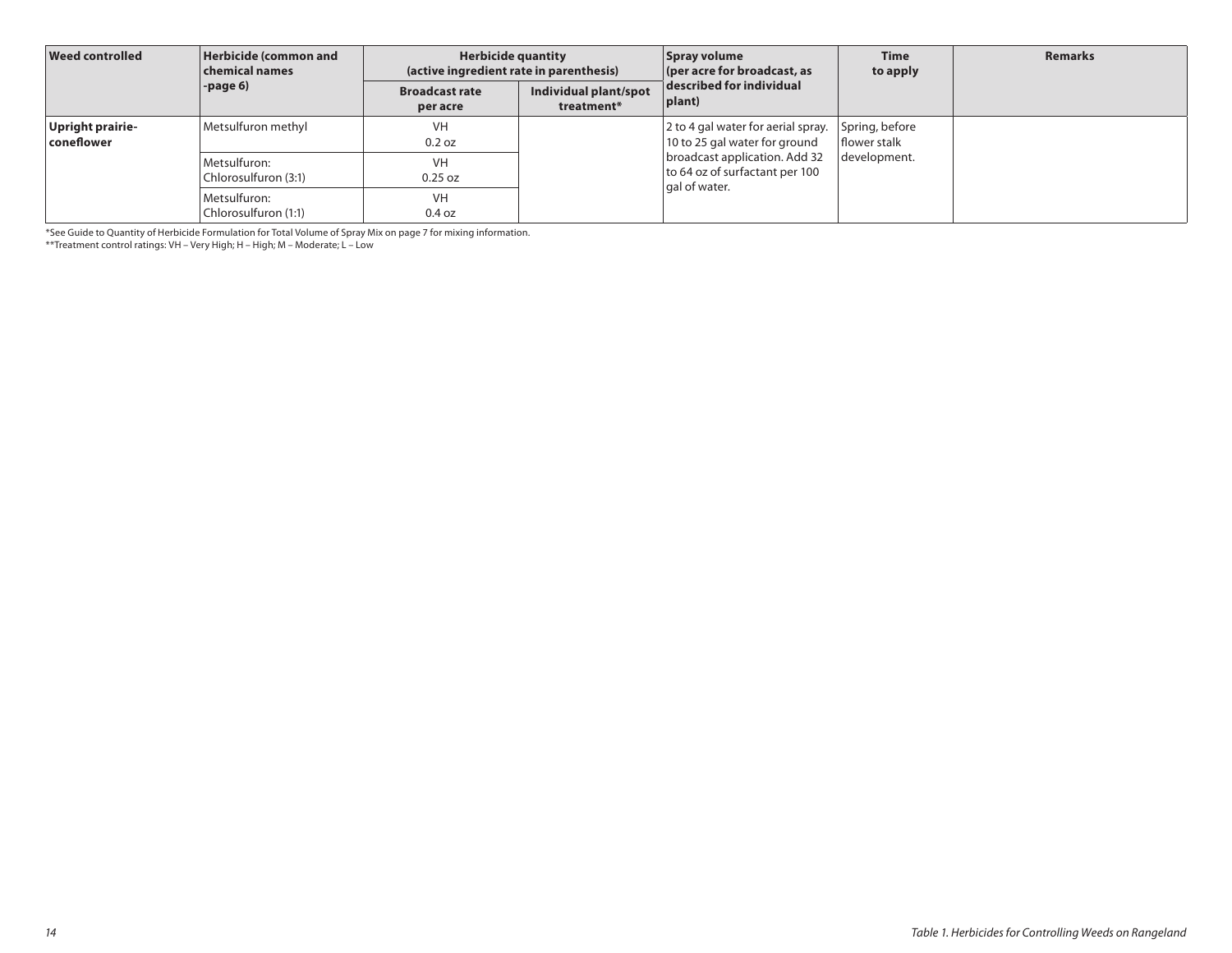| <b>Weed controlled</b>         | Herbicide (common and<br>chemical names<br>-page 6) | <b>Herbicide quantity</b><br>(active ingredient rate in parenthesis) |                                     | Spray volume<br>(per acre for broadcast, as                         | <b>Time</b><br>to apply               | <b>Remarks</b> |
|--------------------------------|-----------------------------------------------------|----------------------------------------------------------------------|-------------------------------------|---------------------------------------------------------------------|---------------------------------------|----------------|
|                                |                                                     | <b>Broadcast rate</b><br>per acre                                    | Individual plant/spot<br>treatment* | described for individual<br> plant)                                 |                                       |                |
| Upright prairie-<br>coneflower | Metsulfuron methyl                                  | VH<br>0.2 oz                                                         |                                     | 2 to 4 gal water for aerial spray.<br>10 to 25 gal water for ground | Spring, before<br><b>flower</b> stalk |                |
|                                | Metsulfuron:<br>Chlorosulfuron (3:1)                | <b>VH</b><br>$0.25$ oz                                               |                                     | broadcast application. Add 32<br>to 64 oz of surfactant per 100     | development.                          |                |
|                                | Metsulfuron:<br>Chlorosulfuron (1:1)                | VH<br>0.4 oz                                                         |                                     | gal of water.                                                       |                                       |                |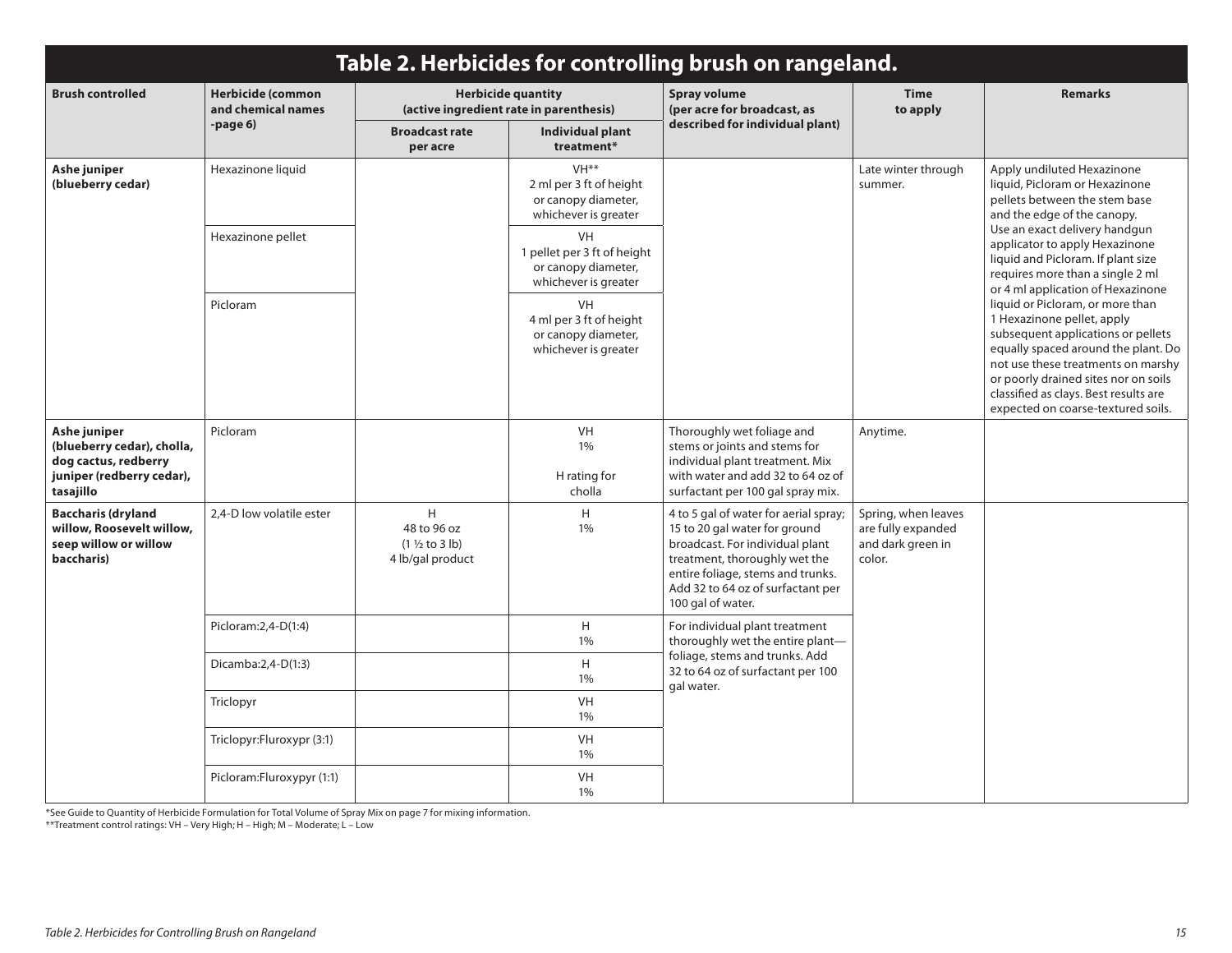| Table 2. Herbicides for controlling brush on rangeland.                                                      |                                                |                                                                    |                                                                                            |                                                                                                                                                                                                                                           |                                                                                                                                                                                |                                                                                                                                                                                                                                                                                                          |  |  |
|--------------------------------------------------------------------------------------------------------------|------------------------------------------------|--------------------------------------------------------------------|--------------------------------------------------------------------------------------------|-------------------------------------------------------------------------------------------------------------------------------------------------------------------------------------------------------------------------------------------|--------------------------------------------------------------------------------------------------------------------------------------------------------------------------------|----------------------------------------------------------------------------------------------------------------------------------------------------------------------------------------------------------------------------------------------------------------------------------------------------------|--|--|
| <b>Brush controlled</b>                                                                                      | <b>Herbicide (common</b><br>and chemical names |                                                                    | <b>Herbicide quantity</b><br>(active ingredient rate in parenthesis)                       | <b>Spray volume</b><br>(per acre for broadcast, as                                                                                                                                                                                        | <b>Time</b><br>to apply                                                                                                                                                        | <b>Remarks</b>                                                                                                                                                                                                                                                                                           |  |  |
|                                                                                                              | -page 6)                                       | <b>Broadcast rate</b><br>per acre                                  | Individual plant<br>treatment*                                                             | described for individual plant)                                                                                                                                                                                                           |                                                                                                                                                                                |                                                                                                                                                                                                                                                                                                          |  |  |
| Ashe juniper<br>(blueberry cedar)                                                                            | Hexazinone liquid                              |                                                                    | VH <sup>**</sup><br>2 ml per 3 ft of height<br>or canopy diameter,<br>whichever is greater | Late winter through<br>summer.                                                                                                                                                                                                            |                                                                                                                                                                                | Apply undiluted Hexazinone<br>liquid, Picloram or Hexazinone<br>pellets between the stem base<br>and the edge of the canopy.                                                                                                                                                                             |  |  |
|                                                                                                              | Hexazinone pellet                              |                                                                    | <b>VH</b><br>1 pellet per 3 ft of height<br>or canopy diameter,<br>whichever is greater    |                                                                                                                                                                                                                                           | Use an exact delivery handgun<br>applicator to apply Hexazinone<br>liquid and Picloram. If plant size<br>requires more than a single 2 ml<br>or 4 ml application of Hexazinone |                                                                                                                                                                                                                                                                                                          |  |  |
|                                                                                                              | Picloram                                       |                                                                    | <b>VH</b><br>4 ml per 3 ft of height<br>or canopy diameter,<br>whichever is greater        |                                                                                                                                                                                                                                           |                                                                                                                                                                                | liquid or Picloram, or more than<br>1 Hexazinone pellet, apply<br>subsequent applications or pellets<br>equally spaced around the plant. Do<br>not use these treatments on marshy<br>or poorly drained sites nor on soils<br>classified as clays. Best results are<br>expected on coarse-textured soils. |  |  |
| Ashe juniper<br>(blueberry cedar), cholla,<br>dog cactus, redberry<br>juniper (redberry cedar),<br>tasajillo | Picloram                                       |                                                                    | <b>VH</b><br>1%<br>H rating for<br>cholla                                                  | Thoroughly wet foliage and<br>stems or joints and stems for<br>individual plant treatment. Mix<br>with water and add 32 to 64 oz of<br>surfactant per 100 gal spray mix.                                                                  | Anytime.                                                                                                                                                                       |                                                                                                                                                                                                                                                                                                          |  |  |
| <b>Baccharis (dryland</b><br>willow, Roosevelt willow,<br>seep willow or willow<br>baccharis)                | 2,4-D low volatile ester                       | H.<br>48 to 96 oz<br>$(1 \frac{1}{2}$ to 3 lb)<br>4 lb/gal product | H<br>1%                                                                                    | 4 to 5 gal of water for aerial spray;<br>15 to 20 gal water for ground<br>broadcast. For individual plant<br>treatment, thoroughly wet the<br>entire foliage, stems and trunks.<br>Add 32 to 64 oz of surfactant per<br>100 gal of water. | Spring, when leaves<br>are fully expanded<br>and dark green in<br>color.                                                                                                       |                                                                                                                                                                                                                                                                                                          |  |  |
|                                                                                                              | Picloram: 2, 4-D(1:4)                          |                                                                    | H<br>1%                                                                                    | For individual plant treatment<br>thoroughly wet the entire plant-                                                                                                                                                                        |                                                                                                                                                                                |                                                                                                                                                                                                                                                                                                          |  |  |
|                                                                                                              | Dicamba: $2,4-D(1:3)$                          |                                                                    | H<br>1%                                                                                    | foliage, stems and trunks. Add<br>32 to 64 oz of surfactant per 100<br>gal water.                                                                                                                                                         |                                                                                                                                                                                |                                                                                                                                                                                                                                                                                                          |  |  |
|                                                                                                              | Triclopyr                                      |                                                                    | VH<br>1%                                                                                   |                                                                                                                                                                                                                                           |                                                                                                                                                                                |                                                                                                                                                                                                                                                                                                          |  |  |
|                                                                                                              | Triclopyr:Fluroxypr (3:1)                      |                                                                    | VH<br>1%                                                                                   |                                                                                                                                                                                                                                           |                                                                                                                                                                                |                                                                                                                                                                                                                                                                                                          |  |  |
|                                                                                                              | Picloram:Fluroxypyr (1:1)                      |                                                                    | VH<br>1%                                                                                   |                                                                                                                                                                                                                                           |                                                                                                                                                                                |                                                                                                                                                                                                                                                                                                          |  |  |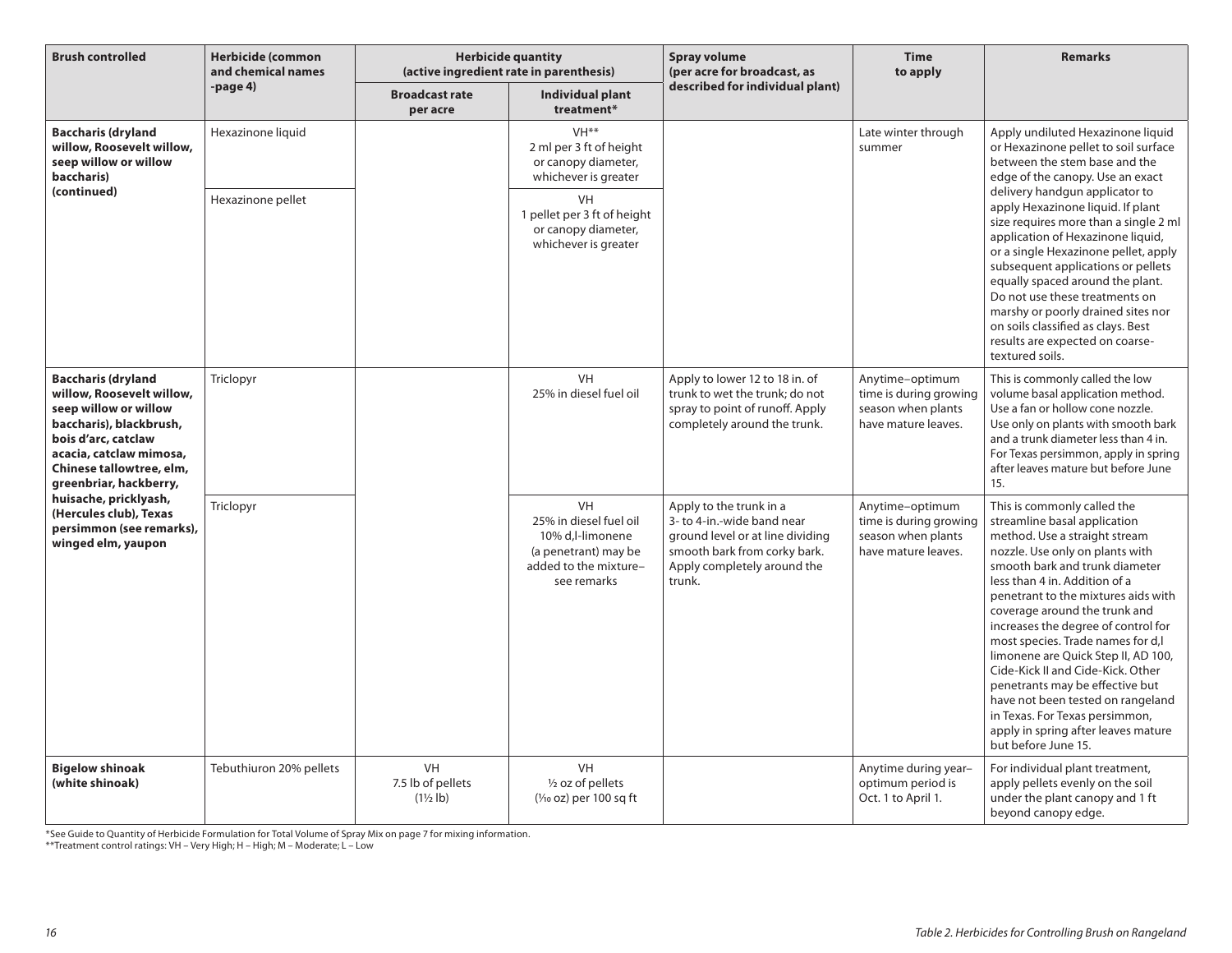| <b>Brush controlled</b>                                                                                                                                                                                            | <b>Herbicide (common</b><br>and chemical names | <b>Herbicide quantity</b><br>(active ingredient rate in parenthesis) |                                                                                                                  | <b>Spray volume</b><br>(per acre for broadcast, as                                                                                                                 | <b>Time</b><br>to apply                                                                | <b>Remarks</b>                                                                                                                                                                                                                                                                                                                                                                                                                                                                                                                                                                                             |
|--------------------------------------------------------------------------------------------------------------------------------------------------------------------------------------------------------------------|------------------------------------------------|----------------------------------------------------------------------|------------------------------------------------------------------------------------------------------------------|--------------------------------------------------------------------------------------------------------------------------------------------------------------------|----------------------------------------------------------------------------------------|------------------------------------------------------------------------------------------------------------------------------------------------------------------------------------------------------------------------------------------------------------------------------------------------------------------------------------------------------------------------------------------------------------------------------------------------------------------------------------------------------------------------------------------------------------------------------------------------------------|
|                                                                                                                                                                                                                    | $-page4$                                       | <b>Broadcast rate</b><br>per acre                                    | Individual plant<br>treatment*                                                                                   | described for individual plant)                                                                                                                                    |                                                                                        |                                                                                                                                                                                                                                                                                                                                                                                                                                                                                                                                                                                                            |
| <b>Baccharis (dryland</b><br>willow, Roosevelt willow,<br>seep willow or willow<br>baccharis)                                                                                                                      | Hexazinone liquid                              |                                                                      | VH <sup>**</sup><br>2 ml per 3 ft of height<br>or canopy diameter,<br>whichever is greater                       |                                                                                                                                                                    | Late winter through<br>summer                                                          | Apply undiluted Hexazinone liquid<br>or Hexazinone pellet to soil surface<br>between the stem base and the<br>edge of the canopy. Use an exact                                                                                                                                                                                                                                                                                                                                                                                                                                                             |
| (continued)                                                                                                                                                                                                        | Hexazinone pellet                              |                                                                      | VH<br>1 pellet per 3 ft of height<br>or canopy diameter,<br>whichever is greater                                 |                                                                                                                                                                    |                                                                                        | delivery handgun applicator to<br>apply Hexazinone liquid. If plant<br>size requires more than a single 2 ml<br>application of Hexazinone liquid,<br>or a single Hexazinone pellet, apply<br>subsequent applications or pellets<br>equally spaced around the plant.<br>Do not use these treatments on<br>marshy or poorly drained sites nor<br>on soils classified as clays. Best<br>results are expected on coarse-<br>textured soils.                                                                                                                                                                    |
| <b>Baccharis (dryland</b><br>willow, Roosevelt willow,<br>seep willow or willow<br>baccharis), blackbrush,<br>bois d'arc, catclaw<br>acacia, catclaw mimosa,<br>Chinese tallowtree, elm,<br>greenbriar, hackberry, | Triclopyr                                      |                                                                      | VH<br>25% in diesel fuel oil                                                                                     | Apply to lower 12 to 18 in. of<br>trunk to wet the trunk: do not<br>spray to point of runoff. Apply<br>completely around the trunk.                                | Anytime-optimum<br>time is during growing<br>season when plants<br>have mature leaves. | This is commonly called the low<br>volume basal application method.<br>Use a fan or hollow cone nozzle.<br>Use only on plants with smooth bark<br>and a trunk diameter less than 4 in.<br>For Texas persimmon, apply in spring<br>after leaves mature but before June<br>15.                                                                                                                                                                                                                                                                                                                               |
| huisache, pricklyash,<br>(Hercules club), Texas<br>persimmon (see remarks),<br>winged elm, yaupon                                                                                                                  | Triclopyr                                      |                                                                      | VH<br>25% in diesel fuel oil<br>10% d,l-limonene<br>(a penetrant) may be<br>added to the mixture-<br>see remarks | Apply to the trunk in a<br>3- to 4-in.-wide band near<br>ground level or at line dividing<br>smooth bark from corky bark.<br>Apply completely around the<br>trunk. | Anytime-optimum<br>time is during growing<br>season when plants<br>have mature leaves. | This is commonly called the<br>streamline basal application<br>method. Use a straight stream<br>nozzle. Use only on plants with<br>smooth bark and trunk diameter<br>less than 4 in. Addition of a<br>penetrant to the mixtures aids with<br>coverage around the trunk and<br>increases the degree of control for<br>most species. Trade names for d,l<br>limonene are Quick Step II, AD 100,<br>Cide-Kick II and Cide-Kick. Other<br>penetrants may be effective but<br>have not been tested on rangeland<br>in Texas. For Texas persimmon,<br>apply in spring after leaves mature<br>but before June 15. |
| <b>Bigelow shinoak</b><br>(white shinoak)                                                                                                                                                                          | Tebuthiuron 20% pellets                        | <b>VH</b><br>7.5 lb of pellets<br>$(1\frac{1}{2}$ lb)                | <b>VH</b><br>1/2 oz of pellets<br>$(\frac{1}{10}$ oz) per 100 sq ft                                              |                                                                                                                                                                    | Anytime during year-<br>optimum period is<br>Oct. 1 to April 1.                        | For individual plant treatment,<br>apply pellets evenly on the soil<br>under the plant canopy and 1 ft<br>beyond canopy edge.                                                                                                                                                                                                                                                                                                                                                                                                                                                                              |

\*See Guide to Quantity of Herbicide Formulation for Total Volume of Spray Mix on page 7 for mixing information.

\*\*Treatment control ratings: VH – Very High; H – High; M – Moderate; L – Low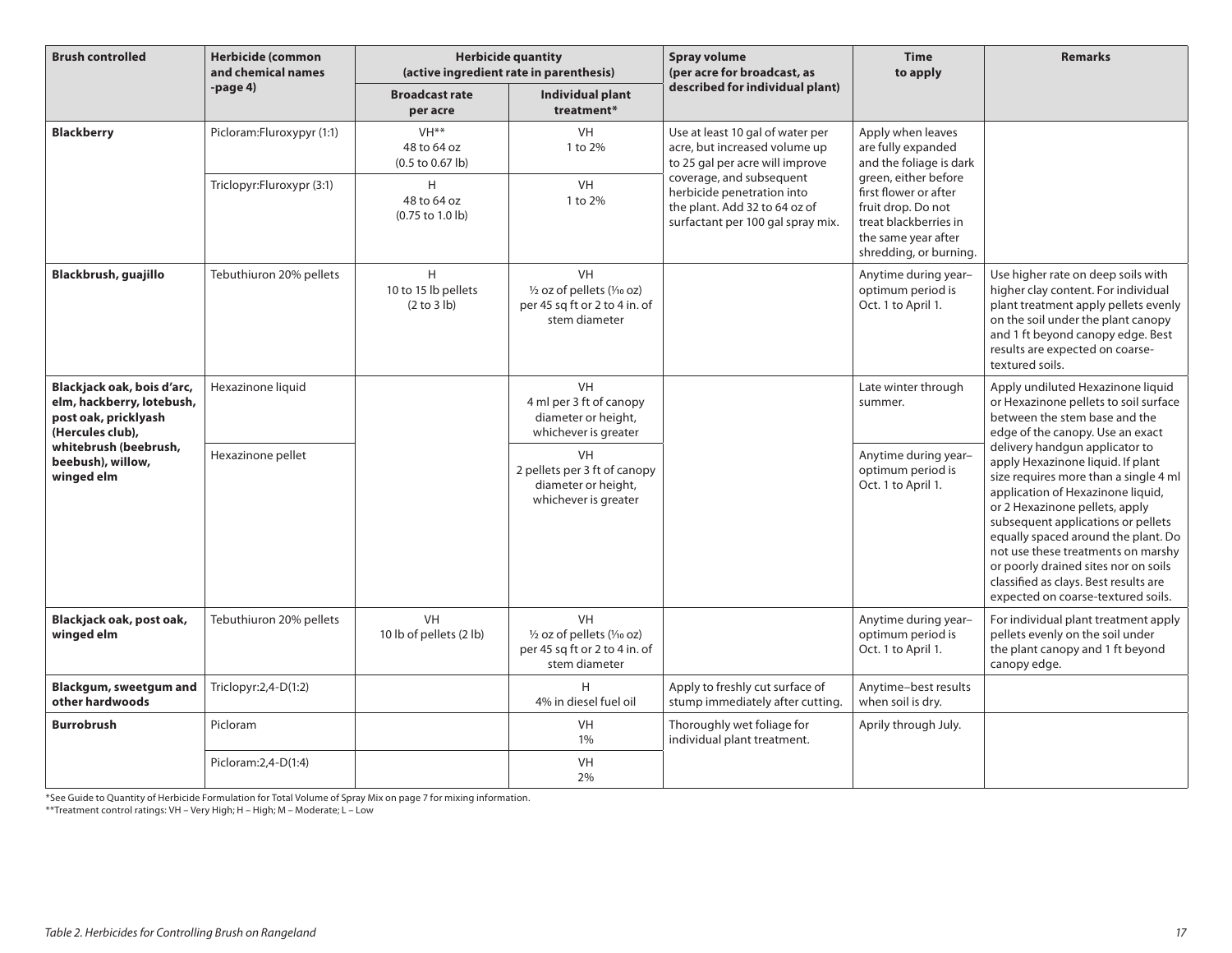| <b>Brush controlled</b>                                                                                                                                         | <b>Herbicide (common</b><br>and chemical names | <b>Herbicide quantity</b><br>(active ingredient rate in parenthesis)   |                                                                                                                 | Spray volume<br>(per acre for broadcast, as                                                                                  | <b>Time</b><br>to apply                                                                                                                       | <b>Remarks</b>                                                                                                                                                                                                                                                                                                                                                                              |
|-----------------------------------------------------------------------------------------------------------------------------------------------------------------|------------------------------------------------|------------------------------------------------------------------------|-----------------------------------------------------------------------------------------------------------------|------------------------------------------------------------------------------------------------------------------------------|-----------------------------------------------------------------------------------------------------------------------------------------------|---------------------------------------------------------------------------------------------------------------------------------------------------------------------------------------------------------------------------------------------------------------------------------------------------------------------------------------------------------------------------------------------|
|                                                                                                                                                                 | -page 4)                                       | <b>Broadcast rate</b><br>per acre                                      | Individual plant<br>treatment*                                                                                  | described for individual plant)                                                                                              |                                                                                                                                               |                                                                                                                                                                                                                                                                                                                                                                                             |
| <b>Blackberry</b>                                                                                                                                               | Picloram:Fluroxypyr (1:1)                      | VH <sup>**</sup><br>48 to 64 oz<br>$(0.5 \text{ to } 0.67 \text{ lb})$ | <b>VH</b><br>1 to 2%                                                                                            | Use at least 10 gal of water per<br>acre, but increased volume up<br>to 25 gal per acre will improve                         | Apply when leaves<br>are fully expanded<br>and the foliage is dark                                                                            |                                                                                                                                                                                                                                                                                                                                                                                             |
|                                                                                                                                                                 | Triclopyr:Fluroxypr (3:1)                      | H<br>48 to 64 oz<br>(0.75 to 1.0 lb)                                   | VH<br>1 to 2%                                                                                                   | coverage, and subsequent<br>herbicide penetration into<br>the plant. Add 32 to 64 oz of<br>surfactant per 100 gal spray mix. | green, either before<br>first flower or after<br>fruit drop. Do not<br>treat blackberries in<br>the same year after<br>shredding, or burning. |                                                                                                                                                                                                                                                                                                                                                                                             |
| Blackbrush, guajillo                                                                                                                                            | Tebuthiuron 20% pellets                        | H<br>10 to 15 lb pellets<br>(2 to 3 lb)                                | <b>VH</b><br>$\frac{1}{2}$ oz of pellets ( $\frac{1}{10}$ oz)<br>per 45 sq ft or 2 to 4 in. of<br>stem diameter |                                                                                                                              | Anytime during year-<br>optimum period is<br>Oct. 1 to April 1.                                                                               | Use higher rate on deep soils with<br>higher clay content. For individual<br>plant treatment apply pellets evenly<br>on the soil under the plant canopy<br>and 1 ft beyond canopy edge. Best<br>results are expected on coarse-<br>textured soils.                                                                                                                                          |
| Blackjack oak, bois d'arc,<br>elm, hackberry, lotebush,<br>post oak, pricklyash<br>(Hercules club),<br>whitebrush (beebrush,<br>beebush), willow,<br>winged elm | Hexazinone liquid                              |                                                                        | VH<br>4 ml per 3 ft of canopy<br>diameter or height,<br>whichever is greater                                    |                                                                                                                              | Late winter through<br>summer.                                                                                                                | Apply undiluted Hexazinone liquid<br>or Hexazinone pellets to soil surface<br>between the stem base and the<br>edge of the canopy. Use an exact                                                                                                                                                                                                                                             |
|                                                                                                                                                                 | Hexazinone pellet                              |                                                                        | <b>VH</b><br>2 pellets per 3 ft of canopy<br>diameter or height,<br>whichever is greater                        |                                                                                                                              | delivery handgun applicator to<br>Anytime during year-<br>optimum period is<br>Oct. 1 to April 1.                                             | apply Hexazinone liquid. If plant<br>size requires more than a single 4 ml<br>application of Hexazinone liquid,<br>or 2 Hexazinone pellets, apply<br>subsequent applications or pellets<br>equally spaced around the plant. Do<br>not use these treatments on marshy<br>or poorly drained sites nor on soils<br>classified as clays. Best results are<br>expected on coarse-textured soils. |
| Blackjack oak, post oak,<br>winged elm                                                                                                                          | Tebuthiuron 20% pellets                        | <b>VH</b><br>10 lb of pellets (2 lb)                                   | <b>VH</b><br>$\frac{1}{2}$ oz of pellets ( $\frac{1}{10}$ oz)<br>per 45 sq ft or 2 to 4 in. of<br>stem diameter |                                                                                                                              | Anytime during year-<br>optimum period is<br>Oct. 1 to April 1.                                                                               | For individual plant treatment apply<br>pellets evenly on the soil under<br>the plant canopy and 1 ft beyond<br>canopy edge.                                                                                                                                                                                                                                                                |
| Blackgum, sweetgum and<br>other hardwoods                                                                                                                       | Triclopyr: $2,4-D(1:2)$                        |                                                                        | H<br>4% in diesel fuel oil                                                                                      | Apply to freshly cut surface of<br>stump immediately after cutting.                                                          | Anytime-best results<br>when soil is dry.                                                                                                     |                                                                                                                                                                                                                                                                                                                                                                                             |
| <b>Burrobrush</b>                                                                                                                                               | Picloram                                       |                                                                        | <b>VH</b><br>1%                                                                                                 | Thoroughly wet foliage for<br>individual plant treatment.                                                                    | Aprily through July.                                                                                                                          |                                                                                                                                                                                                                                                                                                                                                                                             |
|                                                                                                                                                                 | Picloram: 2, 4-D(1:4)                          |                                                                        | <b>VH</b><br>2%                                                                                                 |                                                                                                                              |                                                                                                                                               |                                                                                                                                                                                                                                                                                                                                                                                             |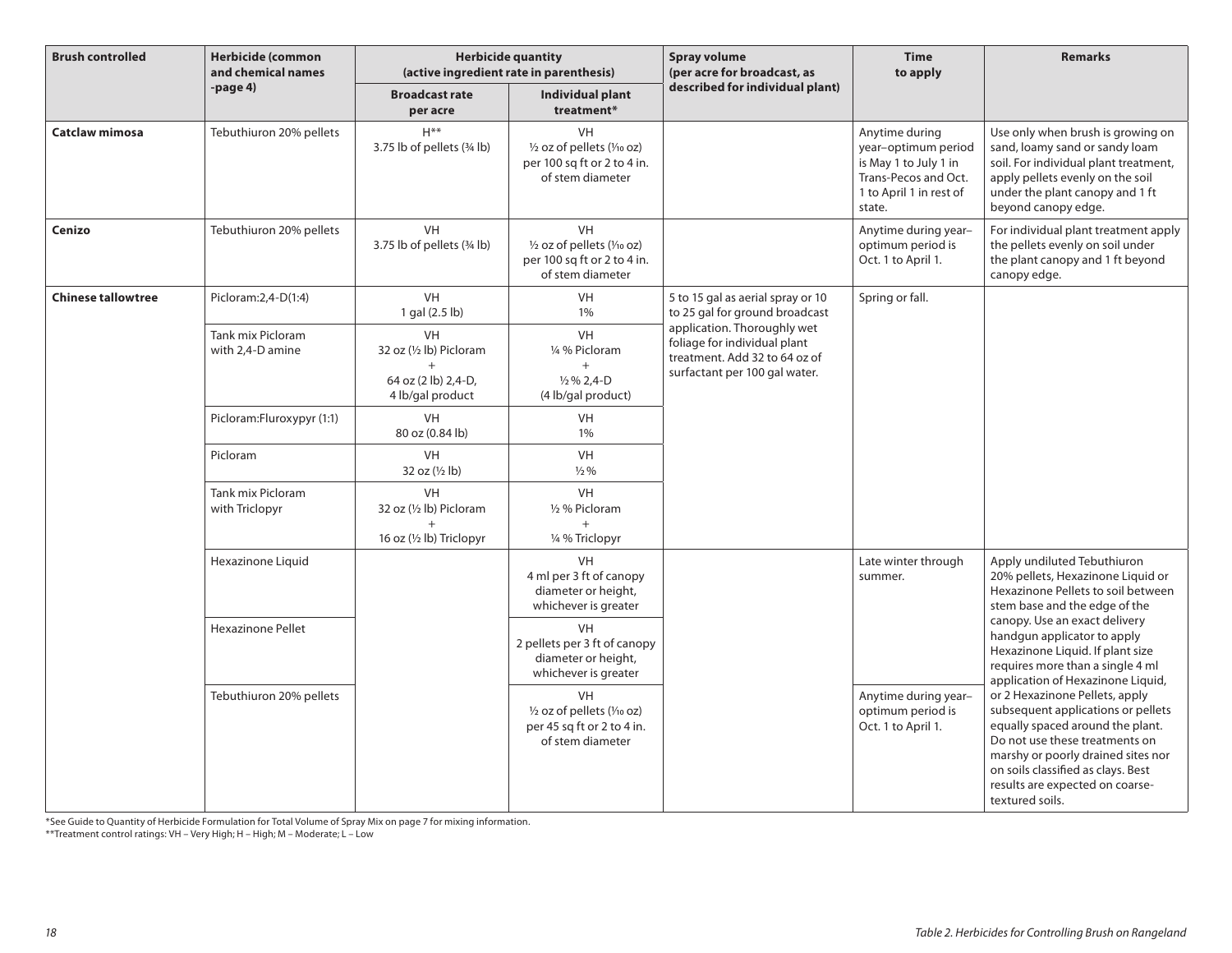| <b>Brush controlled</b>   | <b>Herbicide (common</b><br>and chemical names | <b>Herbicide quantity</b><br>(active ingredient rate in parenthesis)            |                                                                                                                  | <b>Spray volume</b><br>(per acre for broadcast, as                                                                            | <b>Time</b><br>to apply                                                                                                     | <b>Remarks</b>                                                                                                                                                                                                                                                                                                                                                                                                                                            |
|---------------------------|------------------------------------------------|---------------------------------------------------------------------------------|------------------------------------------------------------------------------------------------------------------|-------------------------------------------------------------------------------------------------------------------------------|-----------------------------------------------------------------------------------------------------------------------------|-----------------------------------------------------------------------------------------------------------------------------------------------------------------------------------------------------------------------------------------------------------------------------------------------------------------------------------------------------------------------------------------------------------------------------------------------------------|
|                           | -page 4)                                       | <b>Broadcast rate</b><br>per acre                                               | <b>Individual plant</b><br>treatment*                                                                            | described for individual plant)                                                                                               |                                                                                                                             |                                                                                                                                                                                                                                                                                                                                                                                                                                                           |
| Catclaw mimosa            | Tebuthiuron 20% pellets                        | $H***$<br>3.75 lb of pellets (34 lb)                                            | <b>VH</b><br>$\frac{1}{2}$ oz of pellets ( $\frac{1}{10}$ oz)<br>per 100 sq ft or 2 to 4 in.<br>of stem diameter |                                                                                                                               | Anytime during<br>year-optimum period<br>is May 1 to July 1 in<br>Trans-Pecos and Oct.<br>1 to April 1 in rest of<br>state. | Use only when brush is growing on<br>sand, loamy sand or sandy loam<br>soil. For individual plant treatment,<br>apply pellets evenly on the soil<br>under the plant canopy and 1 ft<br>beyond canopy edge.                                                                                                                                                                                                                                                |
| Cenizo                    | Tebuthiuron 20% pellets                        | VH<br>3.75 lb of pellets (34 lb)                                                | <b>VH</b><br>1/2 oz of pellets (1/10 oz)<br>per 100 sq ft or 2 to 4 in.<br>of stem diameter                      |                                                                                                                               | Anytime during year-<br>optimum period is<br>Oct. 1 to April 1.                                                             | For individual plant treatment apply<br>the pellets evenly on soil under<br>the plant canopy and 1 ft beyond<br>canopy edge.                                                                                                                                                                                                                                                                                                                              |
| <b>Chinese tallowtree</b> | Picloram: 2, 4-D(1:4)                          | <b>VH</b><br>1 gal (2.5 lb)                                                     | VH<br>1%                                                                                                         | 5 to 15 gal as aerial spray or 10<br>to 25 gal for ground broadcast                                                           | Spring or fall.                                                                                                             |                                                                                                                                                                                                                                                                                                                                                                                                                                                           |
|                           | Tank mix Picloram<br>with 2,4-D amine          | <b>VH</b><br>32 oz (1/2 lb) Picloram<br>64 oz (2 lb) 2,4-D,<br>4 lb/gal product | <b>VH</b><br>1/4 % Picloram<br>$\frac{1}{2}$ % 2,4-D<br>(4 lb/gal product)                                       | application. Thoroughly wet<br>foliage for individual plant<br>treatment. Add 32 to 64 oz of<br>surfactant per 100 gal water. |                                                                                                                             |                                                                                                                                                                                                                                                                                                                                                                                                                                                           |
|                           | Picloram:Fluroxypyr (1:1)                      | <b>VH</b><br>80 oz (0.84 lb)                                                    | VH<br>1%                                                                                                         |                                                                                                                               |                                                                                                                             |                                                                                                                                                                                                                                                                                                                                                                                                                                                           |
|                           | Picloram                                       | VH<br>32 oz (1/2 lb)                                                            | VH<br>$\frac{1}{2}$ %                                                                                            |                                                                                                                               |                                                                                                                             |                                                                                                                                                                                                                                                                                                                                                                                                                                                           |
|                           | Tank mix Picloram<br>with Triclopyr            | VH<br>32 oz (1/2 lb) Picloram<br>$+$                                            | VH<br>1/2 % Picloram<br>$+$                                                                                      |                                                                                                                               |                                                                                                                             |                                                                                                                                                                                                                                                                                                                                                                                                                                                           |
|                           |                                                | 16 oz $(\frac{1}{2}$ lb) Triclopyr                                              | 1/4 % Triclopyr                                                                                                  |                                                                                                                               |                                                                                                                             |                                                                                                                                                                                                                                                                                                                                                                                                                                                           |
|                           | Hexazinone Liquid                              |                                                                                 | <b>VH</b><br>4 ml per 3 ft of canopy<br>diameter or height,<br>whichever is greater                              |                                                                                                                               | Late winter through<br>summer.                                                                                              | Apply undiluted Tebuthiuron<br>20% pellets, Hexazinone Liquid or<br>Hexazinone Pellets to soil between<br>stem base and the edge of the                                                                                                                                                                                                                                                                                                                   |
|                           | <b>Hexazinone Pellet</b>                       |                                                                                 | <b>VH</b><br>2 pellets per 3 ft of canopy<br>diameter or height,<br>whichever is greater                         |                                                                                                                               |                                                                                                                             | canopy. Use an exact delivery<br>handgun applicator to apply<br>Hexazinone Liquid. If plant size<br>requires more than a single 4 ml<br>application of Hexazinone Liquid,<br>or 2 Hexazinone Pellets, apply<br>subsequent applications or pellets<br>equally spaced around the plant.<br>Do not use these treatments on<br>marshy or poorly drained sites nor<br>on soils classified as clays. Best<br>results are expected on coarse-<br>textured soils. |
|                           | Tebuthiuron 20% pellets                        |                                                                                 | <b>VH</b><br>1/2 oz of pellets (1/10 oz)<br>per 45 sq ft or 2 to 4 in.<br>of stem diameter                       |                                                                                                                               | Anytime during year-<br>optimum period is<br>Oct. 1 to April 1.                                                             |                                                                                                                                                                                                                                                                                                                                                                                                                                                           |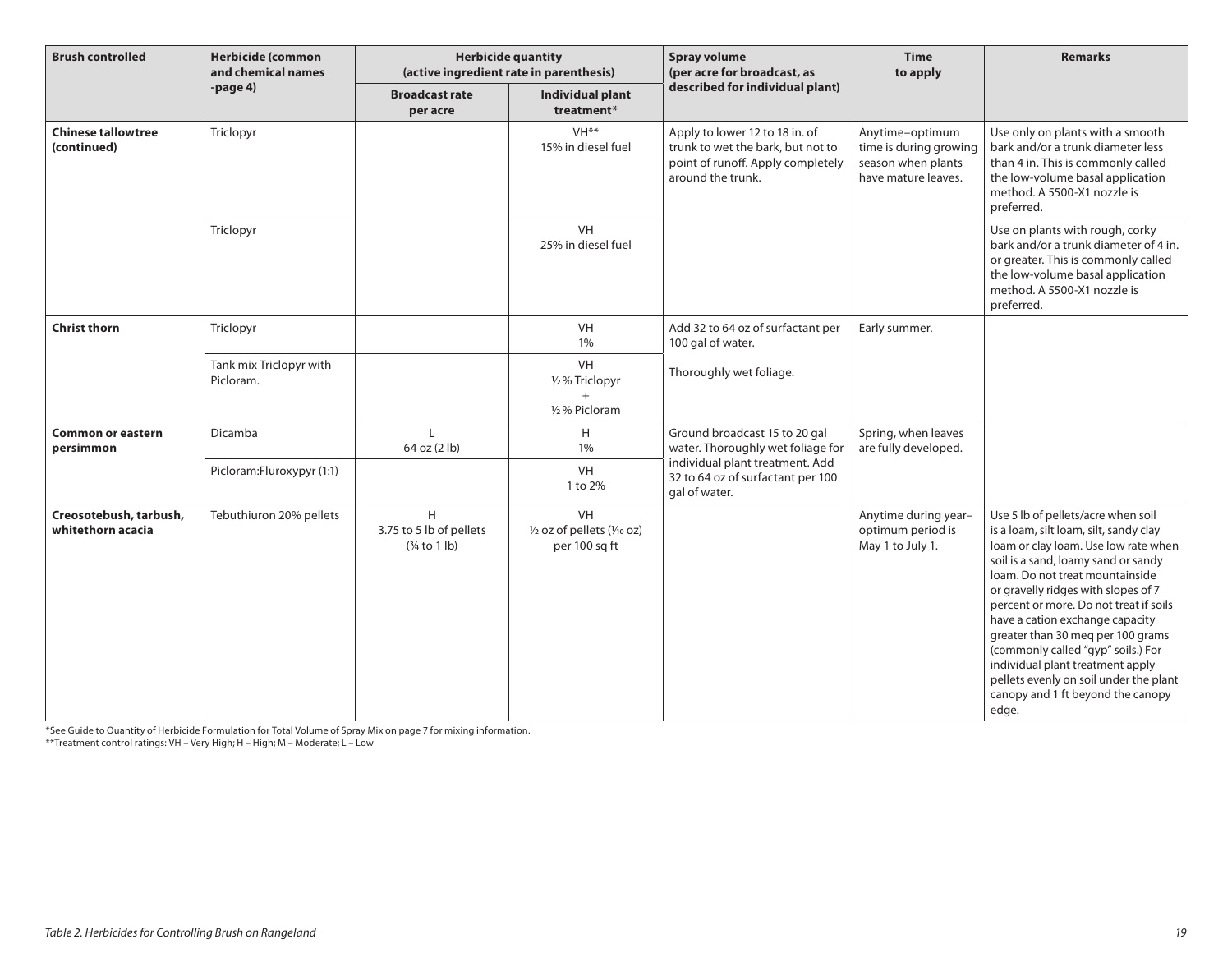| <b>Brush controlled</b>                     | <b>Herbicide (common</b><br>and chemical names | <b>Herbicide quantity</b><br>(active ingredient rate in parenthesis) |                                                    | <b>Spray volume</b><br>(per acre for broadcast, as                                                                            | <b>Time</b><br>to apply                                                                | <b>Remarks</b>                                                                                                                                                                                                                                                                                                                                                                                                                                                                                                            |
|---------------------------------------------|------------------------------------------------|----------------------------------------------------------------------|----------------------------------------------------|-------------------------------------------------------------------------------------------------------------------------------|----------------------------------------------------------------------------------------|---------------------------------------------------------------------------------------------------------------------------------------------------------------------------------------------------------------------------------------------------------------------------------------------------------------------------------------------------------------------------------------------------------------------------------------------------------------------------------------------------------------------------|
|                                             | -page $4)$                                     | <b>Broadcast rate</b><br>per acre                                    | <b>Individual plant</b><br>treatment*              | described for individual plant)                                                                                               |                                                                                        |                                                                                                                                                                                                                                                                                                                                                                                                                                                                                                                           |
| <b>Chinese tallowtree</b><br>(continued)    | Triclopyr                                      |                                                                      | VH <sup>**</sup><br>15% in diesel fuel             | Apply to lower 12 to 18 in. of<br>trunk to wet the bark, but not to<br>point of runoff. Apply completely<br>around the trunk. | Anytime-optimum<br>time is during growing<br>season when plants<br>have mature leaves. | Use only on plants with a smooth<br>bark and/or a trunk diameter less<br>than 4 in. This is commonly called<br>the low-volume basal application<br>method. A 5500-X1 nozzle is<br>preferred.                                                                                                                                                                                                                                                                                                                              |
|                                             | Triclopyr                                      |                                                                      | VH<br>25% in diesel fuel                           |                                                                                                                               |                                                                                        | Use on plants with rough, corky<br>bark and/or a trunk diameter of 4 in.<br>or greater. This is commonly called<br>the low-volume basal application<br>method. A 5500-X1 nozzle is<br>preferred.                                                                                                                                                                                                                                                                                                                          |
| <b>Christ thorn</b>                         | Triclopyr                                      |                                                                      | <b>VH</b><br>1%                                    | Add 32 to 64 oz of surfactant per<br>100 gal of water.                                                                        | Early summer.                                                                          |                                                                                                                                                                                                                                                                                                                                                                                                                                                                                                                           |
|                                             | Tank mix Triclopyr with<br>Picloram.           |                                                                      | VH<br>1/2% Triclopyr<br>$^{+}$<br>1/2% Picloram    | Thoroughly wet foliage.                                                                                                       |                                                                                        |                                                                                                                                                                                                                                                                                                                                                                                                                                                                                                                           |
| <b>Common or eastern</b><br>persimmon       | Dicamba                                        | 64 oz (2 lb)                                                         | H<br>1%                                            | Ground broadcast 15 to 20 gal<br>water. Thoroughly wet foliage for                                                            | Spring, when leaves<br>are fully developed.                                            |                                                                                                                                                                                                                                                                                                                                                                                                                                                                                                                           |
|                                             | Picloram:Fluroxypyr (1:1)                      |                                                                      | VH<br>1 to 2%                                      | individual plant treatment. Add<br>32 to 64 oz of surfactant per 100<br>gal of water.                                         |                                                                                        |                                                                                                                                                                                                                                                                                                                                                                                                                                                                                                                           |
| Creosotebush, tarbush,<br>whitethorn acacia | Tebuthiuron 20% pellets                        | H<br>3.75 to 5 lb of pellets<br>$(3/4$ to 1 lb)                      | VH<br>1/2 oz of pellets (1/10 oz)<br>per 100 sq ft |                                                                                                                               | Anytime during year-<br>optimum period is<br>May 1 to July 1.                          | Use 5 lb of pellets/acre when soil<br>is a loam, silt loam, silt, sandy clay<br>loam or clay loam. Use low rate when<br>soil is a sand, loamy sand or sandy<br>loam. Do not treat mountainside<br>or gravelly ridges with slopes of 7<br>percent or more. Do not treat if soils<br>have a cation exchange capacity<br>greater than 30 meq per 100 grams<br>(commonly called "gyp" soils.) For<br>individual plant treatment apply<br>pellets evenly on soil under the plant<br>canopy and 1 ft beyond the canopy<br>edge. |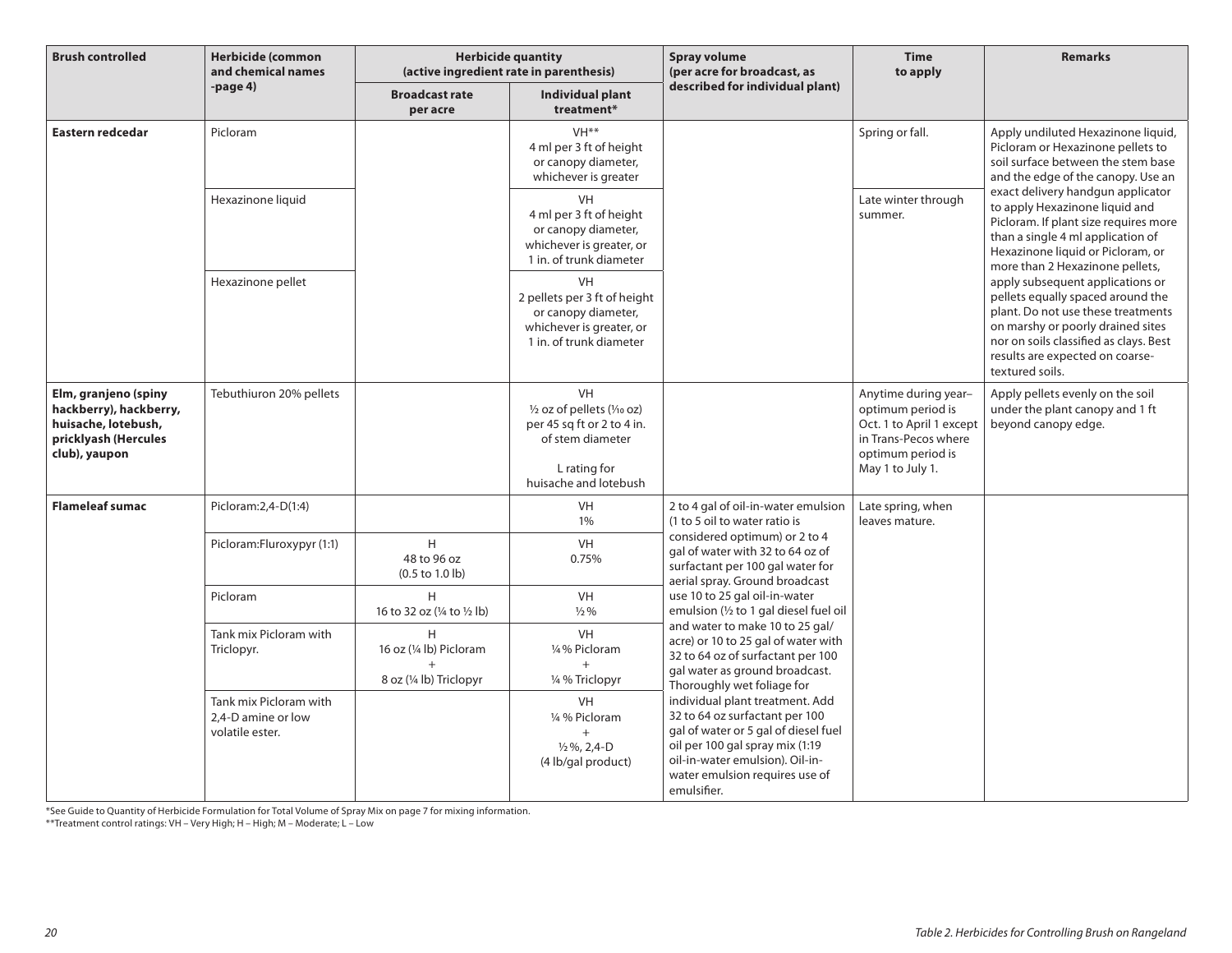| <b>Brush controlled</b>                                                                                        | <b>Herbicide (common</b><br>and chemical names<br>-page 4)      | <b>Herbicide quantity</b><br>(active ingredient rate in parenthesis) |                                                                                                                                     | <b>Spray volume</b><br>(per acre for broadcast, as                                                                                                                                                                                                                                                                                                                                                              | <b>Time</b><br>to apply                                                                                                                | <b>Remarks</b>                                                                                                                                                                                                                                   |
|----------------------------------------------------------------------------------------------------------------|-----------------------------------------------------------------|----------------------------------------------------------------------|-------------------------------------------------------------------------------------------------------------------------------------|-----------------------------------------------------------------------------------------------------------------------------------------------------------------------------------------------------------------------------------------------------------------------------------------------------------------------------------------------------------------------------------------------------------------|----------------------------------------------------------------------------------------------------------------------------------------|--------------------------------------------------------------------------------------------------------------------------------------------------------------------------------------------------------------------------------------------------|
|                                                                                                                |                                                                 | <b>Broadcast rate</b><br>per acre                                    | Individual plant<br>treatment*                                                                                                      | described for individual plant)                                                                                                                                                                                                                                                                                                                                                                                 |                                                                                                                                        |                                                                                                                                                                                                                                                  |
| Eastern redcedar                                                                                               | Picloram                                                        |                                                                      | VH <sup>**</sup><br>4 ml per 3 ft of height<br>or canopy diameter,<br>whichever is greater                                          |                                                                                                                                                                                                                                                                                                                                                                                                                 | Spring or fall.                                                                                                                        | Apply undiluted Hexazinone liquid,<br>Picloram or Hexazinone pellets to<br>soil surface between the stem base<br>and the edge of the canopy. Use an                                                                                              |
|                                                                                                                | Hexazinone liquid                                               |                                                                      | VH<br>4 ml per 3 ft of height<br>or canopy diameter,<br>whichever is greater, or<br>1 in. of trunk diameter                         |                                                                                                                                                                                                                                                                                                                                                                                                                 | Late winter through<br>summer.                                                                                                         | exact delivery handgun applicator<br>to apply Hexazinone liquid and<br>Picloram. If plant size requires more<br>than a single 4 ml application of<br>Hexazinone liquid or Picloram, or<br>more than 2 Hexazinone pellets,                        |
|                                                                                                                | Hexazinone pellet                                               |                                                                      | VH<br>2 pellets per 3 ft of height<br>or canopy diameter,<br>whichever is greater, or<br>1 in. of trunk diameter                    |                                                                                                                                                                                                                                                                                                                                                                                                                 |                                                                                                                                        | apply subsequent applications or<br>pellets equally spaced around the<br>plant. Do not use these treatments<br>on marshy or poorly drained sites<br>nor on soils classified as clays. Best<br>results are expected on coarse-<br>textured soils. |
| Elm, granjeno (spiny<br>hackberry), hackberry,<br>huisache, lotebush,<br>pricklyash (Hercules<br>club), yaupon | Tebuthiuron 20% pellets                                         |                                                                      | <b>VH</b><br>1/2 oz of pellets (1/10 oz)<br>per 45 sq ft or 2 to 4 in.<br>of stem diameter<br>L rating for<br>huisache and lotebush |                                                                                                                                                                                                                                                                                                                                                                                                                 | Anytime during year-<br>optimum period is<br>Oct. 1 to April 1 except<br>in Trans-Pecos where<br>optimum period is<br>May 1 to July 1. | Apply pellets evenly on the soil<br>under the plant canopy and 1 ft<br>beyond canopy edge.                                                                                                                                                       |
| <b>Flameleaf sumac</b>                                                                                         | Picloram: 2, 4-D(1:4)                                           |                                                                      | <b>VH</b><br>1%                                                                                                                     | 2 to 4 gal of oil-in-water emulsion<br>(1 to 5 oil to water ratio is                                                                                                                                                                                                                                                                                                                                            | Late spring, when<br>leaves mature.                                                                                                    |                                                                                                                                                                                                                                                  |
|                                                                                                                | Picloram: Fluroxypyr (1:1)                                      | H<br>48 to 96 oz<br>$(0.5 \text{ to } 1.0 \text{ lb})$               | <b>VH</b><br>0.75%                                                                                                                  | considered optimum) or 2 to 4<br>gal of water with 32 to 64 oz of<br>surfactant per 100 gal water for<br>aerial spray. Ground broadcast                                                                                                                                                                                                                                                                         |                                                                                                                                        |                                                                                                                                                                                                                                                  |
|                                                                                                                | Picloram                                                        | H<br>16 to 32 oz (¼ to ½ lb)                                         | VH<br>$\frac{1}{2}$ %                                                                                                               | use 10 to 25 gal oil-in-water<br>emulsion (1/2 to 1 gal diesel fuel oil                                                                                                                                                                                                                                                                                                                                         |                                                                                                                                        |                                                                                                                                                                                                                                                  |
|                                                                                                                | Tank mix Picloram with<br>Triclopyr.                            | H<br>16 oz (1/4 lb) Picloram<br>8 oz (1/4 lb) Triclopyr              | VH<br>1/4% Picloram<br>1/4 % Triclopyr                                                                                              | and water to make 10 to 25 gal/<br>acre) or 10 to 25 gal of water with<br>32 to 64 oz of surfactant per 100<br>gal water as ground broadcast.<br>Thoroughly wet foliage for<br>individual plant treatment. Add<br>32 to 64 oz surfactant per 100<br>gal of water or 5 gal of diesel fuel<br>oil per 100 gal spray mix (1:19<br>oil-in-water emulsion). Oil-in-<br>water emulsion requires use of<br>emulsifier. |                                                                                                                                        |                                                                                                                                                                                                                                                  |
|                                                                                                                | Tank mix Picloram with<br>2.4-D amine or low<br>volatile ester. |                                                                      | <b>VH</b><br>1/4 % Picloram<br>$+$<br>$\frac{1}{2}\%$ , 2,4-D<br>(4 lb/gal product)                                                 |                                                                                                                                                                                                                                                                                                                                                                                                                 |                                                                                                                                        |                                                                                                                                                                                                                                                  |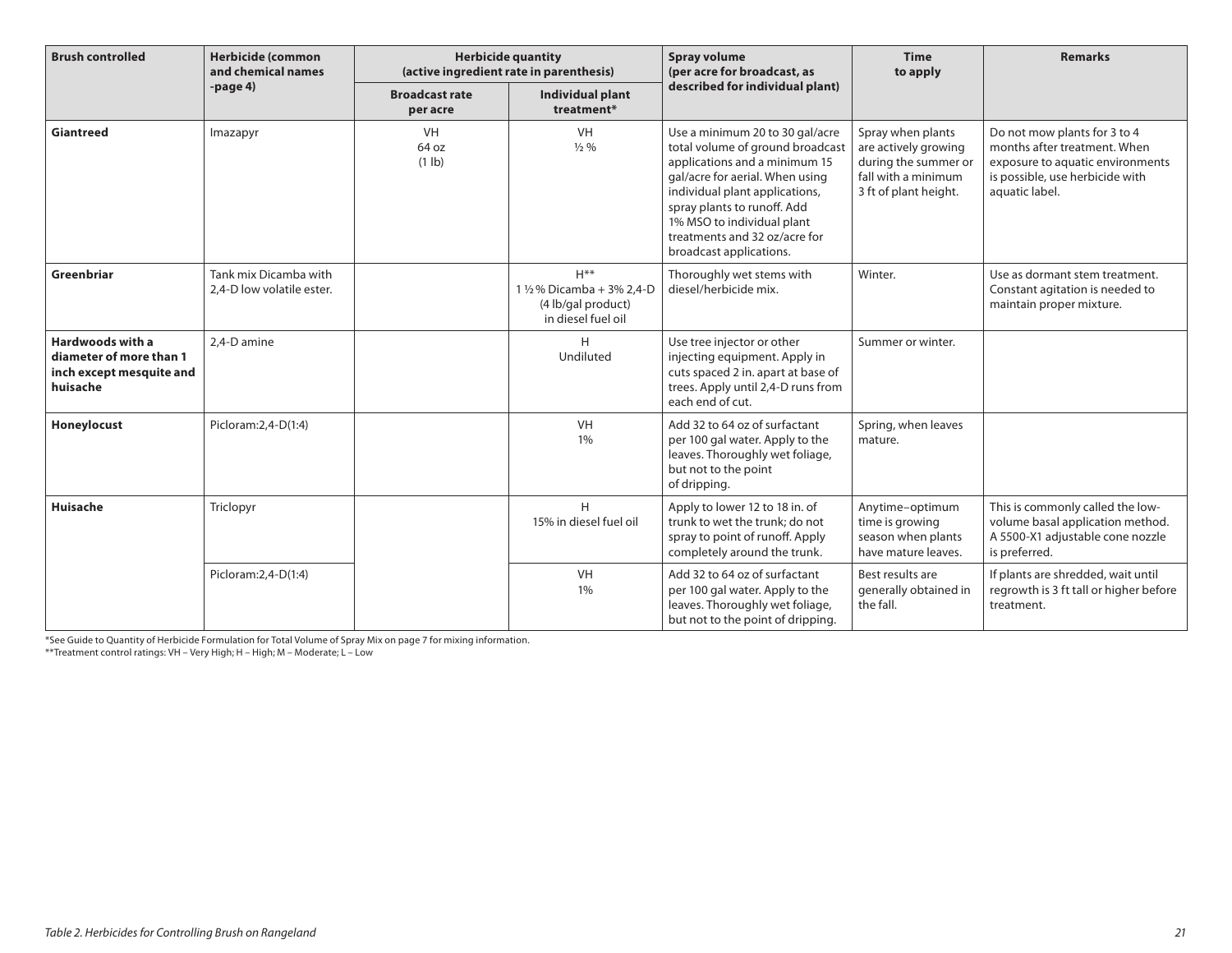| <b>Brush controlled</b>                                                                    | <b>Herbicide (common</b><br>and chemical names     | <b>Herbicide quantity</b><br>(active ingredient rate in parenthesis) |                                                                                 | <b>Spray volume</b><br>(per acre for broadcast, as<br>described for individual plant)                                                                                                                                                                                                              | <b>Time</b><br>to apply                                                                                           | <b>Remarks</b>                                                                                                                                        |
|--------------------------------------------------------------------------------------------|----------------------------------------------------|----------------------------------------------------------------------|---------------------------------------------------------------------------------|----------------------------------------------------------------------------------------------------------------------------------------------------------------------------------------------------------------------------------------------------------------------------------------------------|-------------------------------------------------------------------------------------------------------------------|-------------------------------------------------------------------------------------------------------------------------------------------------------|
|                                                                                            | $-page4$                                           | <b>Broadcast rate</b><br>per acre                                    | <b>Individual plant</b><br>treatment*                                           |                                                                                                                                                                                                                                                                                                    |                                                                                                                   |                                                                                                                                                       |
| <b>Giantreed</b>                                                                           | Imazapyr                                           | VH<br>64 oz<br>$(1 \text{ lb})$                                      | <b>VH</b><br>$\frac{1}{2}$ %                                                    | Use a minimum 20 to 30 gal/acre<br>total volume of ground broadcast<br>applications and a minimum 15<br>gal/acre for aerial. When using<br>individual plant applications,<br>spray plants to runoff. Add<br>1% MSO to individual plant<br>treatments and 32 oz/acre for<br>broadcast applications. | Spray when plants<br>are actively growing<br>during the summer or<br>fall with a minimum<br>3 ft of plant height. | Do not mow plants for 3 to 4<br>months after treatment. When<br>exposure to aquatic environments<br>is possible, use herbicide with<br>aquatic label. |
| Greenbriar                                                                                 | Tank mix Dicamba with<br>2,4-D low volatile ester. |                                                                      | $H***$<br>1 1/2% Dicamba + 3% 2,4-D<br>(4 lb/gal product)<br>in diesel fuel oil | Thoroughly wet stems with<br>diesel/herbicide mix.                                                                                                                                                                                                                                                 | Winter.                                                                                                           | Use as dormant stem treatment.<br>Constant agitation is needed to<br>maintain proper mixture.                                                         |
| <b>Hardwoods with a</b><br>diameter of more than 1<br>inch except mesquite and<br>huisache | 2.4-D amine                                        |                                                                      | Н<br>Undiluted                                                                  | Use tree injector or other<br>injecting equipment. Apply in<br>cuts spaced 2 in. apart at base of<br>trees. Apply until 2,4-D runs from<br>each end of cut.                                                                                                                                        | Summer or winter.                                                                                                 |                                                                                                                                                       |
| Honeylocust                                                                                | Picloram: 2, 4-D(1:4)                              |                                                                      | <b>VH</b><br>1%                                                                 | Add 32 to 64 oz of surfactant<br>per 100 gal water. Apply to the<br>leaves. Thoroughly wet foliage,<br>but not to the point<br>of dripping.                                                                                                                                                        | Spring, when leaves<br>mature.                                                                                    |                                                                                                                                                       |
| <b>Huisache</b>                                                                            | Triclopyr                                          |                                                                      | H<br>15% in diesel fuel oil                                                     | Apply to lower 12 to 18 in. of<br>trunk to wet the trunk: do not<br>spray to point of runoff. Apply<br>completely around the trunk.                                                                                                                                                                | Anytime-optimum<br>time is growing<br>season when plants<br>have mature leaves.                                   | This is commonly called the low-<br>volume basal application method.<br>A 5500-X1 adjustable cone nozzle<br>is preferred.                             |
|                                                                                            | Picloram: 2, 4-D(1:4)                              |                                                                      | VH<br>1%                                                                        | Add 32 to 64 oz of surfactant<br>per 100 gal water. Apply to the<br>leaves. Thoroughly wet foliage,<br>but not to the point of dripping.                                                                                                                                                           | Best results are<br>generally obtained in<br>the fall.                                                            | If plants are shredded, wait until<br>regrowth is 3 ft tall or higher before<br>treatment.                                                            |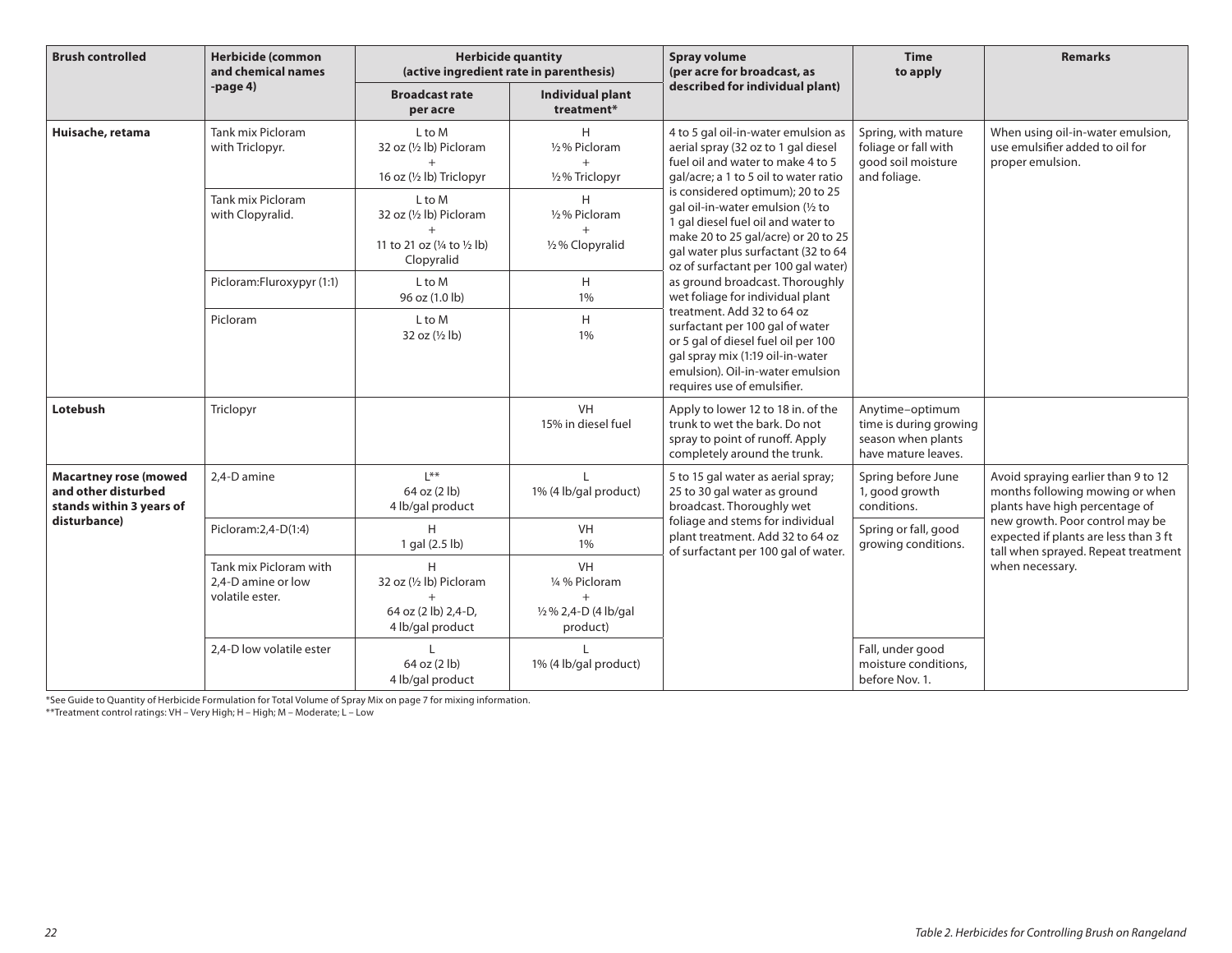| <b>Brush controlled</b>                                                         | <b>Herbicide (common</b><br>and chemical names                  | <b>Herbicide quantity</b><br>(active ingredient rate in parenthesis)           |                                                                        | <b>Spray volume</b><br>(per acre for broadcast, as                                                                                                                                                                                                                                 | <b>Time</b><br>to apply                                                                | <b>Remarks</b>                                                                                                                                                                                                                                 |
|---------------------------------------------------------------------------------|-----------------------------------------------------------------|--------------------------------------------------------------------------------|------------------------------------------------------------------------|------------------------------------------------------------------------------------------------------------------------------------------------------------------------------------------------------------------------------------------------------------------------------------|----------------------------------------------------------------------------------------|------------------------------------------------------------------------------------------------------------------------------------------------------------------------------------------------------------------------------------------------|
|                                                                                 | $-paqe4$                                                        | <b>Broadcast rate</b><br>per acre                                              | <b>Individual plant</b><br>treatment*                                  | described for individual plant)                                                                                                                                                                                                                                                    |                                                                                        |                                                                                                                                                                                                                                                |
| Huisache, retama                                                                | Tank mix Picloram<br>with Triclopyr.                            | L to M<br>32 oz (1/2 lb) Picloram<br>$+$<br>16 oz (1/2 lb) Triclopyr           | н<br>1/2% Picloram<br>$+$<br>1/2% Triclopyr                            | 4 to 5 gal oil-in-water emulsion as<br>aerial spray (32 oz to 1 gal diesel<br>fuel oil and water to make 4 to 5<br>gal/acre; a 1 to 5 oil to water ratio                                                                                                                           | Spring, with mature<br>foliage or fall with<br>good soil moisture<br>and foliage.      | When using oil-in-water emulsion,<br>use emulsifier added to oil for<br>proper emulsion.                                                                                                                                                       |
|                                                                                 | Tank mix Picloram<br>with Clopyralid.                           | L to M<br>32 oz (1/2 lb) Picloram<br>11 to 21 oz (1/4 to 1/2 lb)<br>Clopyralid | Н<br>1/2% Picloram<br>1/2% Clopyralid                                  | is considered optimum); 20 to 25<br>gal oil-in-water emulsion (1/2 to<br>1 gal diesel fuel oil and water to<br>make 20 to 25 gal/acre) or 20 to 25<br>gal water plus surfactant (32 to 64<br>oz of surfactant per 100 gal water)                                                   |                                                                                        |                                                                                                                                                                                                                                                |
|                                                                                 | Picloram: Fluroxypyr (1:1)                                      | L to M<br>96 oz (1.0 lb)                                                       | H<br>1%                                                                | as ground broadcast. Thoroughly<br>wet foliage for individual plant<br>treatment. Add 32 to 64 oz<br>surfactant per 100 gal of water<br>or 5 gal of diesel fuel oil per 100<br>gal spray mix (1:19 oil-in-water<br>emulsion). Oil-in-water emulsion<br>requires use of emulsifier. |                                                                                        |                                                                                                                                                                                                                                                |
|                                                                                 | Picloram                                                        | L to M<br>32 oz (1/2 lb)                                                       | H<br>1%                                                                |                                                                                                                                                                                                                                                                                    |                                                                                        |                                                                                                                                                                                                                                                |
| Lotebush                                                                        | Triclopyr                                                       |                                                                                | VH<br>15% in diesel fuel                                               | Apply to lower 12 to 18 in. of the<br>trunk to wet the bark. Do not<br>spray to point of runoff. Apply<br>completely around the trunk.                                                                                                                                             | Anytime-optimum<br>time is during growing<br>season when plants<br>have mature leaves. |                                                                                                                                                                                                                                                |
| <b>Macartney rose (mowed</b><br>and other disturbed<br>stands within 3 years of | 2,4-D amine                                                     | $1$ **<br>64 oz (2 lb)<br>4 lb/gal product                                     | L<br>1% (4 lb/gal product)                                             | 5 to 15 gal water as aerial spray;<br>25 to 30 gal water as ground<br>broadcast. Thoroughly wet                                                                                                                                                                                    | Spring before June<br>1, good growth<br>conditions.                                    | Avoid spraying earlier than 9 to 12<br>months following mowing or when<br>plants have high percentage of<br>new growth. Poor control may be<br>expected if plants are less than 3 ft<br>tall when sprayed. Repeat treatment<br>when necessary. |
| disturbance)                                                                    | Picloram: 2,4-D(1:4)                                            | H<br>1 gal (2.5 lb)                                                            | VH<br>1%                                                               | foliage and stems for individual<br>plant treatment. Add 32 to 64 oz<br>of surfactant per 100 gal of water.                                                                                                                                                                        | Spring or fall, good<br>growing conditions.                                            |                                                                                                                                                                                                                                                |
|                                                                                 | Tank mix Picloram with<br>2.4-D amine or low<br>volatile ester. | H<br>32 oz (1/2 lb) Picloram<br>$+$<br>64 oz (2 lb) 2,4-D,<br>4 lb/gal product | <b>VH</b><br>1/4 % Picloram<br>$+$<br>1/2% 2,4-D (4 lb/gal<br>product) |                                                                                                                                                                                                                                                                                    |                                                                                        |                                                                                                                                                                                                                                                |
|                                                                                 | 2,4-D low volatile ester                                        | 64 oz (2 lb)<br>4 lb/gal product                                               | 1% (4 lb/gal product)                                                  |                                                                                                                                                                                                                                                                                    | Fall, under good<br>moisture conditions,<br>before Nov. 1.                             |                                                                                                                                                                                                                                                |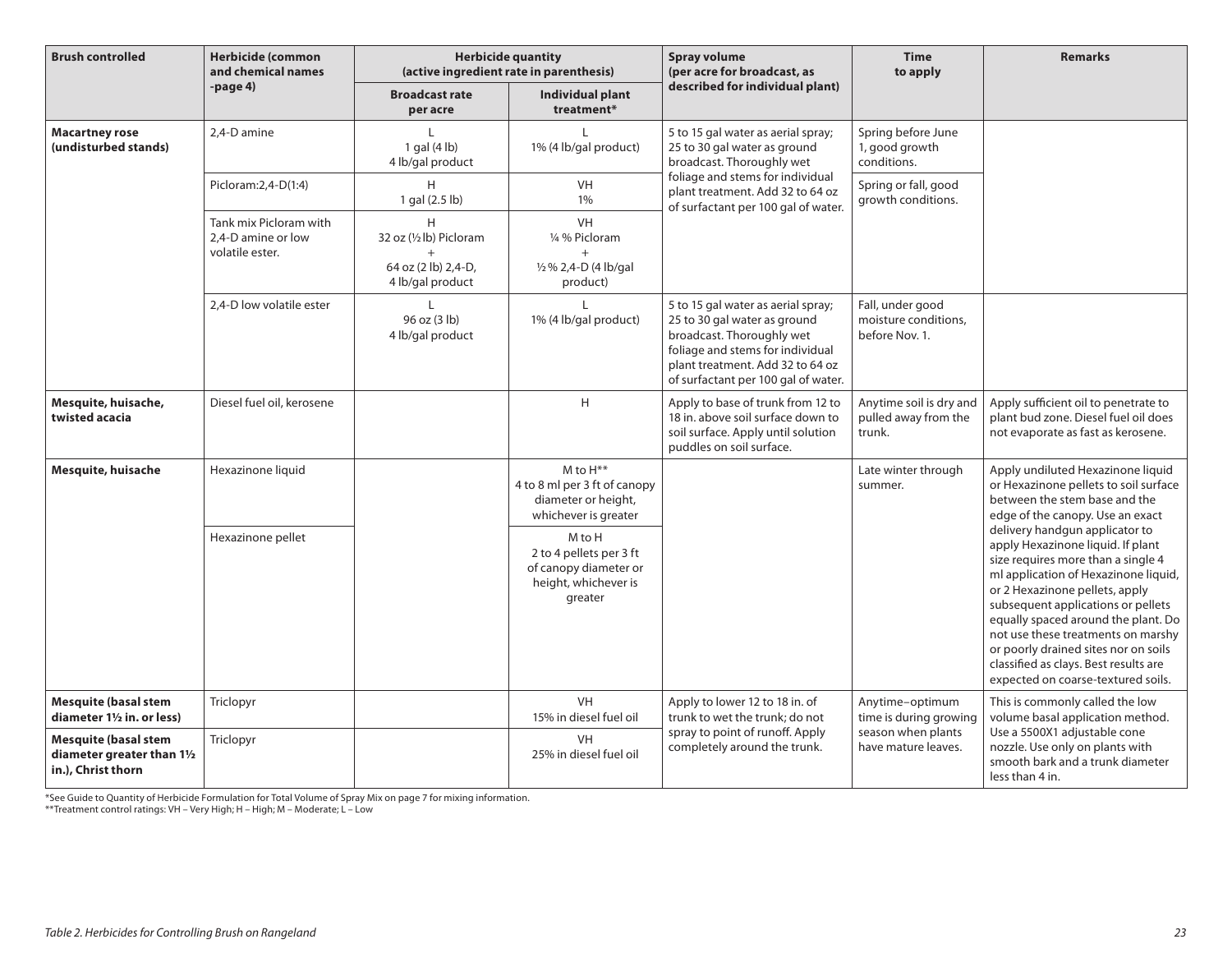| <b>Brush controlled</b>                                                         | <b>Herbicide (common</b><br>and chemical names                  | <b>Herbicide quantity</b><br>(active ingredient rate in parenthesis)    |                                                                                               | <b>Spray volume</b><br>(per acre for broadcast, as                                                                                                                                                             | <b>Time</b><br>to apply                                    | <b>Remarks</b>                                                                                                                                                                                                                                                                                                                                                                                                                |
|---------------------------------------------------------------------------------|-----------------------------------------------------------------|-------------------------------------------------------------------------|-----------------------------------------------------------------------------------------------|----------------------------------------------------------------------------------------------------------------------------------------------------------------------------------------------------------------|------------------------------------------------------------|-------------------------------------------------------------------------------------------------------------------------------------------------------------------------------------------------------------------------------------------------------------------------------------------------------------------------------------------------------------------------------------------------------------------------------|
|                                                                                 | -page 4)                                                        | <b>Broadcast rate</b><br>per acre                                       | <b>Individual plant</b><br>treatment*                                                         | described for individual plant)                                                                                                                                                                                |                                                            |                                                                                                                                                                                                                                                                                                                                                                                                                               |
| <b>Macartney rose</b><br>(undisturbed stands)                                   | 2.4-D amine                                                     | 1 gal (4 lb)<br>4 lb/gal product                                        | L<br>1% (4 lb/gal product)                                                                    | 5 to 15 gal water as aerial spray;<br>25 to 30 gal water as ground<br>broadcast. Thoroughly wet                                                                                                                | Spring before June<br>1, good growth<br>conditions.        |                                                                                                                                                                                                                                                                                                                                                                                                                               |
|                                                                                 | Picloram: 2, 4-D(1:4)                                           | H<br>1 gal (2.5 lb)                                                     | <b>VH</b><br>1%                                                                               | foliage and stems for individual<br>plant treatment. Add 32 to 64 oz<br>of surfactant per 100 gal of water.                                                                                                    | Spring or fall, good<br>growth conditions.                 |                                                                                                                                                                                                                                                                                                                                                                                                                               |
|                                                                                 | Tank mix Picloram with<br>2.4-D amine or low<br>volatile ester. | H<br>32 oz (1/2 lb) Picloram<br>64 oz (2 lb) 2,4-D,<br>4 lb/gal product | <b>VH</b><br>1/4 % Picloram<br>$+$<br>1/2 % 2,4-D (4 lb/gal<br>product)                       |                                                                                                                                                                                                                |                                                            |                                                                                                                                                                                                                                                                                                                                                                                                                               |
|                                                                                 | 2.4-D low volatile ester                                        | 96 oz (3 lb)<br>4 lb/gal product                                        | 1% (4 lb/gal product)                                                                         | 5 to 15 gal water as aerial spray;<br>25 to 30 gal water as ground<br>broadcast. Thoroughly wet<br>foliage and stems for individual<br>plant treatment. Add 32 to 64 oz<br>of surfactant per 100 gal of water. | Fall, under good<br>moisture conditions,<br>before Nov. 1. |                                                                                                                                                                                                                                                                                                                                                                                                                               |
| Mesquite, huisache,<br>twisted acacia                                           | Diesel fuel oil, kerosene                                       |                                                                         | H                                                                                             | Apply to base of trunk from 12 to<br>18 in, above soil surface down to<br>soil surface. Apply until solution<br>puddles on soil surface.                                                                       | Anytime soil is dry and<br>pulled away from the<br>trunk.  | Apply sufficient oil to penetrate to<br>plant bud zone. Diesel fuel oil does<br>not evaporate as fast as kerosene.                                                                                                                                                                                                                                                                                                            |
| Mesquite, huisache                                                              | Hexazinone liquid                                               |                                                                         | M to $H^{**}$<br>4 to 8 ml per 3 ft of canopy<br>diameter or height,<br>whichever is greater  |                                                                                                                                                                                                                | Late winter through<br>summer.                             | Apply undiluted Hexazinone liquid<br>or Hexazinone pellets to soil surface<br>between the stem base and the<br>edge of the canopy. Use an exact                                                                                                                                                                                                                                                                               |
|                                                                                 | Hexazinone pellet                                               |                                                                         | M to H<br>2 to 4 pellets per 3 ft<br>of canopy diameter or<br>height, whichever is<br>greater |                                                                                                                                                                                                                |                                                            | delivery handgun applicator to<br>apply Hexazinone liquid. If plant<br>size requires more than a single 4<br>ml application of Hexazinone liquid,<br>or 2 Hexazinone pellets, apply<br>subsequent applications or pellets<br>equally spaced around the plant. Do<br>not use these treatments on marshy<br>or poorly drained sites nor on soils<br>classified as clays. Best results are<br>expected on coarse-textured soils. |
| <b>Mesquite (basal stem</b><br>diameter 11/2 in. or less)                       | Triclopyr                                                       |                                                                         | <b>VH</b><br>15% in diesel fuel oil                                                           | Apply to lower 12 to 18 in. of<br>trunk to wet the trunk; do not                                                                                                                                               | Anytime-optimum<br>time is during growing                  | This is commonly called the low<br>volume basal application method.                                                                                                                                                                                                                                                                                                                                                           |
| <b>Mesquite (basal stem</b><br>diameter greater than 11/2<br>in.), Christ thorn | Triclopyr                                                       |                                                                         | <b>VH</b><br>25% in diesel fuel oil                                                           | spray to point of runoff. Apply<br>completely around the trunk.                                                                                                                                                | season when plants<br>have mature leaves.                  | Use a 5500X1 adjustable cone<br>nozzle. Use only on plants with<br>smooth bark and a trunk diameter<br>less than 4 in.                                                                                                                                                                                                                                                                                                        |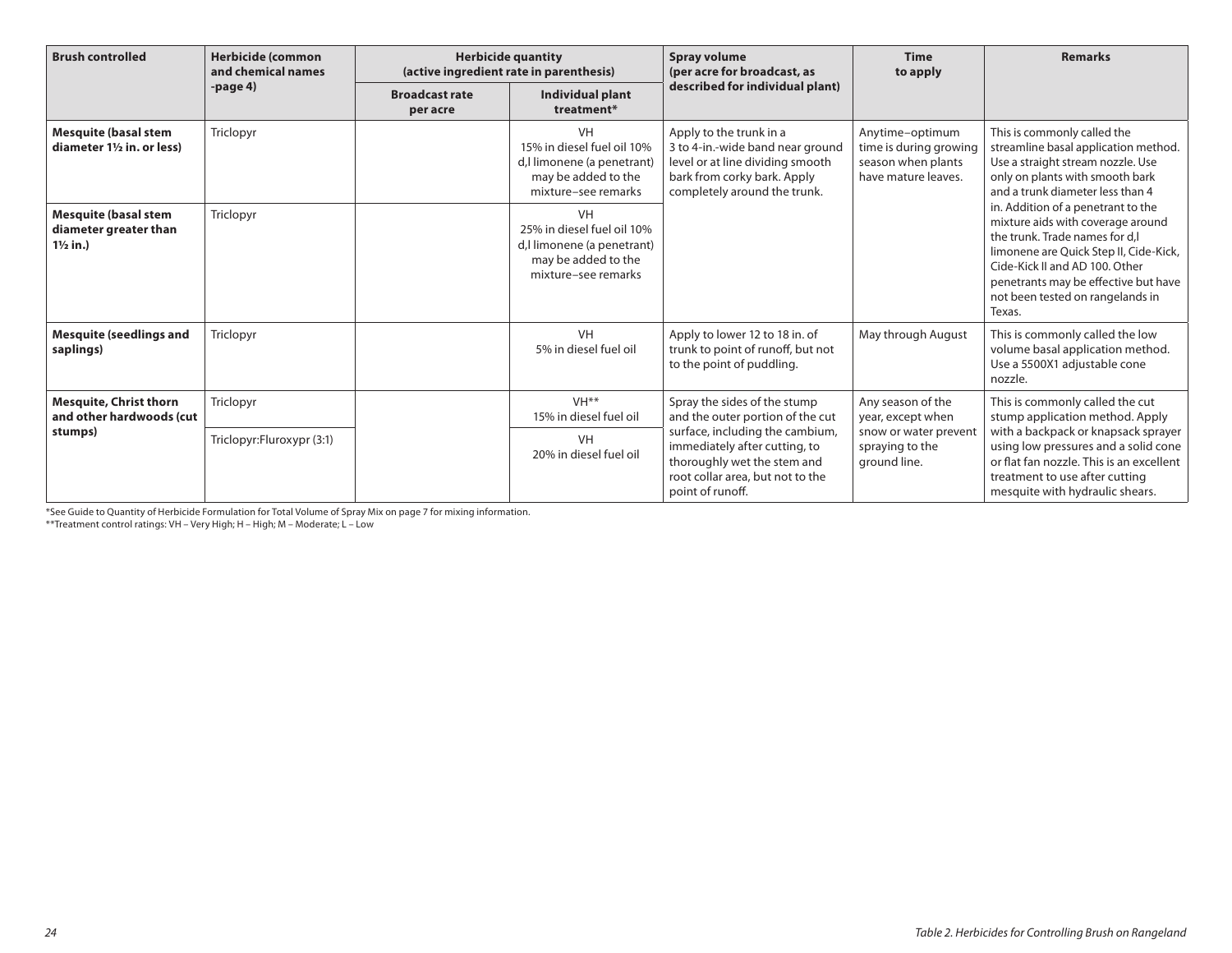| <b>Brush controlled</b>                                                     | <b>Herbicide (common</b><br>and chemical names |                                   | <b>Herbicide quantity</b><br>(active ingredient rate in parenthesis)                                                | <b>Spray volume</b><br>(per acre for broadcast, as                                                                                                             | <b>Time</b><br>to apply                                                                            | <b>Remarks</b>                                                                                                                                                                                                                                                                                                                                                                                                                                                  |
|-----------------------------------------------------------------------------|------------------------------------------------|-----------------------------------|---------------------------------------------------------------------------------------------------------------------|----------------------------------------------------------------------------------------------------------------------------------------------------------------|----------------------------------------------------------------------------------------------------|-----------------------------------------------------------------------------------------------------------------------------------------------------------------------------------------------------------------------------------------------------------------------------------------------------------------------------------------------------------------------------------------------------------------------------------------------------------------|
|                                                                             | -page $4)$                                     | <b>Broadcast rate</b><br>per acre | Individual plant<br>treatment*                                                                                      | described for individual plant)                                                                                                                                |                                                                                                    |                                                                                                                                                                                                                                                                                                                                                                                                                                                                 |
| <b>Mesquite (basal stem</b><br>diameter 11/2 in. or less)                   | Triclopyr                                      |                                   | <b>VH</b><br>15% in diesel fuel oil 10%<br>d, limonene (a penetrant)<br>may be added to the<br>mixture-see remarks  | Apply to the trunk in a<br>3 to 4-in.-wide band near ground<br>level or at line dividing smooth<br>bark from corky bark. Apply<br>completely around the trunk. | Anytime-optimum<br>time is during growing<br>season when plants<br>have mature leaves.             | This is commonly called the<br>streamline basal application method.<br>Use a straight stream nozzle. Use<br>only on plants with smooth bark<br>and a trunk diameter less than 4<br>in. Addition of a penetrant to the<br>mixture aids with coverage around<br>the trunk. Trade names for d.l.<br>limonene are Quick Step II, Cide-Kick,<br>Cide-Kick II and AD 100. Other<br>penetrants may be effective but have<br>not been tested on rangelands in<br>Texas. |
| <b>Mesquite (basal stem</b><br>diameter greater than<br>$1\frac{1}{2}$ in.) | Triclopyr                                      |                                   | <b>VH</b><br>25% in diesel fuel oil 10%<br>d, llimonene (a penetrant)<br>may be added to the<br>mixture-see remarks |                                                                                                                                                                |                                                                                                    |                                                                                                                                                                                                                                                                                                                                                                                                                                                                 |
| <b>Mesquite (seedlings and</b><br>saplings)                                 | Triclopyr                                      |                                   | <b>VH</b><br>5% in diesel fuel oil                                                                                  | Apply to lower 12 to 18 in. of<br>trunk to point of runoff, but not<br>to the point of puddling.                                                               | May through August                                                                                 | This is commonly called the low<br>volume basal application method.<br>Use a 5500X1 adjustable cone<br>nozzle.                                                                                                                                                                                                                                                                                                                                                  |
| <b>Mesquite, Christ thorn</b><br>and other hardwoods (cut<br>stumps)        | Triclopyr                                      |                                   | VH <sup>**</sup><br>15% in diesel fuel oil                                                                          | Spray the sides of the stump<br>and the outer portion of the cut                                                                                               | Any season of the<br>year, except when<br>snow or water prevent<br>spraying to the<br>ground line. | This is commonly called the cut<br>stump application method. Apply<br>with a backpack or knapsack sprayer<br>using low pressures and a solid cone<br>or flat fan nozzle. This is an excellent<br>treatment to use after cutting<br>mesquite with hydraulic shears.                                                                                                                                                                                              |
|                                                                             | Triclopyr:Fluroxypr (3:1)                      |                                   | <b>VH</b><br>20% in diesel fuel oil                                                                                 | surface, including the cambium,<br>immediately after cutting, to<br>thoroughly wet the stem and<br>root collar area, but not to the<br>point of runoff.        |                                                                                                    |                                                                                                                                                                                                                                                                                                                                                                                                                                                                 |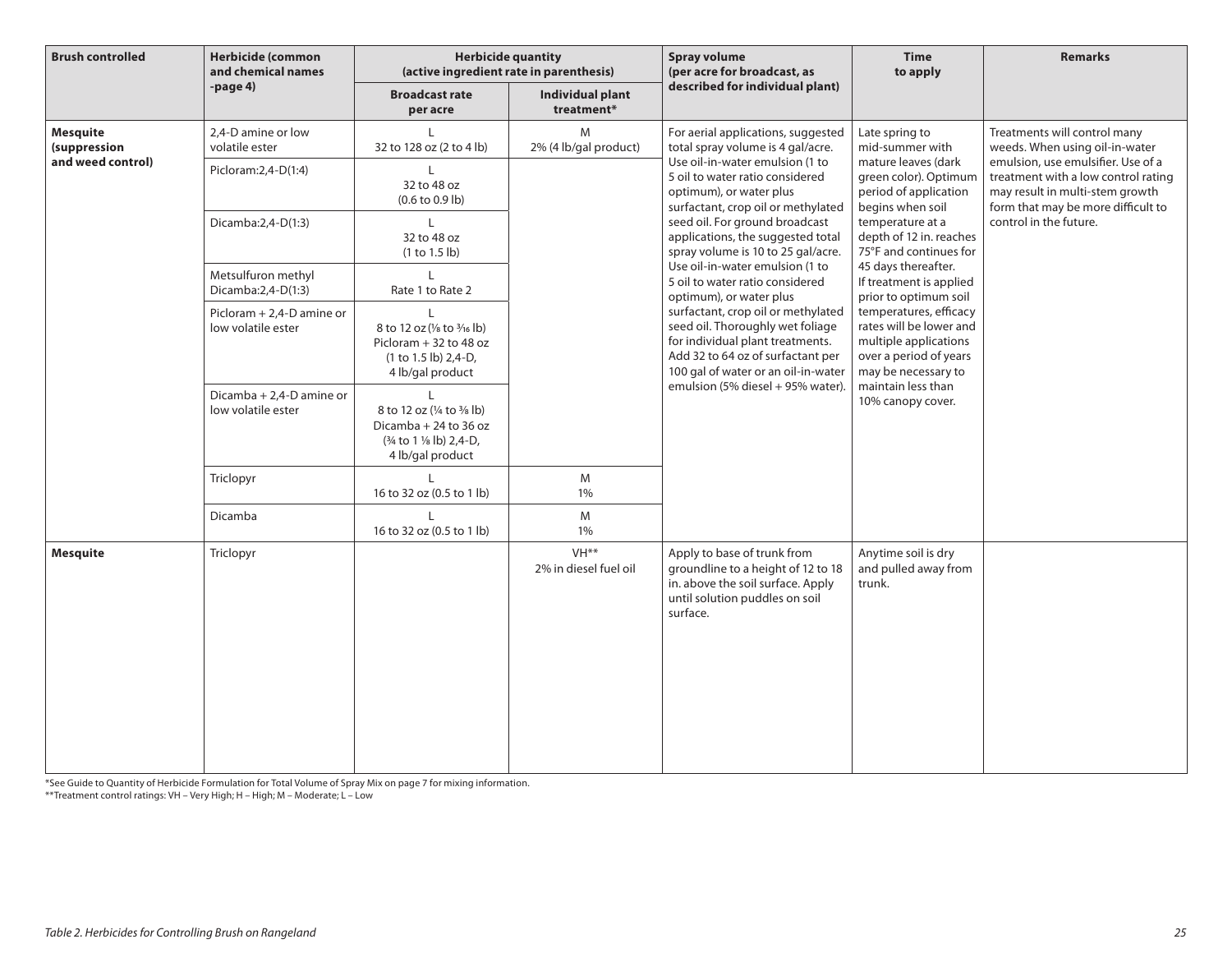| <b>Brush controlled</b>                | Herbicide (common<br>and chemical names         | <b>Herbicide quantity</b><br>(active ingredient rate in parenthesis)                                   |                                           | <b>Spray volume</b><br>(per acre for broadcast, as                                                                                                                                     | <b>Time</b><br>to apply                                                                                                     | <b>Remarks</b>                                                                                                                                     |
|----------------------------------------|-------------------------------------------------|--------------------------------------------------------------------------------------------------------|-------------------------------------------|----------------------------------------------------------------------------------------------------------------------------------------------------------------------------------------|-----------------------------------------------------------------------------------------------------------------------------|----------------------------------------------------------------------------------------------------------------------------------------------------|
|                                        | $-page4$                                        | <b>Broadcast rate</b><br>per acre                                                                      | <b>Individual plant</b><br>treatment*     | described for individual plant)                                                                                                                                                        |                                                                                                                             |                                                                                                                                                    |
| <b>Mesquite</b><br><i>(suppression</i> | 2,4-D amine or low<br>volatile ester            | 32 to 128 oz (2 to 4 lb)                                                                               | M<br>2% (4 lb/gal product)                | For aerial applications, suggested<br>total spray volume is 4 gal/acre.                                                                                                                | Late spring to<br>mid-summer with                                                                                           | Treatments will control many<br>weeds. When using oil-in-water                                                                                     |
| and weed control)                      | Picloram: 2, 4-D(1:4)                           | I.<br>32 to 48 oz<br>$(0.6 \text{ to } 0.9 \text{ lb})$                                                |                                           | Use oil-in-water emulsion (1 to<br>5 oil to water ratio considered<br>optimum), or water plus<br>surfactant, crop oil or methylated                                                    | mature leaves (dark<br>green color). Optimum<br>period of application<br>begins when soil                                   | emulsion, use emulsifier. Use of a<br>treatment with a low control rating<br>may result in multi-stem growth<br>form that may be more difficult to |
|                                        | Dicamba:2,4-D(1:3)                              | 32 to 48 oz<br>(1 to 1.5 lb)                                                                           |                                           | seed oil. For ground broadcast<br>applications, the suggested total<br>spray volume is 10 to 25 gal/acre.                                                                              | temperature at a<br>depth of 12 in. reaches<br>75°F and continues for                                                       | control in the future.                                                                                                                             |
|                                        | Metsulfuron methyl<br>Dicamba:2,4-D(1:3)        | L<br>Rate 1 to Rate 2                                                                                  |                                           | Use oil-in-water emulsion (1 to<br>5 oil to water ratio considered<br>optimum), or water plus                                                                                          | 45 days thereafter.<br>If treatment is applied<br>prior to optimum soil                                                     |                                                                                                                                                    |
|                                        | Picloram + 2,4-D amine or<br>low volatile ester | L<br>8 to 12 oz (1/8 to 3/16 lb)<br>Picloram + 32 to 48 oz<br>(1 to 1.5 lb) 2,4-D,<br>4 lb/gal product |                                           | surfactant, crop oil or methylated<br>seed oil. Thoroughly wet foliage<br>for individual plant treatments.<br>Add 32 to 64 oz of surfactant per<br>100 gal of water or an oil-in-water | temperatures, efficacy<br>rates will be lower and<br>multiple applications<br>over a period of years<br>may be necessary to |                                                                                                                                                    |
|                                        | Dicamba + 2,4-D amine or<br>low volatile ester  | 8 to 12 oz (1/4 to 3/8 lb)<br>Dicamba + 24 to 36 oz<br>(3/4 to 1 1/8 lb) 2,4-D,<br>4 lb/gal product    |                                           | emulsion (5% diesel + 95% water).                                                                                                                                                      | maintain less than<br>10% canopy cover.                                                                                     |                                                                                                                                                    |
|                                        | Triclopyr                                       | 16 to 32 oz (0.5 to 1 lb)                                                                              | M<br>1%                                   |                                                                                                                                                                                        |                                                                                                                             |                                                                                                                                                    |
|                                        | Dicamba                                         | 16 to 32 oz (0.5 to 1 lb)                                                                              | M<br>1%                                   |                                                                                                                                                                                        |                                                                                                                             |                                                                                                                                                    |
| <b>Mesquite</b>                        | Triclopyr                                       |                                                                                                        | VH <sup>**</sup><br>2% in diesel fuel oil | Apply to base of trunk from<br>groundline to a height of 12 to 18<br>in. above the soil surface. Apply<br>until solution puddles on soil<br>surface.                                   | Anytime soil is dry<br>and pulled away from<br>trunk.                                                                       |                                                                                                                                                    |

\*See Guide to Quantity of Herbicide Formulation for Total Volume of Spray Mix on page 7 for mixing information.

\*\*Treatment control ratings: VH – Very High; H – High; M – Moderate; L – Low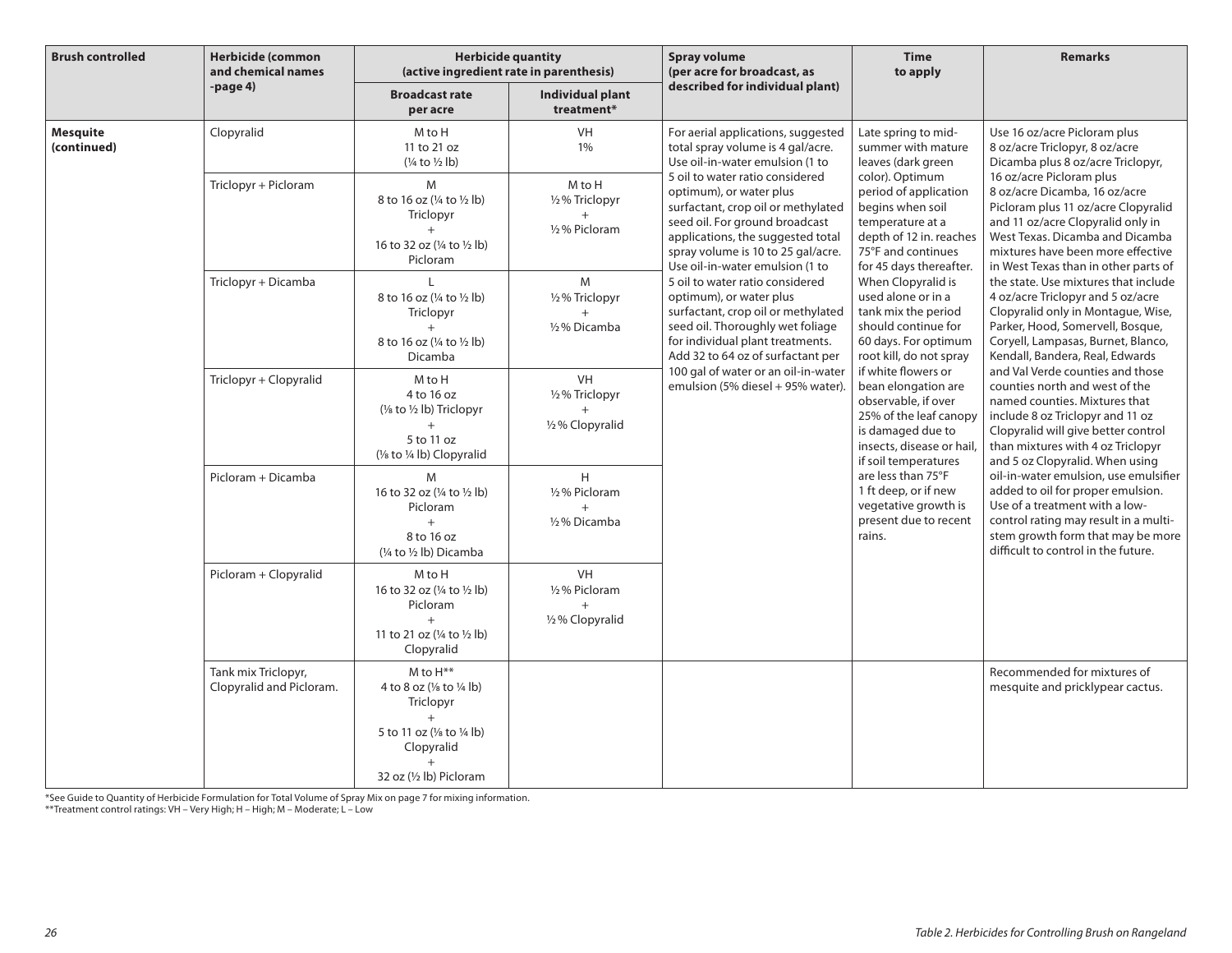| <b>Brush controlled</b>        | <b>Herbicide (common</b><br>and chemical names  | <b>Herbicide quantity</b><br>(active ingredient rate in parenthesis)                                                                          |                                                 | <b>Spray volume</b><br>(per acre for broadcast, as                                                                                                                                                                                                                                                                                                                                                                                                                                                                                            | <b>Time</b><br>to apply                                                                                                                                                                                                                                                                                   | <b>Remarks</b>                                                                                                                                                                                                                                         |
|--------------------------------|-------------------------------------------------|-----------------------------------------------------------------------------------------------------------------------------------------------|-------------------------------------------------|-----------------------------------------------------------------------------------------------------------------------------------------------------------------------------------------------------------------------------------------------------------------------------------------------------------------------------------------------------------------------------------------------------------------------------------------------------------------------------------------------------------------------------------------------|-----------------------------------------------------------------------------------------------------------------------------------------------------------------------------------------------------------------------------------------------------------------------------------------------------------|--------------------------------------------------------------------------------------------------------------------------------------------------------------------------------------------------------------------------------------------------------|
|                                | $-page4$                                        | <b>Broadcast rate</b><br>per acre                                                                                                             | Individual plant<br>treatment*                  | described for individual plant)                                                                                                                                                                                                                                                                                                                                                                                                                                                                                                               |                                                                                                                                                                                                                                                                                                           |                                                                                                                                                                                                                                                        |
| <b>Mesquite</b><br>(continued) | Clopyralid                                      | M to H<br>11 to 21 oz<br>$(\frac{1}{4}$ to $\frac{1}{2}$ lb)                                                                                  | VH<br>1%                                        | For aerial applications, suggested<br>total spray volume is 4 gal/acre.<br>Use oil-in-water emulsion (1 to                                                                                                                                                                                                                                                                                                                                                                                                                                    | Late spring to mid-<br>summer with mature<br>leaves (dark green                                                                                                                                                                                                                                           | Use 16 oz/acre Picloram plus<br>8 oz/acre Triclopyr, 8 oz/acre<br>Dicamba plus 8 oz/acre Triclopyr,                                                                                                                                                    |
|                                | Triclopyr + Picloram                            | M<br>8 to 16 oz (1/4 to 1/2 lb)<br>Triclopyr<br>$+$<br>16 to 32 oz (¼ to ½ lb)<br>Picloram                                                    | M to H<br>1/2% Triclopyr<br>1/2% Picloram       | 5 oil to water ratio considered<br>optimum), or water plus<br>surfactant, crop oil or methylated<br>seed oil. For ground broadcast<br>applications, the suggested total<br>spray volume is 10 to 25 gal/acre.<br>Use oil-in-water emulsion (1 to<br>5 oil to water ratio considered<br>optimum), or water plus<br>surfactant, crop oil or methylated<br>seed oil. Thoroughly wet foliage<br>for individual plant treatments.<br>Add 32 to 64 oz of surfactant per<br>100 gal of water or an oil-in-water<br>emulsion (5% diesel + 95% water). | color). Optimum<br>period of application<br>begins when soil<br>temperature at a<br>depth of 12 in. reaches<br>75°F and continues<br>for 45 days thereafter.<br>When Clopyralid is<br>used alone or in a<br>tank mix the period<br>should continue for<br>60 days. For optimum<br>root kill, do not spray | 16 oz/acre Picloram plus<br>8 oz/acre Dicamba, 16 oz/acre<br>Picloram plus 11 oz/acre Clopyralid<br>and 11 oz/acre Clopyralid only in<br>West Texas. Dicamba and Dicamba<br>mixtures have been more effective<br>in West Texas than in other parts of  |
|                                | Triclopyr + Dicamba                             | 8 to 16 oz (1/4 to 1/2 lb)<br>Triclopyr<br>$^{+}$<br>8 to 16 oz (1/4 to 1/2 lb)<br>Dicamba                                                    | M<br>1/2 % Triclopyr<br>1/2% Dicamba            |                                                                                                                                                                                                                                                                                                                                                                                                                                                                                                                                               |                                                                                                                                                                                                                                                                                                           | the state. Use mixtures that include<br>4 oz/acre Triclopyr and 5 oz/acre<br>Clopyralid only in Montague, Wise,<br>Parker, Hood, Somervell, Bosque,<br>Coryell, Lampasas, Burnet, Blanco,<br>Kendall, Bandera, Real, Edwards                           |
|                                | Triclopyr + Clopyralid                          | M to H<br>4 to 16 oz<br>$\frac{1}{2}$ to $\frac{1}{2}$ lb) Triclopyr<br>5 to 11 oz<br>(1/8 to 1/4 lb) Clopyralid                              | <b>VH</b><br>1/2 % Triclopyr<br>1/2% Clopyralid |                                                                                                                                                                                                                                                                                                                                                                                                                                                                                                                                               | if white flowers or<br>bean elongation are<br>observable, if over<br>25% of the leaf canopy<br>is damaged due to<br>insects, disease or hail,<br>if soil temperatures                                                                                                                                     | and Val Verde counties and those<br>counties north and west of the<br>named counties. Mixtures that<br>include 8 oz Triclopyr and 11 oz<br>Clopyralid will give better control<br>than mixtures with 4 oz Triclopyr<br>and 5 oz Clopyralid. When using |
|                                | Picloram + Dicamba                              | M<br>16 to 32 oz (1/4 to 1/2 lb)<br>Picloram<br>$+$<br>8 to 16 oz<br>$(1/4$ to $1/2$ lb) Dicamba                                              | H<br>1/2% Picloram<br>$+$<br>1/2% Dicamba       |                                                                                                                                                                                                                                                                                                                                                                                                                                                                                                                                               | are less than 75°F<br>1 ft deep, or if new<br>vegetative growth is<br>present due to recent<br>rains.                                                                                                                                                                                                     | oil-in-water emulsion, use emulsifier<br>added to oil for proper emulsion.<br>Use of a treatment with a low-<br>control rating may result in a multi-<br>stem growth form that may be more<br>difficult to control in the future.                      |
|                                | Picloram + Clopyralid                           | M to H<br>16 to 32 oz (¼ to ½ lb)<br>Picloram<br>$+$<br>11 to 21 oz $(\frac{1}{4}$ to $\frac{1}{2}$ lb)<br>Clopyralid                         | VH<br>1/2% Picloram<br>$+$<br>1/2 % Clopyralid  |                                                                                                                                                                                                                                                                                                                                                                                                                                                                                                                                               |                                                                                                                                                                                                                                                                                                           |                                                                                                                                                                                                                                                        |
|                                | Tank mix Triclopyr,<br>Clopyralid and Picloram. | M to H**<br>4 to 8 oz (1/8 to 1/4 lb)<br>Triclopyr<br>$+$<br>5 to 11 oz (1/8 to 1/4 lb)<br>Clopyralid<br>$\ddot{}$<br>32 oz (1/2 lb) Picloram |                                                 |                                                                                                                                                                                                                                                                                                                                                                                                                                                                                                                                               |                                                                                                                                                                                                                                                                                                           | Recommended for mixtures of<br>mesquite and pricklypear cactus.                                                                                                                                                                                        |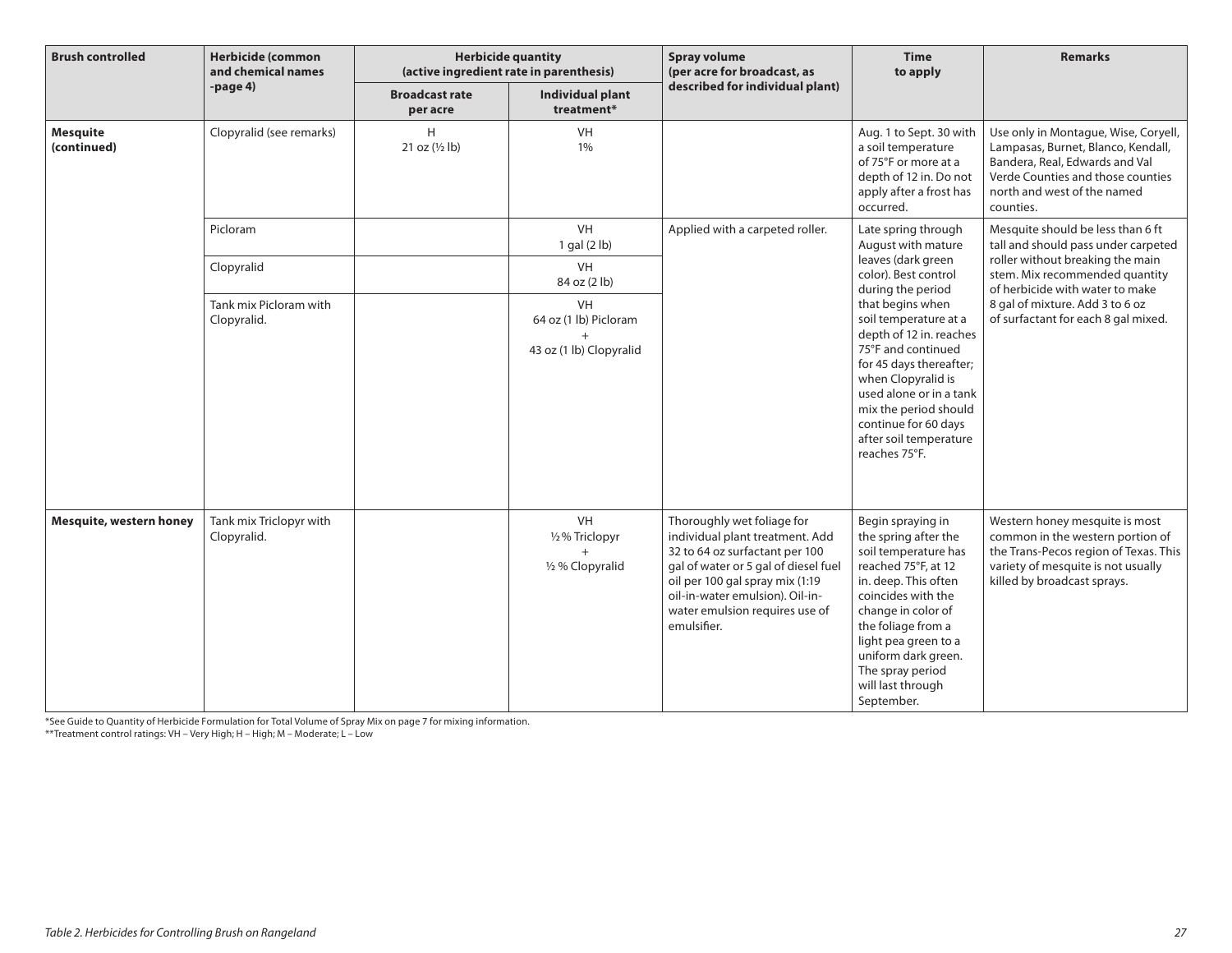| <b>Brush controlled</b>        | <b>Herbicide (common</b><br>and chemical names | <b>Herbicide quantity</b><br>(active ingredient rate in parenthesis) |                                                                         | <b>Spray volume</b><br>(per acre for broadcast, as                                                                                                                                                                                                             | <b>Time</b><br>to apply                                                                                                                                                                                                                                                                  | <b>Remarks</b>                                                                                                                                                                                |
|--------------------------------|------------------------------------------------|----------------------------------------------------------------------|-------------------------------------------------------------------------|----------------------------------------------------------------------------------------------------------------------------------------------------------------------------------------------------------------------------------------------------------------|------------------------------------------------------------------------------------------------------------------------------------------------------------------------------------------------------------------------------------------------------------------------------------------|-----------------------------------------------------------------------------------------------------------------------------------------------------------------------------------------------|
|                                | $-page4$                                       | <b>Broadcast rate</b><br>per acre                                    | Individual plant<br>treatment*                                          | described for individual plant)                                                                                                                                                                                                                                |                                                                                                                                                                                                                                                                                          |                                                                                                                                                                                               |
| <b>Mesquite</b><br>(continued) | Clopyralid (see remarks)                       | H<br>21 oz (1/2 lb)                                                  | VH<br>1%                                                                |                                                                                                                                                                                                                                                                | Aug. 1 to Sept. 30 with<br>a soil temperature<br>of 75°F or more at a<br>depth of 12 in. Do not<br>apply after a frost has<br>occurred.                                                                                                                                                  | Use only in Montague, Wise, Coryell,<br>Lampasas, Burnet, Blanco, Kendall,<br>Bandera, Real, Edwards and Val<br>Verde Counties and those counties<br>north and west of the named<br>counties. |
|                                | Picloram                                       |                                                                      | VH<br>$1$ gal $(2$ lb)                                                  | Applied with a carpeted roller.                                                                                                                                                                                                                                | Late spring through<br>August with mature                                                                                                                                                                                                                                                | Mesquite should be less than 6 ft<br>tall and should pass under carpeted                                                                                                                      |
|                                | Clopyralid                                     |                                                                      | VH<br>84 oz (2 lb)                                                      |                                                                                                                                                                                                                                                                | leaves (dark green<br>color). Best control<br>during the period                                                                                                                                                                                                                          | roller without breaking the main<br>stem. Mix recommended quantity<br>of herbicide with water to make                                                                                         |
|                                | Tank mix Picloram with<br>Clopyralid.          |                                                                      | <b>VH</b><br>64 oz (1 lb) Picloram<br>$^{+}$<br>43 oz (1 lb) Clopyralid |                                                                                                                                                                                                                                                                | that begins when<br>soil temperature at a<br>depth of 12 in. reaches<br>75°F and continued<br>for 45 days thereafter;<br>when Clopyralid is<br>used alone or in a tank<br>mix the period should<br>continue for 60 days<br>after soil temperature<br>reaches 75°F.                       | 8 gal of mixture. Add 3 to 6 oz<br>of surfactant for each 8 gal mixed.                                                                                                                        |
| Mesquite, western honey        | Tank mix Triclopyr with<br>Clopyralid.         |                                                                      | <b>VH</b><br>1/2% Triclopyr<br>1/2 % Clopyralid                         | Thoroughly wet foliage for<br>individual plant treatment. Add<br>32 to 64 oz surfactant per 100<br>gal of water or 5 gal of diesel fuel<br>oil per 100 gal spray mix (1:19<br>oil-in-water emulsion). Oil-in-<br>water emulsion requires use of<br>emulsifier. | Begin spraying in<br>the spring after the<br>soil temperature has<br>reached 75°F, at 12<br>in. deep. This often<br>coincides with the<br>change in color of<br>the foliage from a<br>light pea green to a<br>uniform dark green.<br>The spray period<br>will last through<br>September. | Western honey mesquite is most<br>common in the western portion of<br>the Trans-Pecos region of Texas. This<br>variety of mesquite is not usually<br>killed by broadcast sprays.              |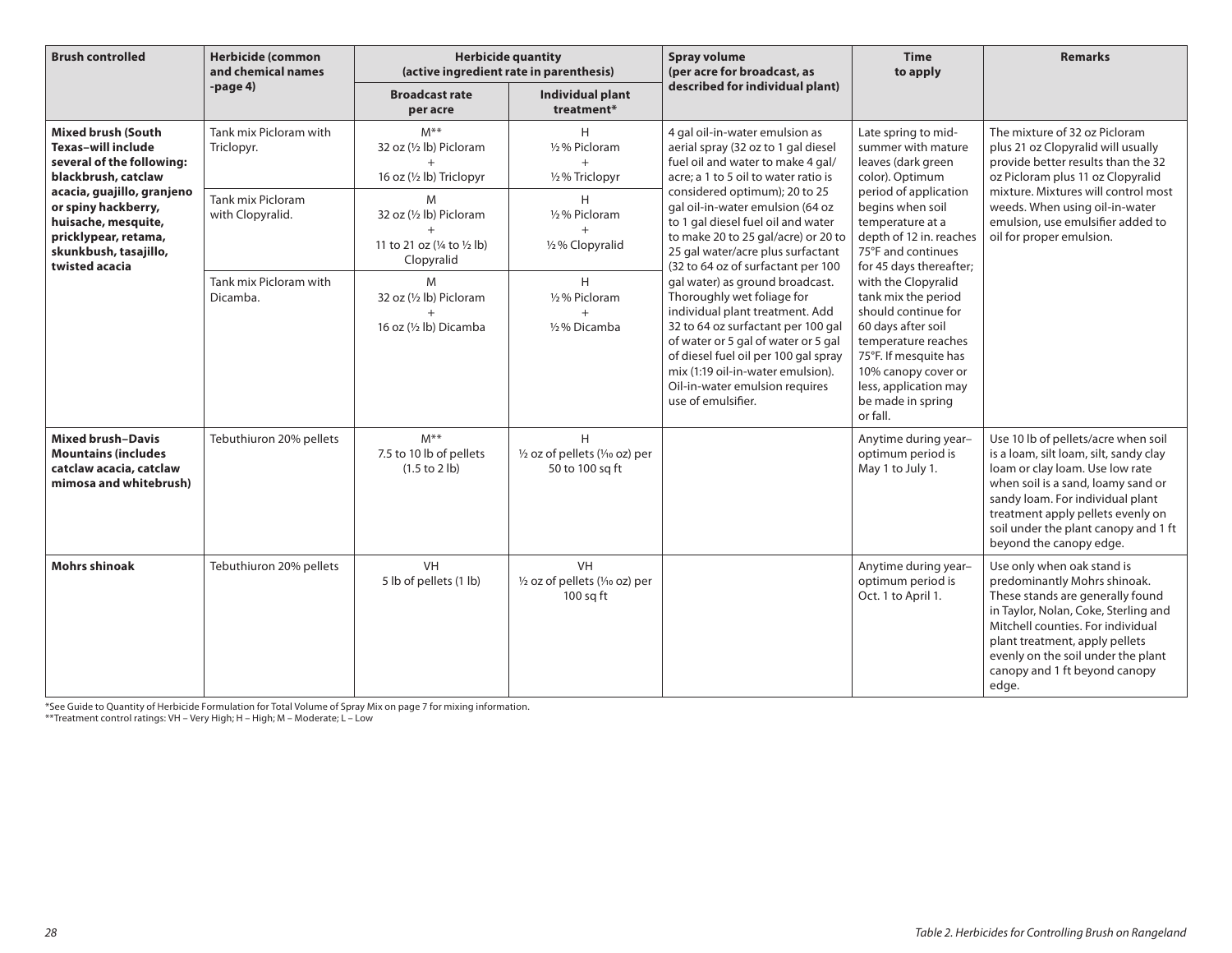| <b>Brush controlled</b>                                                                                                                                                                                                                                   | <b>Herbicide (common</b><br>and chemical names | <b>Herbicide quantity</b><br>(active ingredient rate in parenthesis)      |                                                             | <b>Spray volume</b><br>(per acre for broadcast, as                                                                                                                                                                                                                                                                                                                                                                                                                                                                                              | <b>Time</b><br>to apply                                                                                                                                                                                                  | <b>Remarks</b>                                                                                                                                                                                                                                                                                     |
|-----------------------------------------------------------------------------------------------------------------------------------------------------------------------------------------------------------------------------------------------------------|------------------------------------------------|---------------------------------------------------------------------------|-------------------------------------------------------------|-------------------------------------------------------------------------------------------------------------------------------------------------------------------------------------------------------------------------------------------------------------------------------------------------------------------------------------------------------------------------------------------------------------------------------------------------------------------------------------------------------------------------------------------------|--------------------------------------------------------------------------------------------------------------------------------------------------------------------------------------------------------------------------|----------------------------------------------------------------------------------------------------------------------------------------------------------------------------------------------------------------------------------------------------------------------------------------------------|
|                                                                                                                                                                                                                                                           | -page 4)                                       | <b>Broadcast rate</b><br>per acre                                         | <b>Individual plant</b><br>treatment*                       | described for individual plant)                                                                                                                                                                                                                                                                                                                                                                                                                                                                                                                 |                                                                                                                                                                                                                          |                                                                                                                                                                                                                                                                                                    |
| <b>Mixed brush (South</b><br><b>Texas-will include</b><br>several of the following:<br>blackbrush, catclaw<br>acacia, guajillo, granjeno<br>or spiny hackberry,<br>huisache, mesquite,<br>pricklypear, retama,<br>skunkbush, tasajillo,<br>twisted acacia | Tank mix Picloram with<br>Triclopyr.           | $M^{\ast\ast}$<br>32 oz (1/2 lb) Picloram<br>16 oz (1/2 lb) Triclopyr     | H<br>1/2% Picloram<br>$+$<br>1/2% Triclopyr                 | 4 gal oil-in-water emulsion as<br>aerial spray (32 oz to 1 gal diesel<br>fuel oil and water to make 4 gal/<br>acre; a 1 to 5 oil to water ratio is                                                                                                                                                                                                                                                                                                                                                                                              | Late spring to mid-<br>summer with mature<br>leaves (dark green<br>color). Optimum                                                                                                                                       | The mixture of 32 oz Picloram<br>plus 21 oz Clopyralid will usually<br>provide better results than the 32<br>oz Picloram plus 11 oz Clopyralid                                                                                                                                                     |
|                                                                                                                                                                                                                                                           | <b>Tank mix Picloram</b><br>with Clopyralid.   | M<br>32 oz (1/2 lb) Picloram<br>11 to 21 oz (1/4 to 1/2 lb)<br>Clopyralid | H<br>1/2% Picloram<br>1/2% Clopyralid                       | considered optimum); 20 to 25<br>gal oil-in-water emulsion (64 oz<br>to 1 gal diesel fuel oil and water<br>to make 20 to 25 gal/acre) or 20 to<br>25 gal water/acre plus surfactant<br>(32 to 64 oz of surfactant per 100<br>gal water) as ground broadcast.<br>Thoroughly wet foliage for<br>individual plant treatment. Add<br>32 to 64 oz surfactant per 100 gal<br>of water or 5 gal of water or 5 gal<br>of diesel fuel oil per 100 gal spray<br>mix (1:19 oil-in-water emulsion).<br>Oil-in-water emulsion requires<br>use of emulsifier. | period of application<br>begins when soil<br>temperature at a<br>depth of 12 in. reaches<br>75°F and continues<br>for 45 days thereafter;                                                                                | mixture. Mixtures will control most<br>weeds. When using oil-in-water<br>emulsion, use emulsifier added to<br>oil for proper emulsion.                                                                                                                                                             |
|                                                                                                                                                                                                                                                           | Tank mix Picloram with<br>Dicamba.             | M<br>32 oz (1/2 lb) Picloram<br>$\ddot{}$<br>16 oz (1/2 lb) Dicamba       | H<br>1/2% Picloram<br>$+$<br>1/2% Dicamba                   |                                                                                                                                                                                                                                                                                                                                                                                                                                                                                                                                                 | with the Clopyralid<br>tank mix the period<br>should continue for<br>60 days after soil<br>temperature reaches<br>75°F. If mesquite has<br>10% canopy cover or<br>less, application may<br>be made in spring<br>or fall. |                                                                                                                                                                                                                                                                                                    |
| <b>Mixed brush-Davis</b><br><b>Mountains (includes</b><br>catclaw acacia, catclaw<br>mimosa and whitebrush)                                                                                                                                               | Tebuthiuron 20% pellets                        | $M^{\ast\ast}$<br>7.5 to 10 lb of pellets<br>(1.5 to 2 lb)                | H<br>1/2 oz of pellets (1/10 oz) per<br>50 to 100 sq ft     |                                                                                                                                                                                                                                                                                                                                                                                                                                                                                                                                                 | Anytime during year-<br>optimum period is<br>May 1 to July 1.                                                                                                                                                            | Use 10 lb of pellets/acre when soil<br>is a loam, silt loam, silt, sandy clay<br>loam or clay loam. Use low rate<br>when soil is a sand, loamy sand or<br>sandy loam. For individual plant<br>treatment apply pellets evenly on<br>soil under the plant canopy and 1 ft<br>beyond the canopy edge. |
| <b>Mohrs shinoak</b>                                                                                                                                                                                                                                      | Tebuthiuron 20% pellets                        | VH<br>5 lb of pellets (1 lb)                                              | <b>VH</b><br>1/2 oz of pellets (1/10 oz) per<br>$100$ sq ft |                                                                                                                                                                                                                                                                                                                                                                                                                                                                                                                                                 | Anytime during year-<br>optimum period is<br>Oct. 1 to April 1.                                                                                                                                                          | Use only when oak stand is<br>predominantly Mohrs shinoak.<br>These stands are generally found<br>in Taylor, Nolan, Coke, Sterling and<br>Mitchell counties. For individual<br>plant treatment, apply pellets<br>evenly on the soil under the plant<br>canopy and 1 ft beyond canopy<br>edge.      |

\*See Guide to Quantity of Herbicide Formulation for Total Volume of Spray Mix on page 7 for mixing information.

\*\*Treatment control ratings: VH – Very High; H – High; M – Moderate; L – Low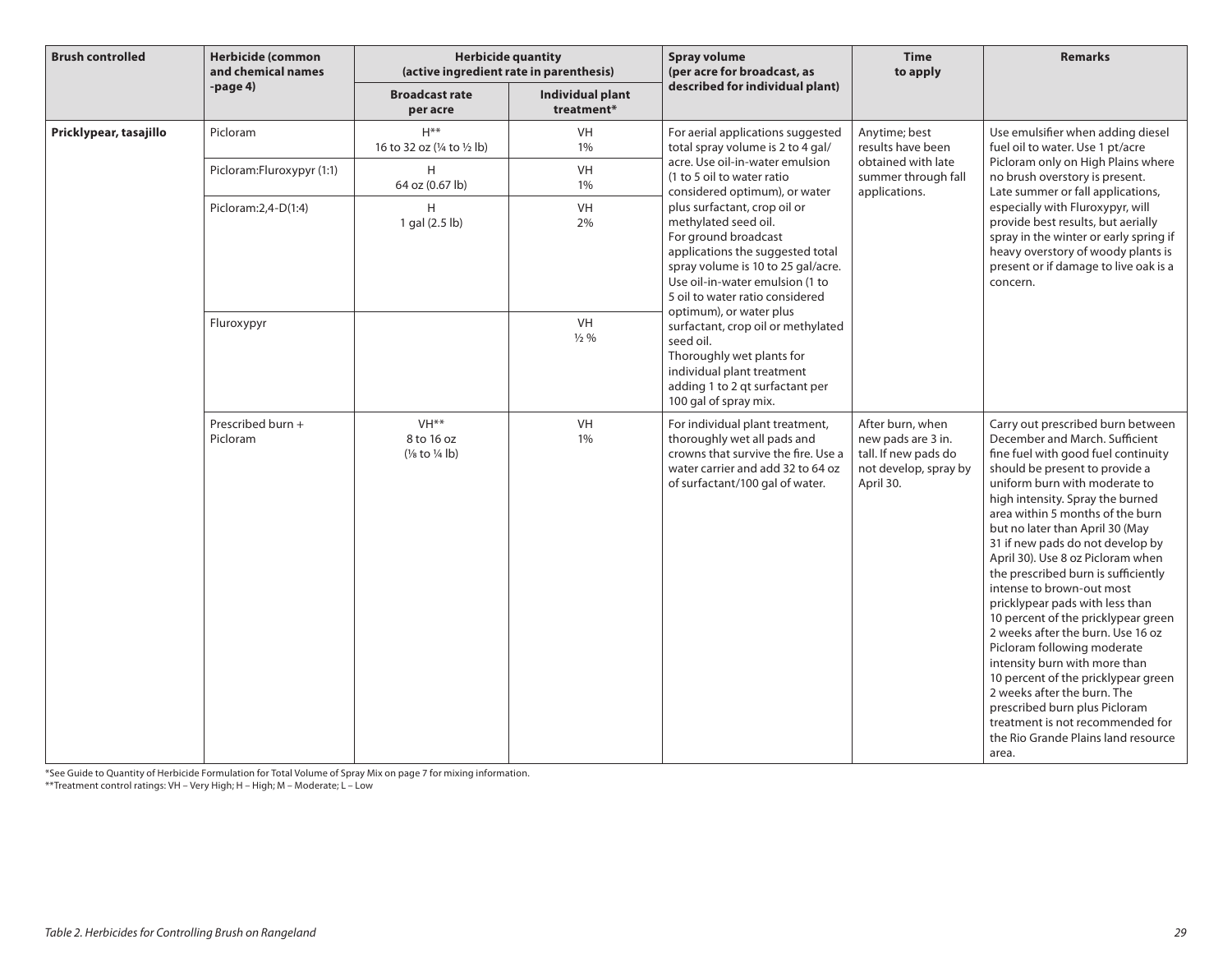| <b>Brush controlled</b> | <b>Herbicide (common</b><br>and chemical names | <b>Herbicide quantity</b><br>(active ingredient rate in parenthesis)  |                                | <b>Spray volume</b><br>(per acre for broadcast, as                                                                                                                                                                                                                                                                                                                                                                                | <b>Time</b><br>to apply                                                                              | <b>Remarks</b>                                                                                                                                                                                                                                                                                                                                                                                                                                                                                                                                                                                                                                                                                                                                                                                                  |
|-------------------------|------------------------------------------------|-----------------------------------------------------------------------|--------------------------------|-----------------------------------------------------------------------------------------------------------------------------------------------------------------------------------------------------------------------------------------------------------------------------------------------------------------------------------------------------------------------------------------------------------------------------------|------------------------------------------------------------------------------------------------------|-----------------------------------------------------------------------------------------------------------------------------------------------------------------------------------------------------------------------------------------------------------------------------------------------------------------------------------------------------------------------------------------------------------------------------------------------------------------------------------------------------------------------------------------------------------------------------------------------------------------------------------------------------------------------------------------------------------------------------------------------------------------------------------------------------------------|
|                         | -page 4)                                       | <b>Broadcast rate</b><br>per acre                                     | Individual plant<br>treatment* | described for individual plant)                                                                                                                                                                                                                                                                                                                                                                                                   |                                                                                                      |                                                                                                                                                                                                                                                                                                                                                                                                                                                                                                                                                                                                                                                                                                                                                                                                                 |
| Pricklypear, tasajillo  | Picloram                                       | $H***$<br>16 to 32 oz (1/4 to 1/2 lb)                                 | <b>VH</b><br>1%                | For aerial applications suggested<br>total spray volume is 2 to 4 gal/                                                                                                                                                                                                                                                                                                                                                            | Anytime; best<br>results have been                                                                   | Use emulsifier when adding diesel<br>fuel oil to water. Use 1 pt/acre<br>Picloram only on High Plains where<br>no brush overstory is present.<br>Late summer or fall applications,<br>especially with Fluroxypyr, will<br>provide best results, but aerially<br>spray in the winter or early spring if<br>heavy overstory of woody plants is<br>present or if damage to live oak is a<br>concern.                                                                                                                                                                                                                                                                                                                                                                                                               |
|                         | Picloram:Fluroxypyr (1:1)                      | H<br>64 oz (0.67 lb)                                                  | VH<br>1%                       | acre. Use oil-in-water emulsion<br>(1 to 5 oil to water ratio<br>considered optimum), or water                                                                                                                                                                                                                                                                                                                                    | obtained with late<br>summer through fall<br>applications.                                           |                                                                                                                                                                                                                                                                                                                                                                                                                                                                                                                                                                                                                                                                                                                                                                                                                 |
|                         | Picloram: 2,4-D(1:4)                           | H<br>1 gal (2.5 lb)                                                   | VH<br>2%                       | plus surfactant, crop oil or<br>methylated seed oil.<br>For ground broadcast<br>applications the suggested total<br>spray volume is 10 to 25 gal/acre.<br>Use oil-in-water emulsion (1 to<br>5 oil to water ratio considered<br>optimum), or water plus<br>surfactant, crop oil or methylated<br>seed oil.<br>Thoroughly wet plants for<br>individual plant treatment<br>adding 1 to 2 qt surfactant per<br>100 gal of spray mix. |                                                                                                      |                                                                                                                                                                                                                                                                                                                                                                                                                                                                                                                                                                                                                                                                                                                                                                                                                 |
|                         | Fluroxypyr                                     |                                                                       | VH<br>$\frac{1}{2}$ %          |                                                                                                                                                                                                                                                                                                                                                                                                                                   |                                                                                                      |                                                                                                                                                                                                                                                                                                                                                                                                                                                                                                                                                                                                                                                                                                                                                                                                                 |
|                         | Prescribed burn +<br>Picloram                  | VH <sup>**</sup><br>8 to 16 oz<br>$(\frac{1}{8}$ to $\frac{1}{4}$ lb) | VH<br>1%                       | For individual plant treatment,<br>thoroughly wet all pads and<br>crowns that survive the fire. Use a<br>water carrier and add 32 to 64 oz<br>of surfactant/100 gal of water.                                                                                                                                                                                                                                                     | After burn, when<br>new pads are 3 in.<br>tall. If new pads do<br>not develop, spray by<br>April 30. | Carry out prescribed burn between<br>December and March. Sufficient<br>fine fuel with good fuel continuity<br>should be present to provide a<br>uniform burn with moderate to<br>high intensity. Spray the burned<br>area within 5 months of the burn<br>but no later than April 30 (May<br>31 if new pads do not develop by<br>April 30). Use 8 oz Picloram when<br>the prescribed burn is sufficiently<br>intense to brown-out most<br>pricklypear pads with less than<br>10 percent of the pricklypear green<br>2 weeks after the burn. Use 16 oz<br>Picloram following moderate<br>intensity burn with more than<br>10 percent of the pricklypear green<br>2 weeks after the burn. The<br>prescribed burn plus Picloram<br>treatment is not recommended for<br>the Rio Grande Plains land resource<br>area. |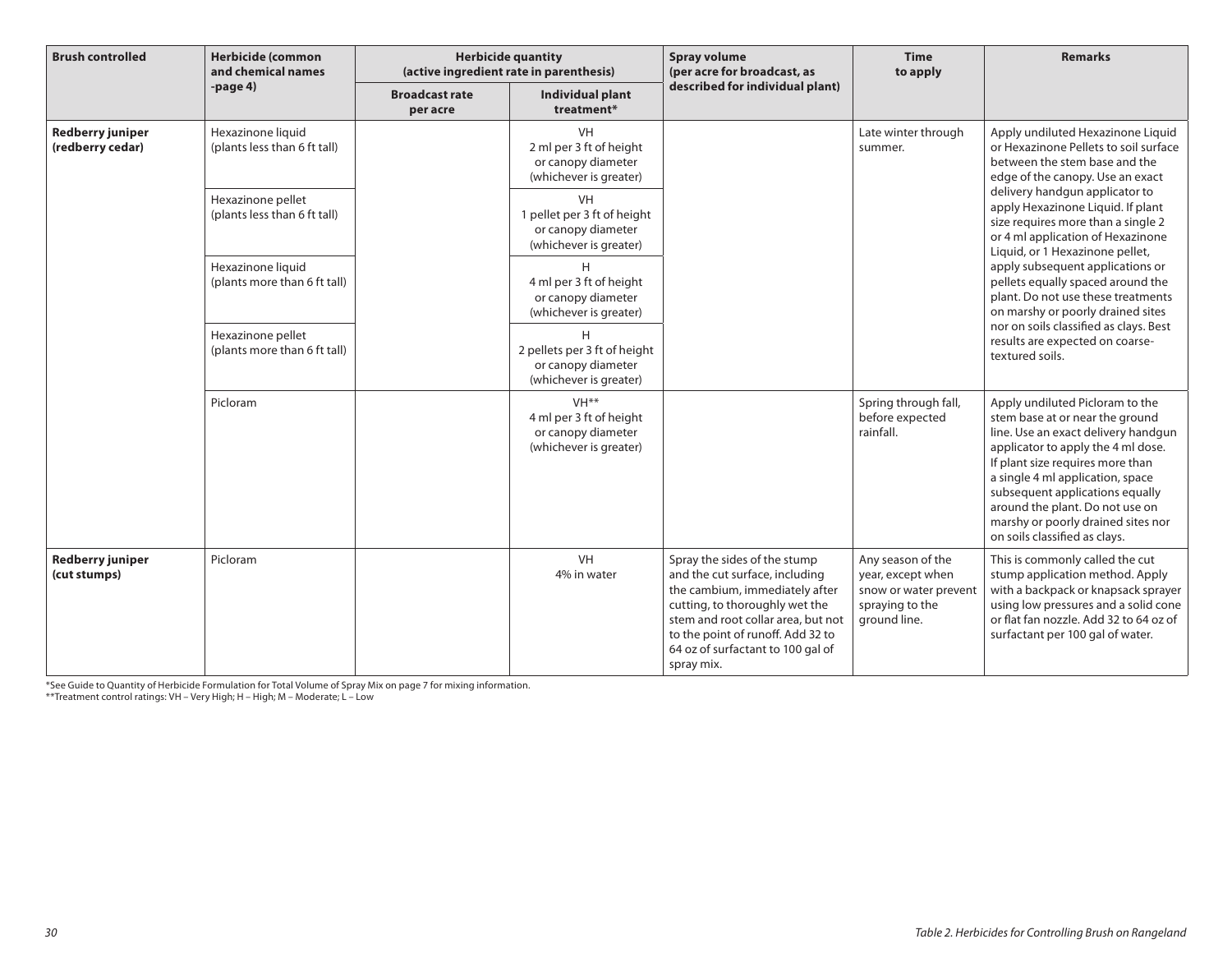| <b>Brush controlled</b>                     | <b>Herbicide (common</b><br>and chemical names    | <b>Herbicide quantity</b><br>(active ingredient rate in parenthesis) |                                                                                             | <b>Spray volume</b><br>(per acre for broadcast, as                                                                                                                                                                                                               | <b>Time</b><br>to apply                                                                            | <b>Remarks</b>                                                                                                                                                                                                                                                                                                                                                                                                                                                                           |
|---------------------------------------------|---------------------------------------------------|----------------------------------------------------------------------|---------------------------------------------------------------------------------------------|------------------------------------------------------------------------------------------------------------------------------------------------------------------------------------------------------------------------------------------------------------------|----------------------------------------------------------------------------------------------------|------------------------------------------------------------------------------------------------------------------------------------------------------------------------------------------------------------------------------------------------------------------------------------------------------------------------------------------------------------------------------------------------------------------------------------------------------------------------------------------|
|                                             | -page $4)$                                        | <b>Broadcast rate</b><br>per acre                                    | Individual plant<br>treatment*                                                              | described for individual plant)                                                                                                                                                                                                                                  |                                                                                                    |                                                                                                                                                                                                                                                                                                                                                                                                                                                                                          |
| <b>Redberry juniper</b><br>(redberry cedar) | Hexazinone liquid<br>(plants less than 6 ft tall) |                                                                      | VH<br>2 ml per 3 ft of height<br>or canopy diameter<br>(whichever is greater)               |                                                                                                                                                                                                                                                                  | Late winter through<br>summer.                                                                     | Apply undiluted Hexazinone Liquid<br>or Hexazinone Pellets to soil surface<br>between the stem base and the<br>edge of the canopy. Use an exact<br>delivery handgun applicator to<br>apply Hexazinone Liquid. If plant<br>size requires more than a single 2<br>or 4 ml application of Hexazinone<br>Liquid, or 1 Hexazinone pellet,<br>apply subsequent applications or<br>pellets equally spaced around the<br>plant. Do not use these treatments<br>on marshy or poorly drained sites |
|                                             | Hexazinone pellet<br>(plants less than 6 ft tall) |                                                                      | <b>VH</b><br>1 pellet per 3 ft of height<br>or canopy diameter<br>(whichever is greater)    |                                                                                                                                                                                                                                                                  |                                                                                                    |                                                                                                                                                                                                                                                                                                                                                                                                                                                                                          |
|                                             | Hexazinone liquid<br>(plants more than 6 ft tall) |                                                                      | H<br>4 ml per 3 ft of height<br>or canopy diameter<br>(whichever is greater)                |                                                                                                                                                                                                                                                                  |                                                                                                    |                                                                                                                                                                                                                                                                                                                                                                                                                                                                                          |
|                                             | Hexazinone pellet<br>(plants more than 6 ft tall) |                                                                      | H<br>2 pellets per 3 ft of height<br>or canopy diameter<br>(whichever is greater)           |                                                                                                                                                                                                                                                                  |                                                                                                    | nor on soils classified as clays. Best<br>results are expected on coarse-<br>textured soils.                                                                                                                                                                                                                                                                                                                                                                                             |
|                                             | Picloram                                          |                                                                      | VH <sup>**</sup><br>4 ml per 3 ft of height<br>or canopy diameter<br>(whichever is greater) |                                                                                                                                                                                                                                                                  | Spring through fall,<br>before expected<br>rainfall.                                               | Apply undiluted Picloram to the<br>stem base at or near the ground<br>line. Use an exact delivery handgun<br>applicator to apply the 4 ml dose.<br>If plant size requires more than<br>a single 4 ml application, space<br>subsequent applications equally<br>around the plant. Do not use on<br>marshy or poorly drained sites nor<br>on soils classified as clays.                                                                                                                     |
| <b>Redberry juniper</b><br>(cut stumps)     | Picloram                                          |                                                                      | VH<br>4% in water                                                                           | Spray the sides of the stump<br>and the cut surface, including<br>the cambium, immediately after<br>cutting, to thoroughly wet the<br>stem and root collar area, but not<br>to the point of runoff. Add 32 to<br>64 oz of surfactant to 100 gal of<br>spray mix. | Any season of the<br>year, except when<br>snow or water prevent<br>spraying to the<br>ground line. | This is commonly called the cut<br>stump application method. Apply<br>with a backpack or knapsack sprayer<br>using low pressures and a solid cone<br>or flat fan nozzle. Add 32 to 64 oz of<br>surfactant per 100 gal of water.                                                                                                                                                                                                                                                          |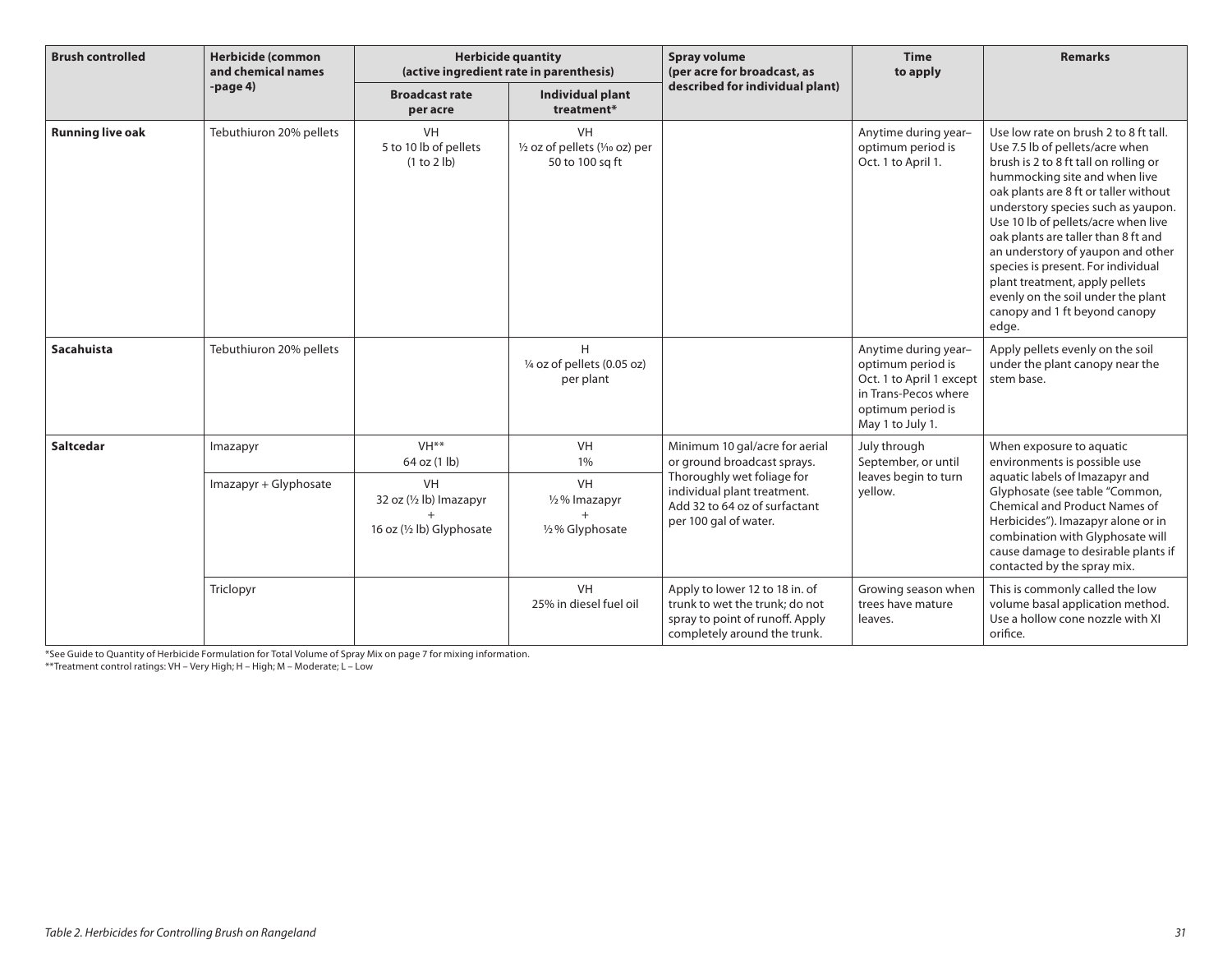| <b>Brush controlled</b> | <b>Herbicide (common</b><br>and chemical names | <b>Herbicide quantity</b><br>(active ingredient rate in parenthesis) |                                                                 | <b>Spray volume</b><br>(per acre for broadcast, as                                                                                                                                   | <b>Time</b><br>to apply                                                                                                                | <b>Remarks</b>                                                                                                                                                                                                                                                                                                                                                                                                                                                                                               |
|-------------------------|------------------------------------------------|----------------------------------------------------------------------|-----------------------------------------------------------------|--------------------------------------------------------------------------------------------------------------------------------------------------------------------------------------|----------------------------------------------------------------------------------------------------------------------------------------|--------------------------------------------------------------------------------------------------------------------------------------------------------------------------------------------------------------------------------------------------------------------------------------------------------------------------------------------------------------------------------------------------------------------------------------------------------------------------------------------------------------|
|                         | $-page4$                                       | <b>Broadcast rate</b><br>per acre                                    | Individual plant<br>treatment*                                  | described for individual plant)                                                                                                                                                      |                                                                                                                                        |                                                                                                                                                                                                                                                                                                                                                                                                                                                                                                              |
| <b>Running live oak</b> | Tebuthiuron 20% pellets                        | VH<br>5 to 10 lb of pellets<br>(1 to 2 lb)                           | <b>VH</b><br>1/2 oz of pellets (1/10 oz) per<br>50 to 100 sq ft |                                                                                                                                                                                      | Anytime during year-<br>optimum period is<br>Oct. 1 to April 1.                                                                        | Use low rate on brush 2 to 8 ft tall.<br>Use 7.5 lb of pellets/acre when<br>brush is 2 to 8 ft tall on rolling or<br>hummocking site and when live<br>oak plants are 8 ft or taller without<br>understory species such as yaupon.<br>Use 10 lb of pellets/acre when live<br>oak plants are taller than 8 ft and<br>an understory of yaupon and other<br>species is present. For individual<br>plant treatment, apply pellets<br>evenly on the soil under the plant<br>canopy and 1 ft beyond canopy<br>edge. |
| Sacahuista              | Tebuthiuron 20% pellets                        |                                                                      | H<br>1/4 oz of pellets (0.05 oz)<br>per plant                   |                                                                                                                                                                                      | Anytime during year-<br>optimum period is<br>Oct. 1 to April 1 except<br>in Trans-Pecos where<br>optimum period is<br>May 1 to July 1. | Apply pellets evenly on the soil<br>under the plant canopy near the<br>stem base.                                                                                                                                                                                                                                                                                                                                                                                                                            |
| <b>Saltcedar</b>        | Imazapyr                                       | VH <sup>**</sup><br>64 oz (1 lb)                                     | <b>VH</b><br>1%                                                 | Minimum 10 gal/acre for aerial<br>or ground broadcast sprays.<br>Thoroughly wet foliage for<br>individual plant treatment.<br>Add 32 to 64 oz of surfactant<br>per 100 gal of water. | July through<br>September, or until                                                                                                    | When exposure to aquatic<br>environments is possible use                                                                                                                                                                                                                                                                                                                                                                                                                                                     |
|                         | Imazapyr + Glyphosate                          | VH<br>32 oz (1/2 lb) Imazapyr<br>16 oz (1/2 lb) Glyphosate           | VH<br>1/2% Imazapyr<br>1/2% Glyphosate                          |                                                                                                                                                                                      | leaves begin to turn<br>yellow.                                                                                                        | aquatic labels of Imazapyr and<br>Glyphosate (see table "Common,<br><b>Chemical and Product Names of</b><br>Herbicides"). Imazapyr alone or in<br>combination with Glyphosate will<br>cause damage to desirable plants if<br>contacted by the spray mix.                                                                                                                                                                                                                                                     |
|                         | Triclopyr                                      |                                                                      | <b>VH</b><br>25% in diesel fuel oil                             | Apply to lower 12 to 18 in. of<br>trunk to wet the trunk; do not<br>spray to point of runoff. Apply<br>completely around the trunk.                                                  | Growing season when<br>trees have mature<br>leaves.                                                                                    | This is commonly called the low<br>volume basal application method.<br>Use a hollow cone nozzle with XI<br>orifice.                                                                                                                                                                                                                                                                                                                                                                                          |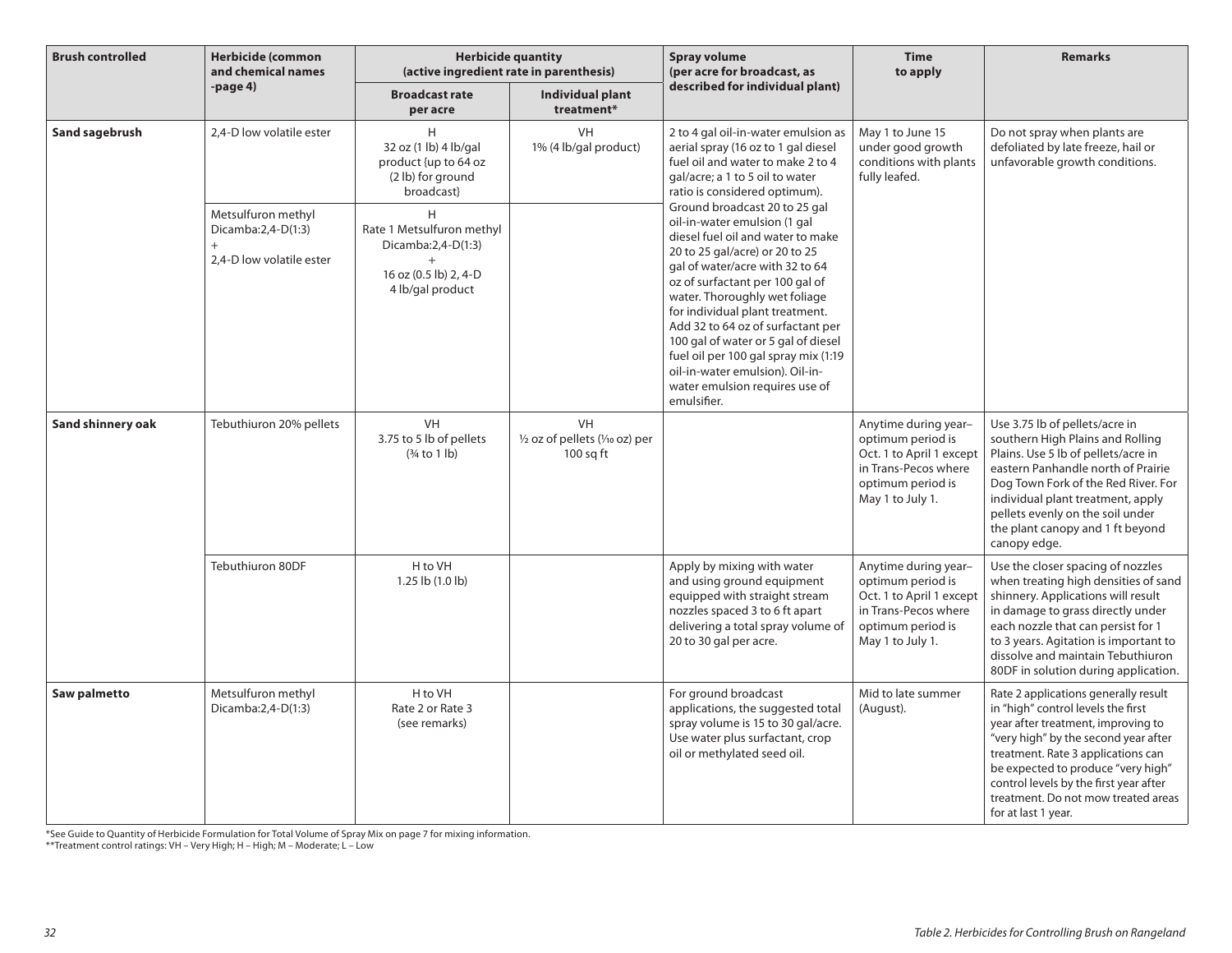| <b>Brush controlled</b> | <b>Herbicide (common</b><br>and chemical names                              | <b>Herbicide quantity</b><br>(active ingredient rate in parenthesis)                              |                                                      | <b>Spray volume</b><br>(per acre for broadcast, as                                                                                                                                                                                                                                                                                                                                                                                                                                     | <b>Time</b><br>to apply                                                                                                                | <b>Remarks</b>                                                                                                                                                                                                                                                                                                                               |
|-------------------------|-----------------------------------------------------------------------------|---------------------------------------------------------------------------------------------------|------------------------------------------------------|----------------------------------------------------------------------------------------------------------------------------------------------------------------------------------------------------------------------------------------------------------------------------------------------------------------------------------------------------------------------------------------------------------------------------------------------------------------------------------------|----------------------------------------------------------------------------------------------------------------------------------------|----------------------------------------------------------------------------------------------------------------------------------------------------------------------------------------------------------------------------------------------------------------------------------------------------------------------------------------------|
|                         | -page 4)                                                                    | <b>Broadcast rate</b><br>per acre                                                                 | Individual plant<br>treatment*                       | described for individual plant)                                                                                                                                                                                                                                                                                                                                                                                                                                                        |                                                                                                                                        |                                                                                                                                                                                                                                                                                                                                              |
| Sand sagebrush          | 2,4-D low volatile ester                                                    | H<br>32 oz (1 lb) 4 lb/gal<br>product {up to 64 oz<br>(2 lb) for ground<br>broadcast}             | <b>VH</b><br>1% (4 lb/gal product)                   | 2 to 4 gal oil-in-water emulsion as<br>aerial spray (16 oz to 1 gal diesel<br>fuel oil and water to make 2 to 4<br>gal/acre; a 1 to 5 oil to water<br>ratio is considered optimum).                                                                                                                                                                                                                                                                                                    | May 1 to June 15<br>under good growth<br>conditions with plants<br>fully leafed.                                                       | Do not spray when plants are<br>defoliated by late freeze, hail or<br>unfavorable growth conditions.                                                                                                                                                                                                                                         |
|                         | Metsulfuron methyl<br>Dicamba:2,4-D(1:3)<br>$+$<br>2,4-D low volatile ester | H<br>Rate 1 Metsulfuron methyl<br>Dicamba:2,4-D(1:3)<br>16 oz (0.5 lb) 2, 4-D<br>4 lb/gal product |                                                      | Ground broadcast 20 to 25 gal<br>oil-in-water emulsion (1 gal<br>diesel fuel oil and water to make<br>20 to 25 gal/acre) or 20 to 25<br>gal of water/acre with 32 to 64<br>oz of surfactant per 100 gal of<br>water. Thoroughly wet foliage<br>for individual plant treatment.<br>Add 32 to 64 oz of surfactant per<br>100 gal of water or 5 gal of diesel<br>fuel oil per 100 gal spray mix (1:19<br>oil-in-water emulsion). Oil-in-<br>water emulsion requires use of<br>emulsifier. |                                                                                                                                        |                                                                                                                                                                                                                                                                                                                                              |
| Sand shinnery oak       | Tebuthiuron 20% pellets                                                     | VH<br>3.75 to 5 lb of pellets<br>$(3/4$ to 1 lb)                                                  | VH<br>1/2 oz of pellets (1/10 oz) per<br>$100$ sq ft |                                                                                                                                                                                                                                                                                                                                                                                                                                                                                        | Anytime during year-<br>optimum period is<br>Oct. 1 to April 1 except<br>in Trans-Pecos where<br>optimum period is<br>May 1 to July 1. | Use 3.75 lb of pellets/acre in<br>southern High Plains and Rolling<br>Plains. Use 5 lb of pellets/acre in<br>eastern Panhandle north of Prairie<br>Dog Town Fork of the Red River. For<br>individual plant treatment, apply<br>pellets evenly on the soil under<br>the plant canopy and 1 ft beyond<br>canopy edge.                          |
|                         | Tebuthiuron 80DF                                                            | H to VH<br>1.25 lb (1.0 lb)                                                                       |                                                      | Apply by mixing with water<br>and using ground equipment<br>equipped with straight stream<br>nozzles spaced 3 to 6 ft apart<br>delivering a total spray volume of<br>20 to 30 gal per acre.                                                                                                                                                                                                                                                                                            | Anytime during year-<br>optimum period is<br>Oct. 1 to April 1 except<br>in Trans-Pecos where<br>optimum period is<br>May 1 to July 1. | Use the closer spacing of nozzles<br>when treating high densities of sand<br>shinnery. Applications will result<br>in damage to grass directly under<br>each nozzle that can persist for 1<br>to 3 years. Agitation is important to<br>dissolve and maintain Tebuthiuron<br>80DF in solution during application.                             |
| Saw palmetto            | Metsulfuron methyl<br>Dicamba:2,4-D(1:3)                                    | H to VH<br>Rate 2 or Rate 3<br>(see remarks)                                                      |                                                      | For ground broadcast<br>applications, the suggested total<br>spray volume is 15 to 30 gal/acre.<br>Use water plus surfactant, crop<br>oil or methylated seed oil.                                                                                                                                                                                                                                                                                                                      | Mid to late summer<br>(August).                                                                                                        | Rate 2 applications generally result<br>in "high" control levels the first<br>year after treatment, improving to<br>"very high" by the second year after<br>treatment. Rate 3 applications can<br>be expected to produce "very high"<br>control levels by the first year after<br>treatment. Do not mow treated areas<br>for at last 1 year. |

\*See Guide to Quantity of Herbicide Formulation for Total Volume of Spray Mix on page 7 for mixing information.

\*\*Treatment control ratings: VH – Very High; H – High; M – Moderate; L – Low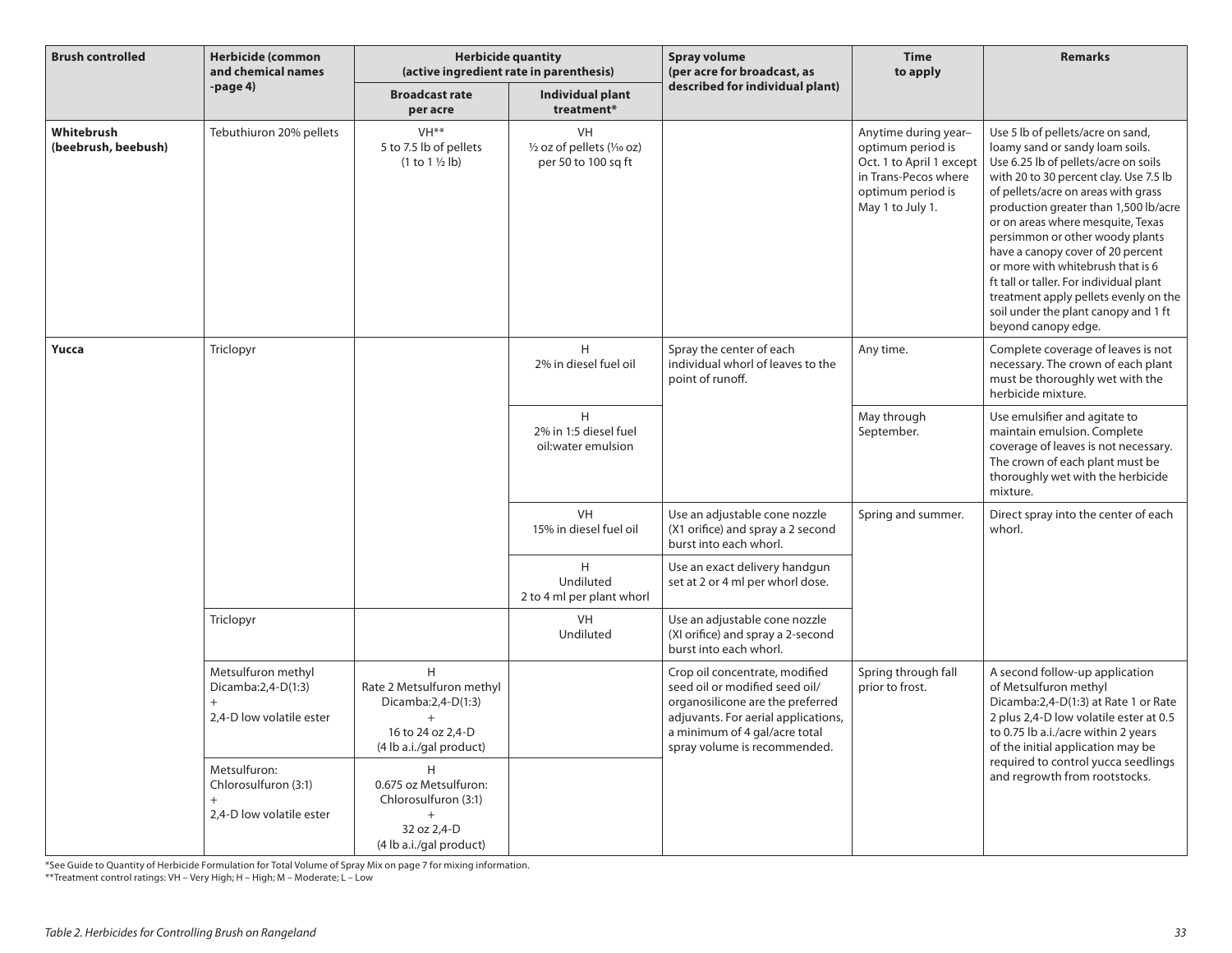| <b>Brush controlled</b>           | <b>Herbicide (common</b><br>and chemical names                              | <b>Herbicide quantity</b><br>(active ingredient rate in parenthesis)                                              |                                                          | <b>Spray volume</b><br>(per acre for broadcast, as                                                                                                                                                           | <b>Time</b><br>to apply                                                                                                                | <b>Remarks</b>                                                                                                                                                                                                                                                                                                                                                                                                                                                                                                                              |
|-----------------------------------|-----------------------------------------------------------------------------|-------------------------------------------------------------------------------------------------------------------|----------------------------------------------------------|--------------------------------------------------------------------------------------------------------------------------------------------------------------------------------------------------------------|----------------------------------------------------------------------------------------------------------------------------------------|---------------------------------------------------------------------------------------------------------------------------------------------------------------------------------------------------------------------------------------------------------------------------------------------------------------------------------------------------------------------------------------------------------------------------------------------------------------------------------------------------------------------------------------------|
|                                   | -page 4)                                                                    | <b>Broadcast rate</b><br>per acre                                                                                 | Individual plant<br>treatment*                           | described for individual plant)                                                                                                                                                                              |                                                                                                                                        |                                                                                                                                                                                                                                                                                                                                                                                                                                                                                                                                             |
| Whitebrush<br>(beebrush, beebush) | Tebuthiuron 20% pellets                                                     | VH <sup>**</sup><br>5 to 7.5 lb of pellets<br>$(1 to 1 \frac{1}{2}$ lb)                                           | VH<br>1/2 oz of pellets (1/10 oz)<br>per 50 to 100 sq ft |                                                                                                                                                                                                              | Anytime during year-<br>optimum period is<br>Oct. 1 to April 1 except<br>in Trans-Pecos where<br>optimum period is<br>May 1 to July 1. | Use 5 lb of pellets/acre on sand,<br>loamy sand or sandy loam soils.<br>Use 6.25 lb of pellets/acre on soils<br>with 20 to 30 percent clay. Use 7.5 lb<br>of pellets/acre on areas with grass<br>production greater than 1,500 lb/acre<br>or on areas where mesquite, Texas<br>persimmon or other woody plants<br>have a canopy cover of 20 percent<br>or more with whitebrush that is 6<br>ft tall or taller. For individual plant<br>treatment apply pellets evenly on the<br>soil under the plant canopy and 1 ft<br>beyond canopy edge. |
| Yucca                             | Triclopyr                                                                   |                                                                                                                   | H<br>2% in diesel fuel oil                               | Spray the center of each<br>individual whorl of leaves to the<br>point of runoff.                                                                                                                            | Any time.                                                                                                                              | Complete coverage of leaves is not<br>necessary. The crown of each plant<br>must be thoroughly wet with the<br>herbicide mixture.                                                                                                                                                                                                                                                                                                                                                                                                           |
|                                   |                                                                             |                                                                                                                   | H<br>2% in 1:5 diesel fuel<br>oil:water emulsion         |                                                                                                                                                                                                              | May through<br>September.                                                                                                              | Use emulsifier and agitate to<br>maintain emulsion. Complete<br>coverage of leaves is not necessary.<br>The crown of each plant must be<br>thoroughly wet with the herbicide<br>mixture.                                                                                                                                                                                                                                                                                                                                                    |
|                                   |                                                                             |                                                                                                                   | <b>VH</b><br>15% in diesel fuel oil                      | Use an adjustable cone nozzle<br>(X1 orifice) and spray a 2 second<br>burst into each whorl.                                                                                                                 | Spring and summer.                                                                                                                     | Direct spray into the center of each<br>whorl.                                                                                                                                                                                                                                                                                                                                                                                                                                                                                              |
|                                   |                                                                             |                                                                                                                   | H<br>Undiluted<br>2 to 4 ml per plant whorl              | Use an exact delivery handgun<br>set at 2 or 4 ml per whorl dose.                                                                                                                                            |                                                                                                                                        |                                                                                                                                                                                                                                                                                                                                                                                                                                                                                                                                             |
|                                   | Triclopyr                                                                   |                                                                                                                   | <b>VH</b><br>Undiluted                                   | Use an adjustable cone nozzle<br>(XI orifice) and spray a 2-second<br>burst into each whorl.                                                                                                                 |                                                                                                                                        |                                                                                                                                                                                                                                                                                                                                                                                                                                                                                                                                             |
|                                   | Metsulfuron methyl<br>Dicamba:2,4-D(1:3)<br>$+$<br>2.4-D low volatile ester | H<br>Rate 2 Metsulfuron methyl<br>Dicamba:2,4-D(1:3)<br>$\ddot{}$<br>16 to 24 oz 2,4-D<br>(4 lb a.i./gal product) |                                                          | Crop oil concentrate, modified<br>seed oil or modified seed oil/<br>organosilicone are the preferred<br>adjuvants. For aerial applications,<br>a minimum of 4 gal/acre total<br>spray volume is recommended. | Spring through fall<br>prior to frost.                                                                                                 | A second follow-up application<br>of Metsulfuron methyl<br>Dicamba:2,4-D(1:3) at Rate 1 or Rate<br>2 plus 2,4-D low volatile ester at 0.5<br>to 0.75 lb a.i./acre within 2 years<br>of the initial application may be                                                                                                                                                                                                                                                                                                                       |
|                                   | Metsulfuron:<br>Chlorosulfuron (3:1)<br>$^{+}$<br>2,4-D low volatile ester  | H<br>0.675 oz Metsulfuron:<br>Chlorosulfuron (3:1)<br>32 oz 2,4-D<br>(4 lb a.i./gal product)                      |                                                          |                                                                                                                                                                                                              |                                                                                                                                        | required to control yucca seedlings<br>and regrowth from rootstocks.                                                                                                                                                                                                                                                                                                                                                                                                                                                                        |